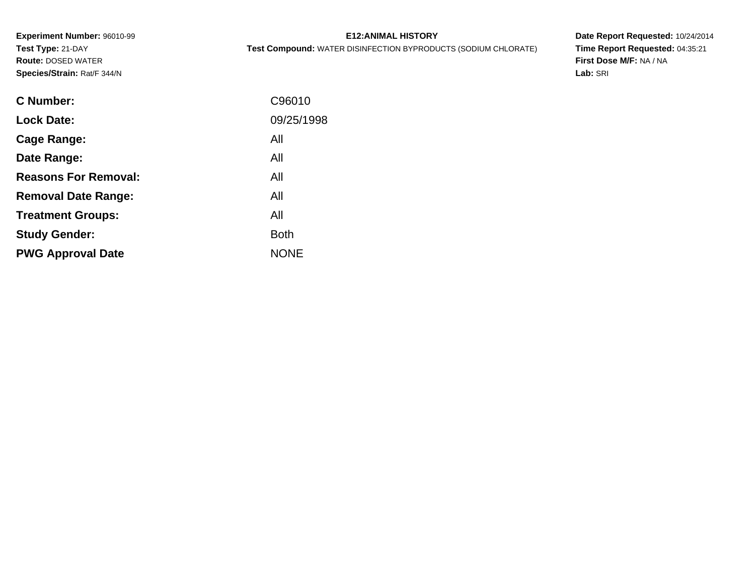**Experiment Number:** 96010-99**Test Type:** 21-DAY **Route:** DOSED WATER**Species/Strain:** Rat/F 344/N

| <b>E12: ANIMAL HISTORY</b> |  |
|----------------------------|--|
|----------------------------|--|

**Test Compound:** WATER DISINFECTION BYPRODUCTS (SODIUM CHLORATE)

**Date Report Requested:** 10/24/2014 **Time Report Requested:** 04:35:21**First Dose M/F:** NA / NA**Lab:** SRI

| <b>C</b> Number:            | C96010      |
|-----------------------------|-------------|
| <b>Lock Date:</b>           | 09/25/1998  |
| Cage Range:                 | All         |
| Date Range:                 | All         |
| <b>Reasons For Removal:</b> | All         |
| <b>Removal Date Range:</b>  | All         |
| <b>Treatment Groups:</b>    | All         |
| <b>Study Gender:</b>        | <b>Both</b> |
| <b>PWG Approval Date</b>    | <b>NONE</b> |
|                             |             |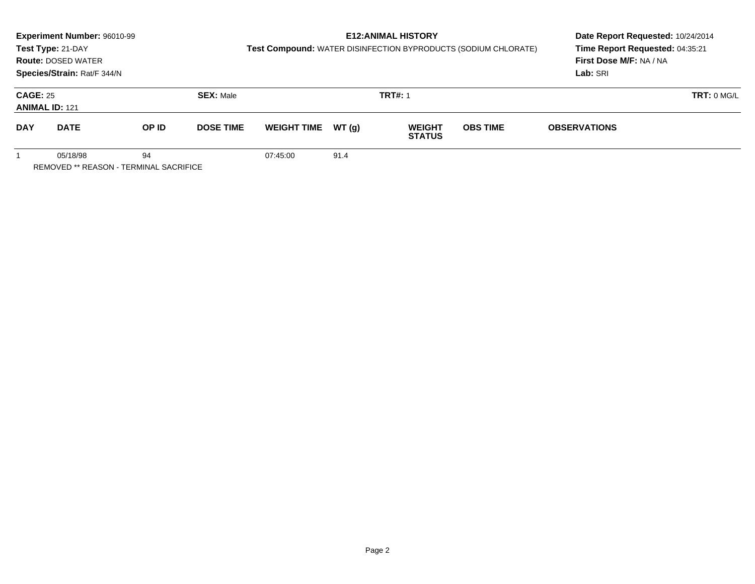|                                          | Experiment Number: 96010-99                        |                  |                  |                                                                | Date Report Requested: 10/24/2014 |                                |                 |                     |  |
|------------------------------------------|----------------------------------------------------|------------------|------------------|----------------------------------------------------------------|-----------------------------------|--------------------------------|-----------------|---------------------|--|
|                                          | Test Type: 21-DAY                                  |                  |                  | Test Compound: WATER DISINFECTION BYPRODUCTS (SODIUM CHLORATE) | Time Report Requested: 04:35:21   |                                |                 |                     |  |
|                                          | <b>Route: DOSED WATER</b>                          |                  |                  |                                                                |                                   | First Dose M/F: NA / NA        |                 |                     |  |
|                                          | Species/Strain: Rat/F 344/N                        |                  |                  |                                                                |                                   |                                |                 | Lab: SRI            |  |
| <b>CAGE: 25</b><br><b>ANIMAL ID: 121</b> |                                                    | <b>SEX: Male</b> |                  |                                                                | <b>TRT#: 1</b>                    |                                | TRT: 0 MGL      |                     |  |
| <b>DAY</b>                               | <b>DATE</b>                                        | OP ID            | <b>DOSE TIME</b> | <b>WEIGHT TIME</b>                                             | WT(g)                             | <b>WEIGHT</b><br><b>STATUS</b> | <b>OBS TIME</b> | <b>OBSERVATIONS</b> |  |
|                                          | 05/18/98<br>REMOVED ** REASON - TERMINAL SACRIFICE | 94               |                  | 07:45:00                                                       | 91.4                              |                                |                 |                     |  |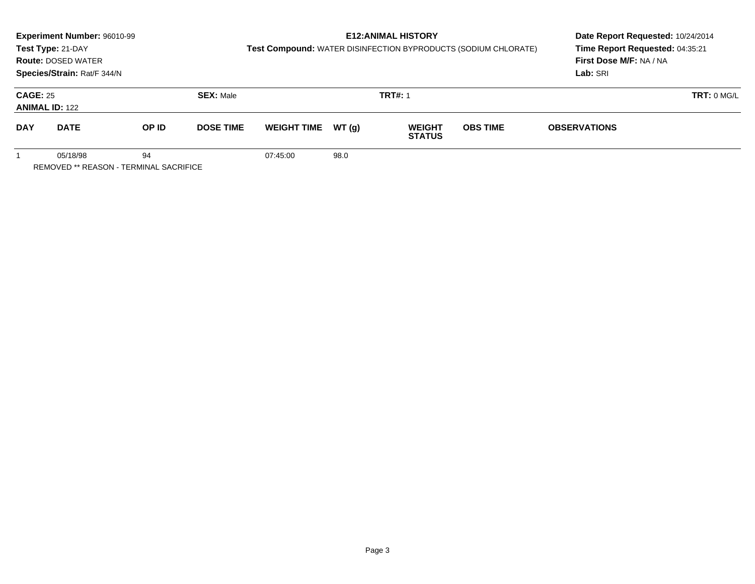|                                          | Experiment Number: 96010-99<br>Test Type: 21-DAY<br><b>Route: DOSED WATER</b><br>Species/Strain: Rat/F 344/N |                  |                  |                    |                | <b>E12: ANIMAL HISTORY</b>     | Test Compound: WATER DISINFECTION BYPRODUCTS (SODIUM CHLORATE) | Date Report Requested: 10/24/2014<br>Time Report Requested: 04:35:21<br>First Dose M/F: NA / NA<br>Lab: SRI |  |
|------------------------------------------|--------------------------------------------------------------------------------------------------------------|------------------|------------------|--------------------|----------------|--------------------------------|----------------------------------------------------------------|-------------------------------------------------------------------------------------------------------------|--|
| <b>CAGE: 25</b><br><b>ANIMAL ID: 122</b> |                                                                                                              | <b>SEX: Male</b> |                  |                    | <b>TRT#: 1</b> |                                | TRT: 0 MGL                                                     |                                                                                                             |  |
| <b>DAY</b>                               | <b>DATE</b>                                                                                                  | OP ID            | <b>DOSE TIME</b> | <b>WEIGHT TIME</b> | WT (q)         | <b>WEIGHT</b><br><b>STATUS</b> | <b>OBS TIME</b>                                                | <b>OBSERVATIONS</b>                                                                                         |  |
|                                          | 05/18/98<br><b>REMOVED ** REASON - TERMINAL SACRIFICE</b>                                                    | 94               |                  | 07:45:00           | 98.0           |                                |                                                                |                                                                                                             |  |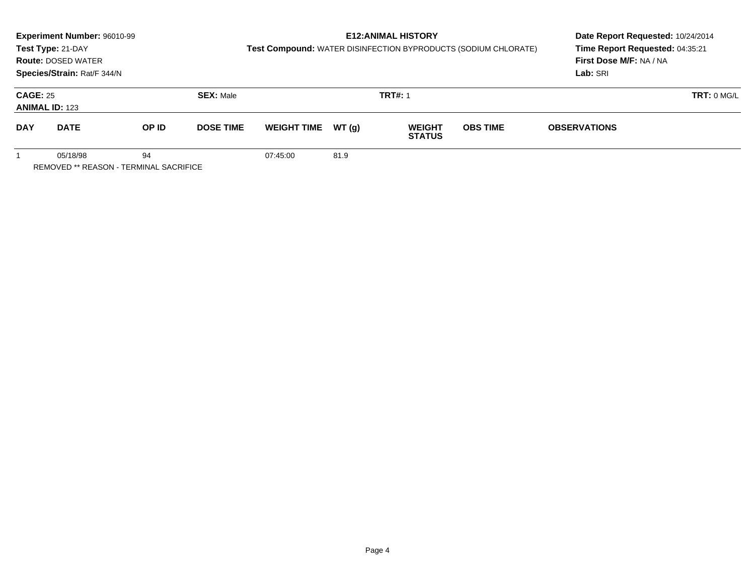|                                          | Experiment Number: 96010-99<br>Test Type: 21-DAY<br><b>Route: DOSED WATER</b><br>Species/Strain: Rat/F 344/N |                  |                  | Test Compound: WATER DISINFECTION BYPRODUCTS (SODIUM CHLORATE) | Date Report Requested: 10/24/2014<br>Time Report Requested: 04:35:21<br>First Dose M/F: NA / NA<br>Lab: SRI |                                |                 |                     |  |
|------------------------------------------|--------------------------------------------------------------------------------------------------------------|------------------|------------------|----------------------------------------------------------------|-------------------------------------------------------------------------------------------------------------|--------------------------------|-----------------|---------------------|--|
| <b>CAGE: 25</b><br><b>ANIMAL ID: 123</b> |                                                                                                              | <b>SEX: Male</b> |                  |                                                                | <b>TRT#: 1</b>                                                                                              |                                | TRT: 0 MGL      |                     |  |
| <b>DAY</b>                               | <b>DATE</b>                                                                                                  | OP ID            | <b>DOSE TIME</b> | <b>WEIGHT TIME</b>                                             | WT (q)                                                                                                      | <b>WEIGHT</b><br><b>STATUS</b> | <b>OBS TIME</b> | <b>OBSERVATIONS</b> |  |
|                                          | 05/18/98<br><b>REMOVED ** REASON - TERMINAL SACRIFICE</b>                                                    | 94               |                  | 07:45:00                                                       | 81.9                                                                                                        |                                |                 |                     |  |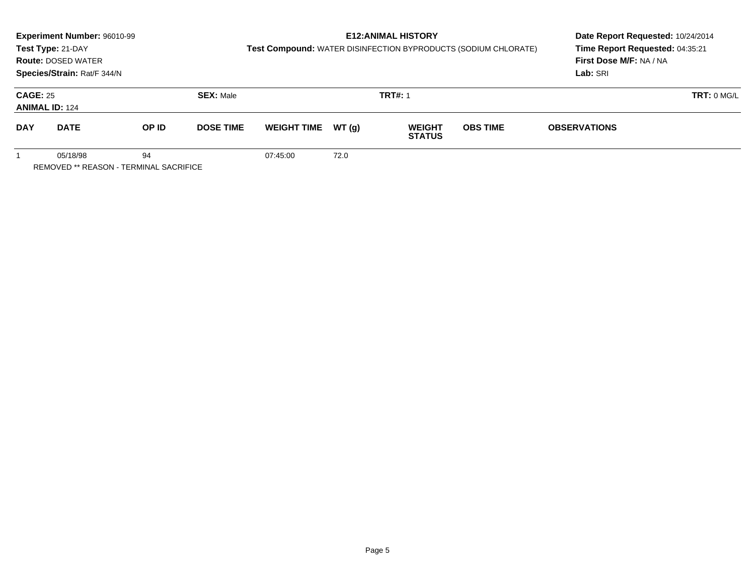|                                          | Experiment Number: 96010-99<br>Test Type: 21-DAY<br><b>Route: DOSED WATER</b><br>Species/Strain: Rat/F 344/N |       |                  |                     |      | <b>E12: ANIMAL HISTORY</b>     | Test Compound: WATER DISINFECTION BYPRODUCTS (SODIUM CHLORATE) | Date Report Requested: 10/24/2014<br>Time Report Requested: 04:35:21<br><b>First Dose M/F: NA / NA</b><br>Lab: SRI |  |
|------------------------------------------|--------------------------------------------------------------------------------------------------------------|-------|------------------|---------------------|------|--------------------------------|----------------------------------------------------------------|--------------------------------------------------------------------------------------------------------------------|--|
| <b>CAGE: 25</b><br><b>ANIMAL ID: 124</b> |                                                                                                              |       | <b>SEX: Male</b> |                     |      | <b>TRT#: 1</b>                 |                                                                | TRT: 0 MG/L                                                                                                        |  |
| <b>DAY</b>                               | <b>DATE</b>                                                                                                  | OP ID | <b>DOSE TIME</b> | WEIGHT TIME $WT(q)$ |      | <b>WEIGHT</b><br><b>STATUS</b> | <b>OBS TIME</b>                                                | <b>OBSERVATIONS</b>                                                                                                |  |
|                                          | 05/18/98<br><b>REMOVED ** REASON - TERMINAL SACRIFICE</b>                                                    | 94    |                  | 07:45:00            | 72.0 |                                |                                                                |                                                                                                                    |  |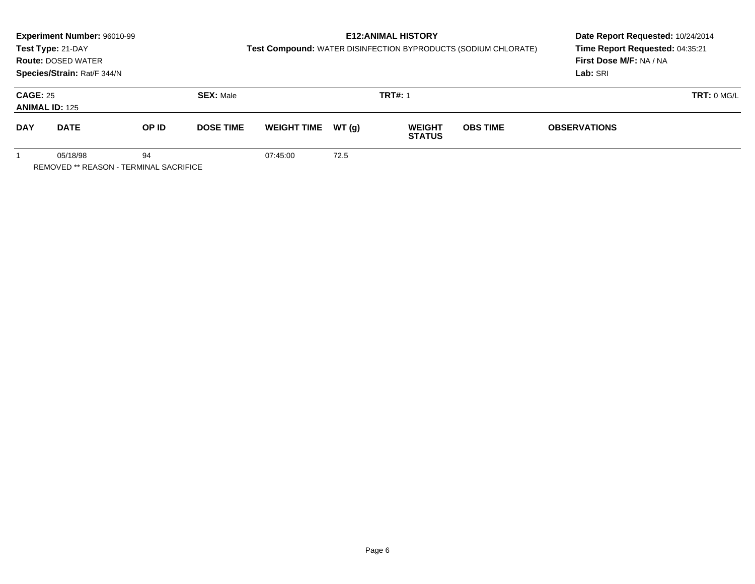|                 | Experiment Number: 96010-99<br>Test Type: 21-DAY<br><b>Route: DOSED WATER</b><br>Species/Strain: Rat/F 344/N |       |                  |                    |       | <b>E12: ANIMAL HISTORY</b>     | Test Compound: WATER DISINFECTION BYPRODUCTS (SODIUM CHLORATE) | Date Report Requested: 10/24/2014<br>Time Report Requested: 04:35:21<br>First Dose M/F: NA / NA<br>Lab: SRI |
|-----------------|--------------------------------------------------------------------------------------------------------------|-------|------------------|--------------------|-------|--------------------------------|----------------------------------------------------------------|-------------------------------------------------------------------------------------------------------------|
| <b>CAGE: 25</b> | <b>ANIMAL ID: 125</b>                                                                                        |       | <b>SEX: Male</b> |                    |       | <b>TRT#: 1</b>                 |                                                                | TRT: 0 MGL                                                                                                  |
| <b>DAY</b>      | <b>DATE</b>                                                                                                  | OP ID | <b>DOSE TIME</b> | <b>WEIGHT TIME</b> | WT(q) | <b>WEIGHT</b><br><b>STATUS</b> | <b>OBS TIME</b>                                                | <b>OBSERVATIONS</b>                                                                                         |
|                 | 05/18/98<br>REMOVED ** REASON - TERMINAL SACRIFICE                                                           | 94    |                  | 07:45:00           | 72.5  |                                |                                                                |                                                                                                             |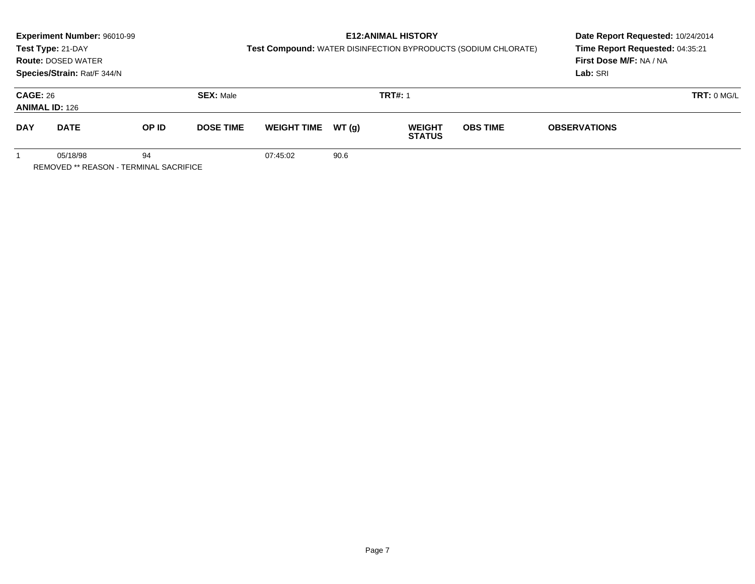|                 | Experiment Number: 96010-99<br>Test Type: 21-DAY<br><b>Route: DOSED WATER</b><br>Species/Strain: Rat/F 344/N |       |                  |                    |       | <b>E12: ANIMAL HISTORY</b>     | Test Compound: WATER DISINFECTION BYPRODUCTS (SODIUM CHLORATE) | Date Report Requested: 10/24/2014<br>Time Report Requested: 04:35:21<br>First Dose M/F: NA / NA<br>Lab: SRI |
|-----------------|--------------------------------------------------------------------------------------------------------------|-------|------------------|--------------------|-------|--------------------------------|----------------------------------------------------------------|-------------------------------------------------------------------------------------------------------------|
| <b>CAGE: 26</b> | <b>ANIMAL ID: 126</b>                                                                                        |       | <b>SEX: Male</b> |                    |       | <b>TRT#: 1</b>                 |                                                                | TRT: 0 MGL                                                                                                  |
| <b>DAY</b>      | <b>DATE</b>                                                                                                  | OP ID | <b>DOSE TIME</b> | <b>WEIGHT TIME</b> | WT(q) | <b>WEIGHT</b><br><b>STATUS</b> | <b>OBS TIME</b>                                                | <b>OBSERVATIONS</b>                                                                                         |
|                 | 05/18/98<br>REMOVED ** REASON - TERMINAL SACRIFICE                                                           | 94    |                  | 07:45:02           | 90.6  |                                |                                                                |                                                                                                             |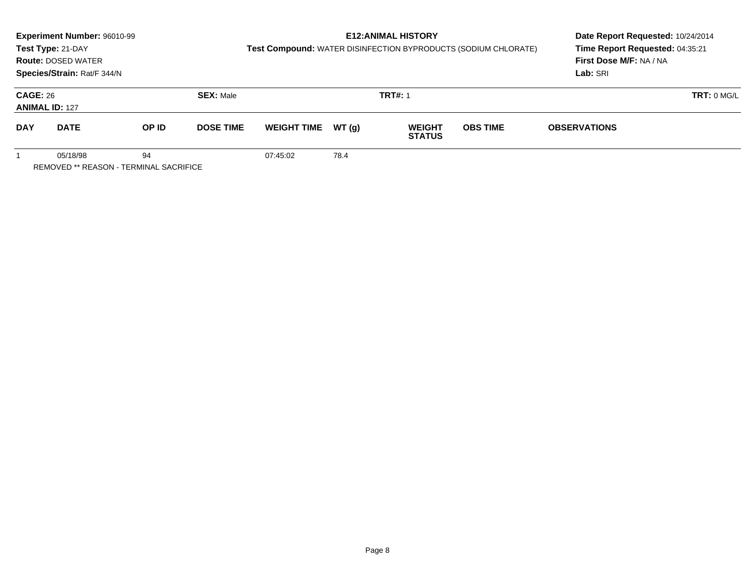|                                          | Experiment Number: 96010-99<br>Test Type: 21-DAY<br><b>Route: DOSED WATER</b><br>Species/Strain: Rat/F 344/N |                  |                  |                    |                | <b>E12: ANIMAL HISTORY</b>     | Test Compound: WATER DISINFECTION BYPRODUCTS (SODIUM CHLORATE) | Date Report Requested: 10/24/2014<br>Time Report Requested: 04:35:21<br>First Dose M/F: NA / NA<br>Lab: SRI |
|------------------------------------------|--------------------------------------------------------------------------------------------------------------|------------------|------------------|--------------------|----------------|--------------------------------|----------------------------------------------------------------|-------------------------------------------------------------------------------------------------------------|
| <b>CAGE: 26</b><br><b>ANIMAL ID: 127</b> |                                                                                                              | <b>SEX: Male</b> |                  |                    | <b>TRT#: 1</b> | TRT: 0 MGL                     |                                                                |                                                                                                             |
| <b>DAY</b>                               | <b>DATE</b>                                                                                                  | OP ID            | <b>DOSE TIME</b> | <b>WEIGHT TIME</b> | WT(g)          | <b>WEIGHT</b><br><b>STATUS</b> | <b>OBS TIME</b>                                                | <b>OBSERVATIONS</b>                                                                                         |
|                                          | 05/18/98<br><b>REMOVED ** REASON - TERMINAL SACRIFICE</b>                                                    | 94               |                  | 07:45:02           | 78.4           |                                |                                                                |                                                                                                             |

Page 8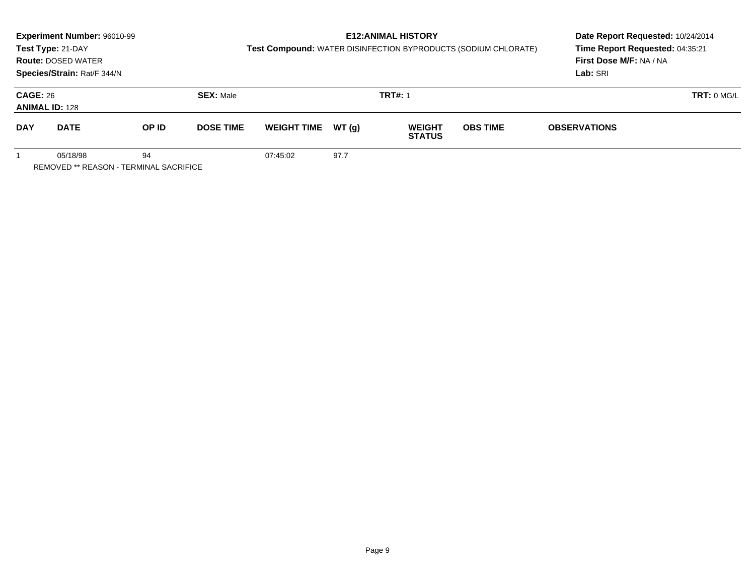|                 | Experiment Number: 96010-99<br>Test Type: 21-DAY<br><b>Route: DOSED WATER</b><br>Species/Strain: Rat/F 344/N |       |                  |                    |       | <b>E12: ANIMAL HISTORY</b>     | Test Compound: WATER DISINFECTION BYPRODUCTS (SODIUM CHLORATE) | Date Report Requested: 10/24/2014<br>Time Report Requested: 04:35:21<br>First Dose M/F: NA / NA<br>Lab: SRI |
|-----------------|--------------------------------------------------------------------------------------------------------------|-------|------------------|--------------------|-------|--------------------------------|----------------------------------------------------------------|-------------------------------------------------------------------------------------------------------------|
| <b>CAGE: 26</b> | <b>ANIMAL ID: 128</b>                                                                                        |       | <b>SEX: Male</b> |                    |       | <b>TRT#: 1</b>                 |                                                                | TRT: 0 MGL                                                                                                  |
| <b>DAY</b>      | <b>DATE</b>                                                                                                  | OP ID | <b>DOSE TIME</b> | <b>WEIGHT TIME</b> | WT(q) | <b>WEIGHT</b><br><b>STATUS</b> | <b>OBS TIME</b>                                                | <b>OBSERVATIONS</b>                                                                                         |
|                 | 05/18/98<br>REMOVED ** REASON - TERMINAL SACRIFICE                                                           | 94    |                  | 07:45:02           | 97.7  |                                |                                                                |                                                                                                             |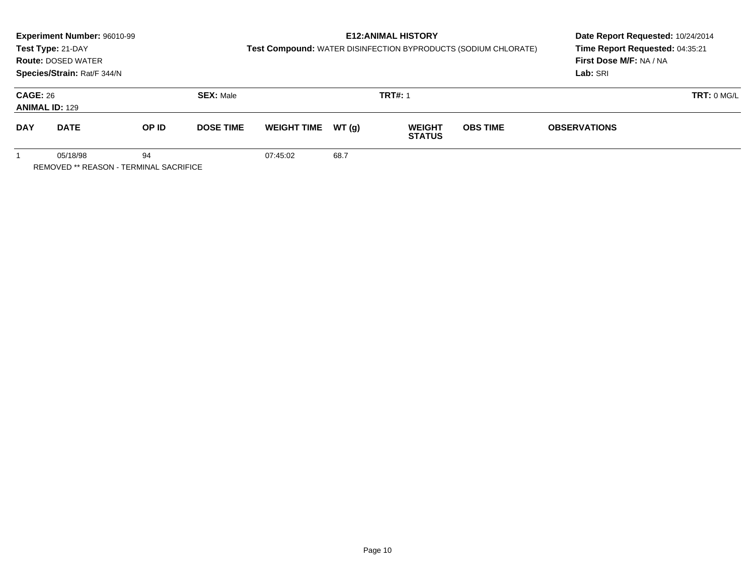|                 | Experiment Number: 96010-99<br>Test Type: 21-DAY<br><b>Route: DOSED WATER</b><br>Species/Strain: Rat/F 344/N |       |                  |                    |       | <b>E12: ANIMAL HISTORY</b>     | Test Compound: WATER DISINFECTION BYPRODUCTS (SODIUM CHLORATE) | Date Report Requested: 10/24/2014<br>Time Report Requested: 04:35:21<br>First Dose M/F: NA / NA<br>Lab: SRI |
|-----------------|--------------------------------------------------------------------------------------------------------------|-------|------------------|--------------------|-------|--------------------------------|----------------------------------------------------------------|-------------------------------------------------------------------------------------------------------------|
| <b>CAGE: 26</b> | <b>ANIMAL ID: 129</b>                                                                                        |       | <b>SEX: Male</b> |                    |       | <b>TRT#: 1</b>                 |                                                                | TRT: 0 MGL                                                                                                  |
| <b>DAY</b>      | <b>DATE</b>                                                                                                  | OP ID | <b>DOSE TIME</b> | <b>WEIGHT TIME</b> | WT(q) | <b>WEIGHT</b><br><b>STATUS</b> | <b>OBS TIME</b>                                                | <b>OBSERVATIONS</b>                                                                                         |
|                 | 05/18/98<br>REMOVED ** REASON - TERMINAL SACRIFICE                                                           | 94    |                  | 07:45:02           | 68.7  |                                |                                                                |                                                                                                             |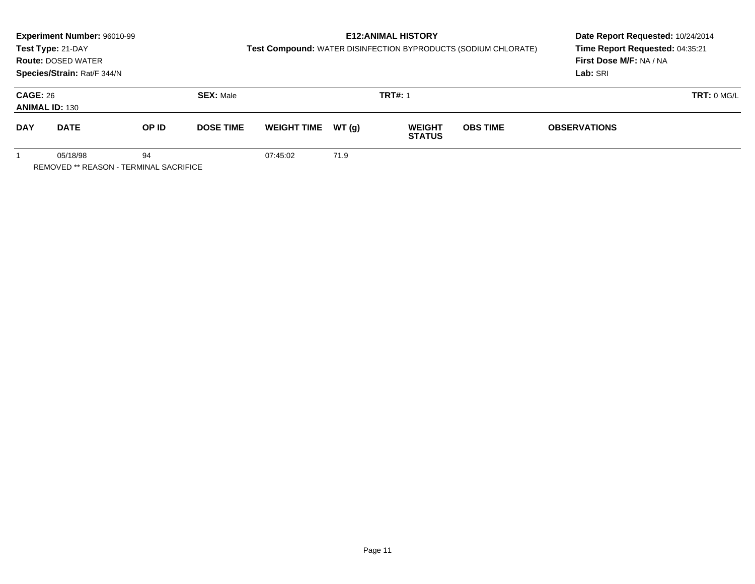|                                          | Experiment Number: 96010-99<br>Test Type: 21-DAY<br><b>Route: DOSED WATER</b> |                  |                  |                    |                | <b>E12: ANIMAL HISTORY</b>     | Test Compound: WATER DISINFECTION BYPRODUCTS (SODIUM CHLORATE) | Date Report Requested: 10/24/2014<br>Time Report Requested: 04:35:21<br>First Dose M/F: NA / NA |  |  |
|------------------------------------------|-------------------------------------------------------------------------------|------------------|------------------|--------------------|----------------|--------------------------------|----------------------------------------------------------------|-------------------------------------------------------------------------------------------------|--|--|
|                                          | Species/Strain: Rat/F 344/N                                                   |                  |                  |                    |                |                                |                                                                | Lab: SRI                                                                                        |  |  |
| <b>CAGE: 26</b><br><b>ANIMAL ID: 130</b> |                                                                               | <b>SEX: Male</b> |                  |                    | <b>TRT#: 1</b> |                                | TRT: 0 MGL                                                     |                                                                                                 |  |  |
| <b>DAY</b>                               | <b>DATE</b>                                                                   | OP ID            | <b>DOSE TIME</b> | <b>WEIGHT TIME</b> | WT (a)         | <b>WEIGHT</b><br><b>STATUS</b> | <b>OBS TIME</b>                                                | <b>OBSERVATIONS</b>                                                                             |  |  |
|                                          | 05/18/98<br>REMOVED ** REASON - TERMINAL SACRIFICE                            | 94               |                  | 07:45:02           | 71.9           |                                |                                                                |                                                                                                 |  |  |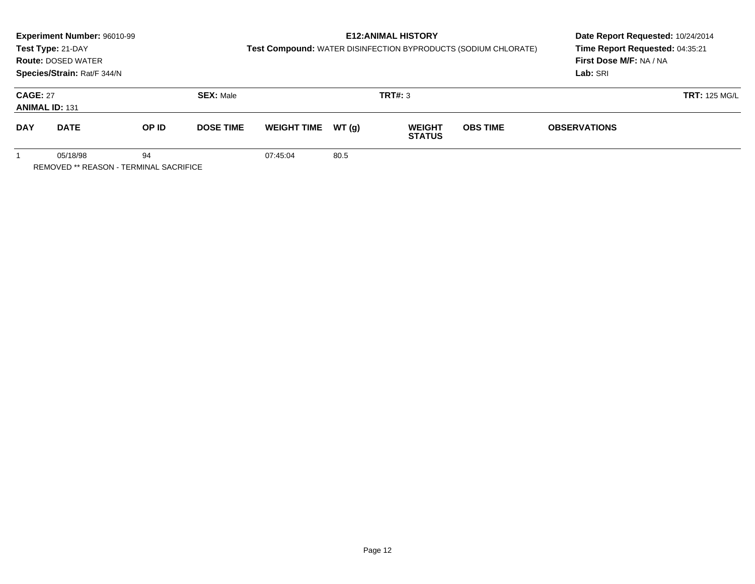|                                                          | Experiment Number: 96010-99<br>Test Type: 21-DAY<br><b>Route: DOSED WATER</b><br>Species/Strain: Rat/F 344/N |       |                  | Test Compound: WATER DISINFECTION BYPRODUCTS (SODIUM CHLORATE) | <b>E12: ANIMAL HISTORY</b> | Date Report Requested: 10/24/2014<br>Time Report Requested: 04:35:21<br>First Dose M/F: NA / NA<br>Lab: SRI |                 |                      |  |
|----------------------------------------------------------|--------------------------------------------------------------------------------------------------------------|-------|------------------|----------------------------------------------------------------|----------------------------|-------------------------------------------------------------------------------------------------------------|-----------------|----------------------|--|
| <b>CAGE: 27</b>                                          | <b>ANIMAL ID: 131</b>                                                                                        |       | <b>SEX: Male</b> |                                                                |                            | <b>TRT#: 3</b>                                                                                              |                 | <b>TRT: 125 MG/L</b> |  |
| <b>DAY</b>                                               | <b>DATE</b>                                                                                                  | OP ID | <b>DOSE TIME</b> | <b>WEIGHT TIME</b>                                             | WT (a)                     | <b>WEIGHT</b><br><b>STATUS</b>                                                                              | <b>OBS TIME</b> | <b>OBSERVATIONS</b>  |  |
| 05/18/98<br>94<br>REMOVED ** REASON - TERMINAL SACRIFICE |                                                                                                              |       |                  | 07:45:04                                                       | 80.5                       |                                                                                                             |                 |                      |  |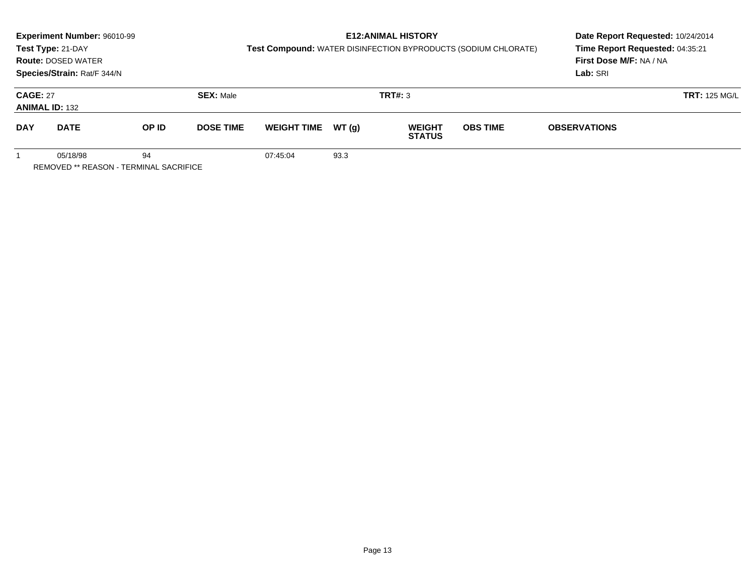|                                                                 | Experiment Number: 96010-99<br>Test Type: 21-DAY<br><b>Route: DOSED WATER</b><br>Species/Strain: Rat/F 344/N |       |                  | Test Compound: WATER DISINFECTION BYPRODUCTS (SODIUM CHLORATE) | <b>E12: ANIMAL HISTORY</b> | Date Report Requested: 10/24/2014<br>Time Report Requested: 04:35:21<br>First Dose M/F: NA / NA<br>Lab: SRI |                 |                      |  |
|-----------------------------------------------------------------|--------------------------------------------------------------------------------------------------------------|-------|------------------|----------------------------------------------------------------|----------------------------|-------------------------------------------------------------------------------------------------------------|-----------------|----------------------|--|
| <b>CAGE: 27</b>                                                 | <b>ANIMAL ID: 132</b>                                                                                        |       | <b>SEX: Male</b> |                                                                |                            | <b>TRT#: 3</b>                                                                                              |                 | <b>TRT: 125 MG/L</b> |  |
| <b>DAY</b>                                                      | <b>DATE</b>                                                                                                  | OP ID | <b>DOSE TIME</b> | <b>WEIGHT TIME</b>                                             | WT (q)                     | <b>WEIGHT</b><br><b>STATUS</b>                                                                              | <b>OBS TIME</b> | <b>OBSERVATIONS</b>  |  |
| 05/18/98<br>94<br><b>REMOVED ** REASON - TERMINAL SACRIFICE</b> |                                                                                                              |       |                  | 07:45:04                                                       | 93.3                       |                                                                                                             |                 |                      |  |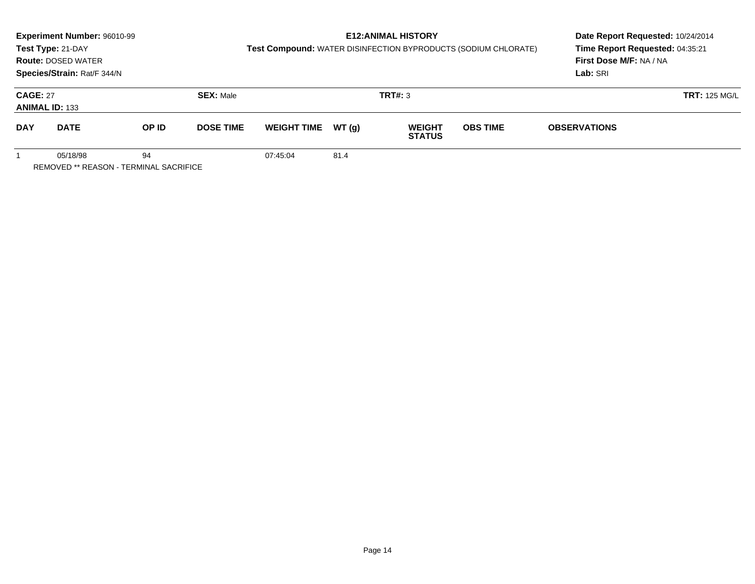|                                                          | Experiment Number: 96010-99<br>Test Type: 21-DAY<br><b>Route: DOSED WATER</b><br>Species/Strain: Rat/F 344/N |       |                  | Test Compound: WATER DISINFECTION BYPRODUCTS (SODIUM CHLORATE) | <b>E12: ANIMAL HISTORY</b> | Date Report Requested: 10/24/2014<br>Time Report Requested: 04:35:21<br>First Dose M/F: NA / NA<br>Lab: SRI |                 |                      |  |
|----------------------------------------------------------|--------------------------------------------------------------------------------------------------------------|-------|------------------|----------------------------------------------------------------|----------------------------|-------------------------------------------------------------------------------------------------------------|-----------------|----------------------|--|
| <b>CAGE: 27</b>                                          | <b>ANIMAL ID: 133</b>                                                                                        |       | <b>SEX: Male</b> |                                                                |                            | <b>TRT#: 3</b>                                                                                              |                 | <b>TRT: 125 MG/L</b> |  |
| <b>DAY</b>                                               | <b>DATE</b>                                                                                                  | OP ID | <b>DOSE TIME</b> | <b>WEIGHT TIME</b>                                             | WT (a)                     | <b>WEIGHT</b><br><b>STATUS</b>                                                                              | <b>OBS TIME</b> | <b>OBSERVATIONS</b>  |  |
| 05/18/98<br>94<br>REMOVED ** REASON - TERMINAL SACRIFICE |                                                                                                              |       |                  | 07:45:04                                                       | 81.4                       |                                                                                                             |                 |                      |  |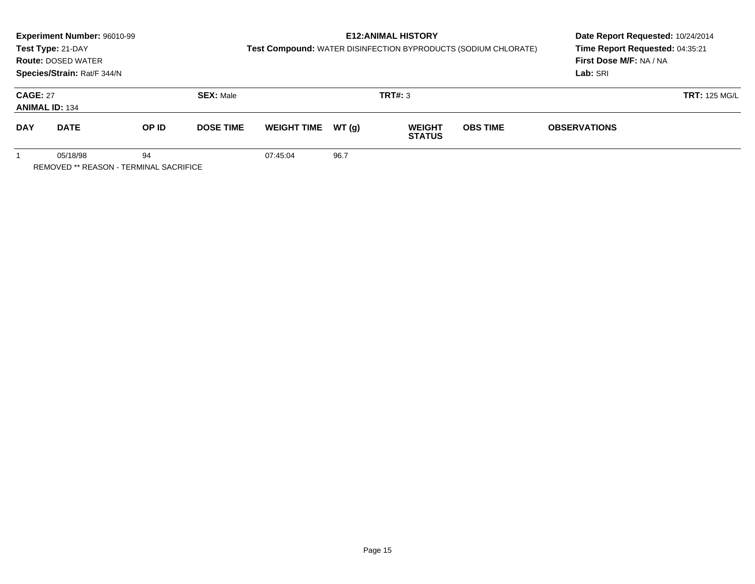|                                                          | Experiment Number: 96010-99<br>Test Type: 21-DAY<br><b>Route: DOSED WATER</b><br>Species/Strain: Rat/F 344/N |       |                  | Test Compound: WATER DISINFECTION BYPRODUCTS (SODIUM CHLORATE) | <b>E12: ANIMAL HISTORY</b> | Date Report Requested: 10/24/2014<br>Time Report Requested: 04:35:21<br>First Dose M/F: NA / NA<br>Lab: SRI |                 |                      |  |
|----------------------------------------------------------|--------------------------------------------------------------------------------------------------------------|-------|------------------|----------------------------------------------------------------|----------------------------|-------------------------------------------------------------------------------------------------------------|-----------------|----------------------|--|
| <b>CAGE: 27</b>                                          | <b>ANIMAL ID: 134</b>                                                                                        |       | <b>SEX: Male</b> |                                                                |                            | <b>TRT#: 3</b>                                                                                              |                 | <b>TRT: 125 MG/L</b> |  |
| <b>DAY</b>                                               | <b>DATE</b>                                                                                                  | OP ID | <b>DOSE TIME</b> | <b>WEIGHT TIME</b>                                             | WT (a)                     | <b>WEIGHT</b><br><b>STATUS</b>                                                                              | <b>OBS TIME</b> | <b>OBSERVATIONS</b>  |  |
| 05/18/98<br>94<br>REMOVED ** REASON - TERMINAL SACRIFICE |                                                                                                              |       |                  | 07:45:04                                                       | 96.7                       |                                                                                                             |                 |                      |  |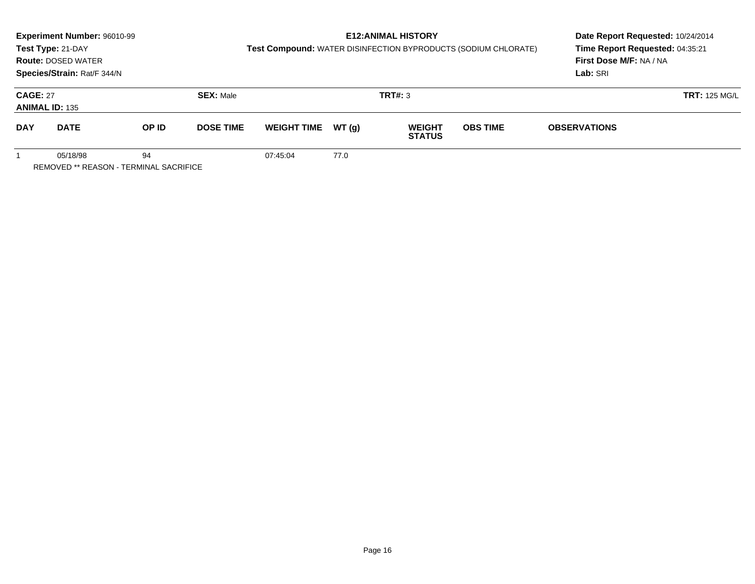|                                                          | Experiment Number: 96010-99<br>Test Type: 21-DAY<br><b>Route: DOSED WATER</b><br>Species/Strain: Rat/F 344/N |       |                  | Test Compound: WATER DISINFECTION BYPRODUCTS (SODIUM CHLORATE) | <b>E12: ANIMAL HISTORY</b> | Date Report Requested: 10/24/2014<br>Time Report Requested: 04:35:21<br>First Dose M/F: NA / NA<br>Lab: SRI |                 |                      |  |
|----------------------------------------------------------|--------------------------------------------------------------------------------------------------------------|-------|------------------|----------------------------------------------------------------|----------------------------|-------------------------------------------------------------------------------------------------------------|-----------------|----------------------|--|
| <b>CAGE: 27</b>                                          | <b>ANIMAL ID: 135</b>                                                                                        |       | <b>SEX: Male</b> |                                                                |                            | <b>TRT#: 3</b>                                                                                              |                 | <b>TRT: 125 MG/L</b> |  |
| <b>DAY</b>                                               | <b>DATE</b>                                                                                                  | OP ID | <b>DOSE TIME</b> | <b>WEIGHT TIME</b>                                             | WT (a)                     | <b>WEIGHT</b><br><b>STATUS</b>                                                                              | <b>OBS TIME</b> | <b>OBSERVATIONS</b>  |  |
| 05/18/98<br>94<br>REMOVED ** REASON - TERMINAL SACRIFICE |                                                                                                              |       |                  | 07:45:04                                                       | 77.0                       |                                                                                                             |                 |                      |  |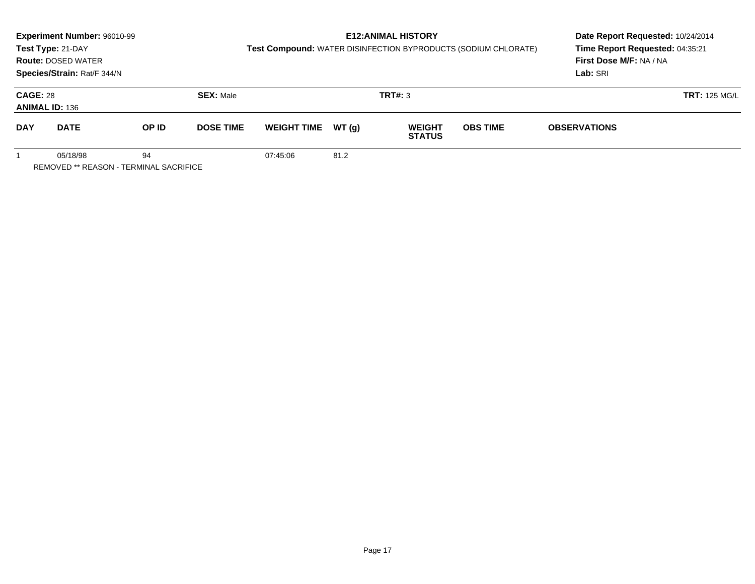|                                                          | Experiment Number: 96010-99<br>Test Type: 21-DAY<br><b>Route: DOSED WATER</b><br>Species/Strain: Rat/F 344/N |       |                  | Test Compound: WATER DISINFECTION BYPRODUCTS (SODIUM CHLORATE) | <b>E12: ANIMAL HISTORY</b> | Date Report Requested: 10/24/2014<br>Time Report Requested: 04:35:21<br>First Dose M/F: NA / NA<br>Lab: SRI |                 |                      |  |
|----------------------------------------------------------|--------------------------------------------------------------------------------------------------------------|-------|------------------|----------------------------------------------------------------|----------------------------|-------------------------------------------------------------------------------------------------------------|-----------------|----------------------|--|
| <b>CAGE: 28</b>                                          | <b>ANIMAL ID: 136</b>                                                                                        |       | <b>SEX: Male</b> |                                                                |                            | <b>TRT#: 3</b>                                                                                              |                 | <b>TRT: 125 MG/L</b> |  |
| <b>DAY</b>                                               | <b>DATE</b>                                                                                                  | OP ID | <b>DOSE TIME</b> | <b>WEIGHT TIME</b>                                             | WT (a)                     | <b>WEIGHT</b><br><b>STATUS</b>                                                                              | <b>OBS TIME</b> | <b>OBSERVATIONS</b>  |  |
| 05/18/98<br>94<br>REMOVED ** REASON - TERMINAL SACRIFICE |                                                                                                              |       |                  | 07:45:06                                                       | 81.2                       |                                                                                                             |                 |                      |  |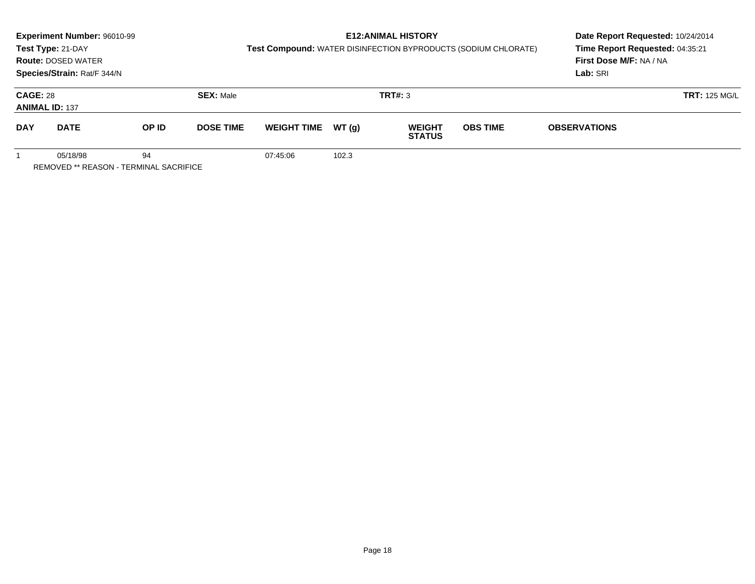|                                               | Experiment Number: 96010-99 |       |                  |                    |       | Date Report Requested: 10/24/2014 |                                                                |                                 |  |  |
|-----------------------------------------------|-----------------------------|-------|------------------|--------------------|-------|-----------------------------------|----------------------------------------------------------------|---------------------------------|--|--|
|                                               | Test Type: 21-DAY           |       |                  |                    |       |                                   | Test Compound: WATER DISINFECTION BYPRODUCTS (SODIUM CHLORATE) | Time Report Requested: 04:35:21 |  |  |
|                                               | <b>Route: DOSED WATER</b>   |       |                  |                    |       |                                   |                                                                | First Dose M/F: NA / NA         |  |  |
|                                               | Species/Strain: Rat/F 344/N |       |                  |                    |       |                                   |                                                                | Lab: SRI                        |  |  |
| <b>CAGE: 28</b>                               |                             |       | <b>SEX: Male</b> |                    |       | TRT#: 3                           |                                                                | <b>TRT: 125 MG/L</b>            |  |  |
|                                               | <b>ANIMAL ID: 137</b>       |       |                  |                    |       |                                   |                                                                |                                 |  |  |
| <b>DAY</b>                                    | <b>DATE</b>                 | OP ID | <b>DOSE TIME</b> | <b>WEIGHT TIME</b> | WT(g) | <b>WEIGHT</b><br><b>STATUS</b>    | <b>OBS TIME</b>                                                | <b>OBSERVATIONS</b>             |  |  |
| 05/18/98<br>94                                |                             |       |                  | 07:45:06           | 102.3 |                                   |                                                                |                                 |  |  |
| <b>REMOVED ** REASON - TERMINAL SACRIFICE</b> |                             |       |                  |                    |       |                                   |                                                                |                                 |  |  |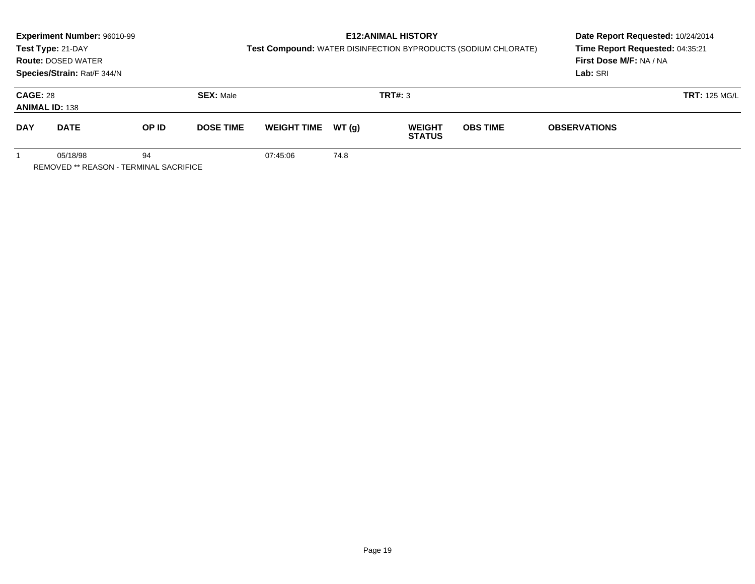|                                                          | Experiment Number: 96010-99<br>Test Type: 21-DAY<br><b>Route: DOSED WATER</b><br>Species/Strain: Rat/F 344/N |       |                  | Test Compound: WATER DISINFECTION BYPRODUCTS (SODIUM CHLORATE) | <b>E12: ANIMAL HISTORY</b> | Date Report Requested: 10/24/2014<br>Time Report Requested: 04:35:21<br>First Dose M/F: NA / NA<br>Lab: SRI |                 |                     |                      |
|----------------------------------------------------------|--------------------------------------------------------------------------------------------------------------|-------|------------------|----------------------------------------------------------------|----------------------------|-------------------------------------------------------------------------------------------------------------|-----------------|---------------------|----------------------|
| <b>CAGE: 28</b>                                          | <b>ANIMAL ID: 138</b>                                                                                        |       | <b>SEX: Male</b> |                                                                |                            | <b>TRT#: 3</b>                                                                                              |                 |                     | <b>TRT: 125 MG/L</b> |
| <b>DAY</b>                                               | <b>DATE</b>                                                                                                  | OP ID | <b>DOSE TIME</b> | <b>WEIGHT TIME</b>                                             | WT (a)                     | <b>WEIGHT</b><br><b>STATUS</b>                                                                              | <b>OBS TIME</b> | <b>OBSERVATIONS</b> |                      |
| 05/18/98<br>94<br>REMOVED ** REASON - TERMINAL SACRIFICE |                                                                                                              |       |                  | 07:45:06                                                       | 74.8                       |                                                                                                             |                 |                     |                      |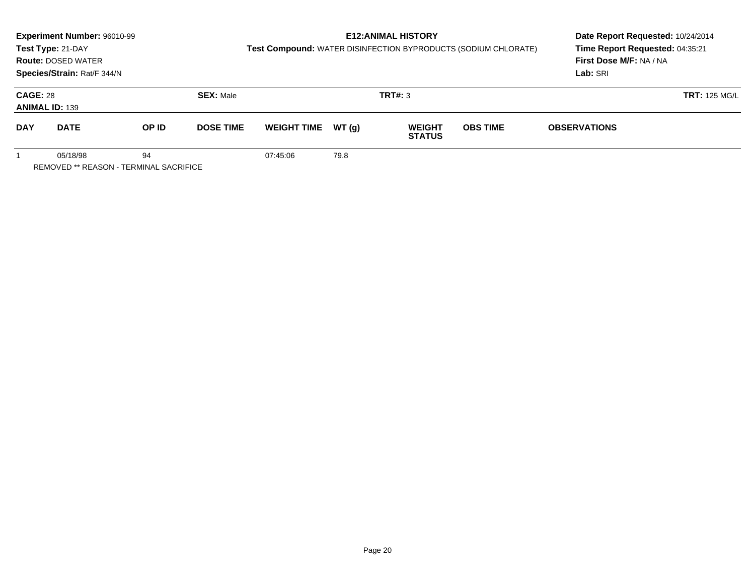|                                                          | Experiment Number: 96010-99<br>Test Type: 21-DAY<br><b>Route: DOSED WATER</b><br>Species/Strain: Rat/F 344/N |       |                  |                    |        | <b>E12: ANIMAL HISTORY</b><br>Test Compound: WATER DISINFECTION BYPRODUCTS (SODIUM CHLORATE) | Date Report Requested: 10/24/2014<br>Time Report Requested: 04:35:21<br>First Dose M/F: NA / NA<br>Lab: SRI |                     |                      |
|----------------------------------------------------------|--------------------------------------------------------------------------------------------------------------|-------|------------------|--------------------|--------|----------------------------------------------------------------------------------------------|-------------------------------------------------------------------------------------------------------------|---------------------|----------------------|
| <b>CAGE: 28</b>                                          | <b>ANIMAL ID: 139</b>                                                                                        |       | <b>SEX: Male</b> |                    |        | <b>TRT#: 3</b>                                                                               |                                                                                                             |                     | <b>TRT: 125 MG/L</b> |
| <b>DAY</b>                                               | <b>DATE</b>                                                                                                  | OP ID | <b>DOSE TIME</b> | <b>WEIGHT TIME</b> | WT (a) | <b>WEIGHT</b><br><b>STATUS</b>                                                               | <b>OBS TIME</b>                                                                                             | <b>OBSERVATIONS</b> |                      |
| 05/18/98<br>94<br>REMOVED ** REASON - TERMINAL SACRIFICE |                                                                                                              |       |                  | 07:45:06           | 79.8   |                                                                                              |                                                                                                             |                     |                      |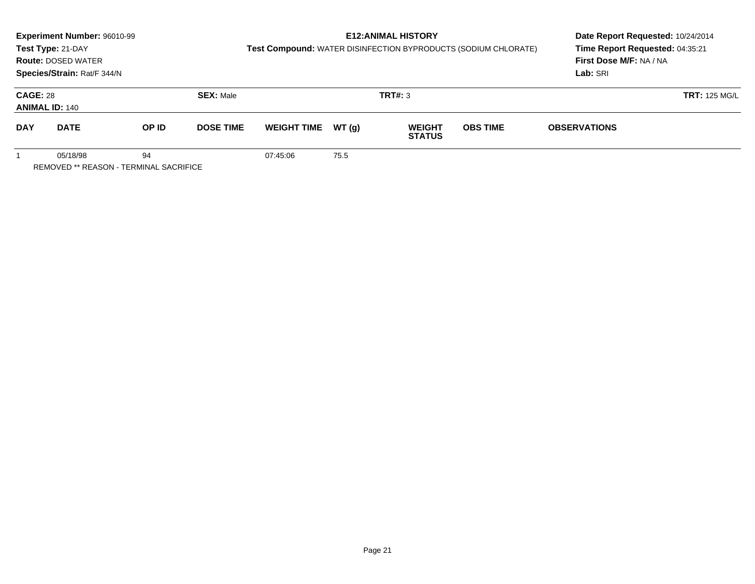|                                                          | Experiment Number: 96010-99<br>Test Type: 21-DAY<br><b>Route: DOSED WATER</b><br>Species/Strain: Rat/F 344/N |       |                  | Test Compound: WATER DISINFECTION BYPRODUCTS (SODIUM CHLORATE) | <b>E12: ANIMAL HISTORY</b> | Date Report Requested: 10/24/2014<br>Time Report Requested: 04:35:21<br>First Dose M/F: NA / NA<br>Lab: SRI |                 |                     |                      |
|----------------------------------------------------------|--------------------------------------------------------------------------------------------------------------|-------|------------------|----------------------------------------------------------------|----------------------------|-------------------------------------------------------------------------------------------------------------|-----------------|---------------------|----------------------|
| <b>CAGE: 28</b>                                          | <b>ANIMAL ID: 140</b>                                                                                        |       | <b>SEX: Male</b> |                                                                |                            | TRT#: 3                                                                                                     |                 |                     | <b>TRT: 125 MG/L</b> |
| <b>DAY</b>                                               | <b>DATE</b>                                                                                                  | OP ID | <b>DOSE TIME</b> | <b>WEIGHT TIME</b>                                             | WT(g)                      | <b>WEIGHT</b><br><b>STATUS</b>                                                                              | <b>OBS TIME</b> | <b>OBSERVATIONS</b> |                      |
| 94<br>05/18/98<br>REMOVED ** REASON - TERMINAL SACRIFICE |                                                                                                              |       |                  | 07:45:06                                                       | 75.5                       |                                                                                                             |                 |                     |                      |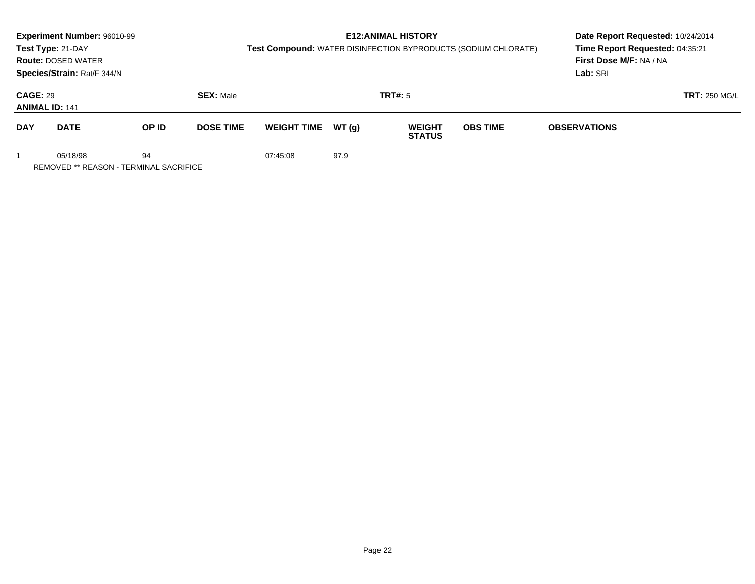|                                                          | Experiment Number: 96010-99<br>Test Type: 21-DAY<br><b>Route: DOSED WATER</b><br>Species/Strain: Rat/F 344/N |       |                  | Test Compound: WATER DISINFECTION BYPRODUCTS (SODIUM CHLORATE) | <b>E12: ANIMAL HISTORY</b> | Date Report Requested: 10/24/2014<br>Time Report Requested: 04:35:21<br>First Dose M/F: NA / NA<br>Lab: SRI |                 |                     |                      |
|----------------------------------------------------------|--------------------------------------------------------------------------------------------------------------|-------|------------------|----------------------------------------------------------------|----------------------------|-------------------------------------------------------------------------------------------------------------|-----------------|---------------------|----------------------|
| <b>CAGE: 29</b>                                          | <b>ANIMAL ID: 141</b>                                                                                        |       | <b>SEX: Male</b> |                                                                |                            | <b>TRT#: 5</b>                                                                                              |                 |                     | <b>TRT: 250 MG/L</b> |
| <b>DAY</b>                                               | <b>DATE</b>                                                                                                  | OP ID | <b>DOSE TIME</b> | <b>WEIGHT TIME</b>                                             | WT(g)                      | <b>WEIGHT</b><br><b>STATUS</b>                                                                              | <b>OBS TIME</b> | <b>OBSERVATIONS</b> |                      |
| 94<br>05/18/98<br>REMOVED ** REASON - TERMINAL SACRIFICE |                                                                                                              |       |                  | 07:45:08                                                       | 97.9                       |                                                                                                             |                 |                     |                      |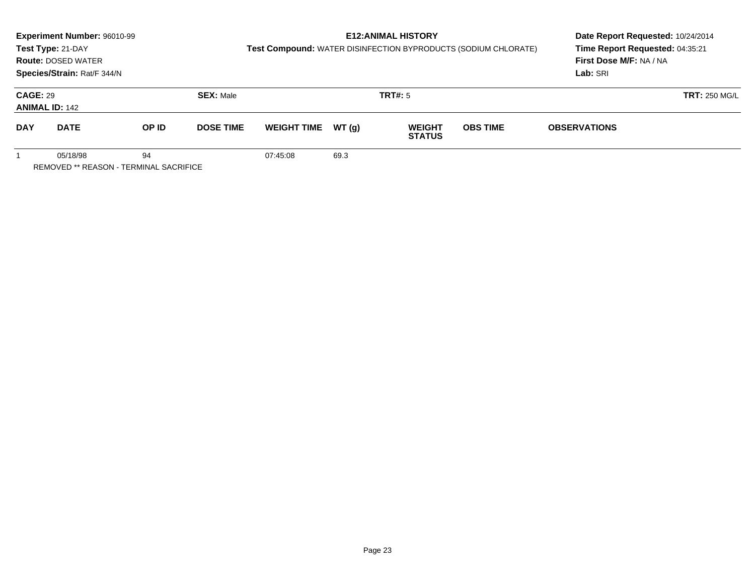|                                                          | Experiment Number: 96010-99<br>Test Type: 21-DAY<br><b>Route: DOSED WATER</b><br>Species/Strain: Rat/F 344/N |       |                  | Test Compound: WATER DISINFECTION BYPRODUCTS (SODIUM CHLORATE) |        | <b>E12: ANIMAL HISTORY</b>     | Date Report Requested: 10/24/2014<br>Time Report Requested: 04:35:21<br>First Dose M/F: NA / NA<br>Lab: SRI |                      |  |
|----------------------------------------------------------|--------------------------------------------------------------------------------------------------------------|-------|------------------|----------------------------------------------------------------|--------|--------------------------------|-------------------------------------------------------------------------------------------------------------|----------------------|--|
| <b>CAGE: 29</b>                                          | <b>ANIMAL ID: 142</b>                                                                                        |       | <b>SEX: Male</b> |                                                                |        | <b>TRT#: 5</b>                 |                                                                                                             | <b>TRT: 250 MG/L</b> |  |
| <b>DAY</b>                                               | <b>DATE</b>                                                                                                  | OP ID | <b>DOSE TIME</b> | <b>WEIGHT TIME</b>                                             | WT (a) | <b>WEIGHT</b><br><b>STATUS</b> | <b>OBS TIME</b>                                                                                             | <b>OBSERVATIONS</b>  |  |
| 05/18/98<br>94<br>REMOVED ** REASON - TERMINAL SACRIFICE |                                                                                                              |       |                  | 07:45:08                                                       | 69.3   |                                |                                                                                                             |                      |  |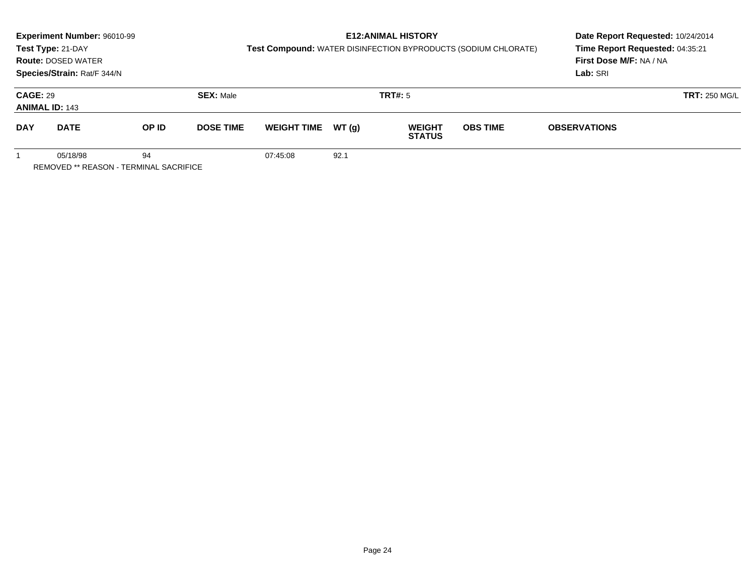|                                                          | <b>Experiment Number: 96010-99</b><br>Test Type: 21-DAY<br><b>Route: DOSED WATER</b><br>Species/Strain: Rat/F 344/N |       |                  | Test Compound: WATER DISINFECTION BYPRODUCTS (SODIUM CHLORATE) | <b>E12: ANIMAL HISTORY</b> | Date Report Requested: 10/24/2014<br>Time Report Requested: 04:35:21<br>First Dose M/F: NA / NA<br>Lab: SRI |                 |                     |                      |
|----------------------------------------------------------|---------------------------------------------------------------------------------------------------------------------|-------|------------------|----------------------------------------------------------------|----------------------------|-------------------------------------------------------------------------------------------------------------|-----------------|---------------------|----------------------|
| <b>CAGE: 29</b><br><b>ANIMAL ID: 143</b>                 |                                                                                                                     |       | <b>SEX: Male</b> |                                                                |                            | TRT#: 5                                                                                                     |                 |                     | <b>TRT: 250 MG/L</b> |
| <b>DAY</b>                                               | <b>DATE</b>                                                                                                         | OP ID | <b>DOSE TIME</b> | <b>WEIGHT TIME</b>                                             | WT (a)                     | <b>WEIGHT</b><br><b>STATUS</b>                                                                              | <b>OBS TIME</b> | <b>OBSERVATIONS</b> |                      |
| 94<br>05/18/98<br>REMOVED ** REASON - TERMINAL SACRIFICE |                                                                                                                     |       |                  | 07:45:08                                                       | 92.1                       |                                                                                                             |                 |                     |                      |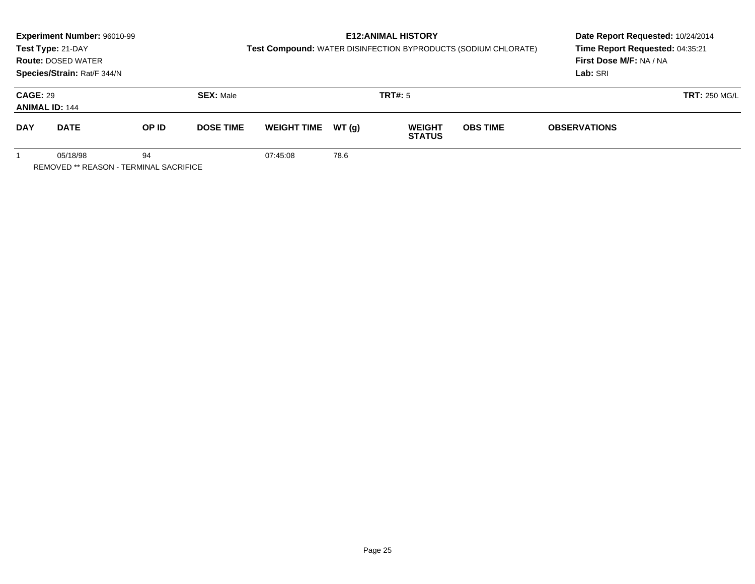|                                          | Experiment Number: 96010-99<br>Test Type: 21-DAY<br><b>Route: DOSED WATER</b><br>Species/Strain: Rat/F 344/N |       |                  | Test Compound: WATER DISINFECTION BYPRODUCTS (SODIUM CHLORATE) | <b>E12: ANIMAL HISTORY</b> | Date Report Requested: 10/24/2014<br>Time Report Requested: 04:35:21<br>First Dose M/F: NA / NA<br>Lab: SRI |                 |                      |  |
|------------------------------------------|--------------------------------------------------------------------------------------------------------------|-------|------------------|----------------------------------------------------------------|----------------------------|-------------------------------------------------------------------------------------------------------------|-----------------|----------------------|--|
| <b>CAGE: 29</b><br><b>ANIMAL ID: 144</b> |                                                                                                              |       | <b>SEX: Male</b> |                                                                |                            | <b>TRT#: 5</b>                                                                                              |                 | <b>TRT: 250 MG/L</b> |  |
| <b>DAY</b>                               | <b>DATE</b>                                                                                                  | OP ID | <b>DOSE TIME</b> | <b>WEIGHT TIME</b>                                             | WT (a)                     | <b>WEIGHT</b><br><b>STATUS</b>                                                                              | <b>OBS TIME</b> | <b>OBSERVATIONS</b>  |  |
|                                          | 05/18/98<br>REMOVED ** REASON - TERMINAL SACRIFICE                                                           | 94    |                  | 07:45:08                                                       | 78.6                       |                                                                                                             |                 |                      |  |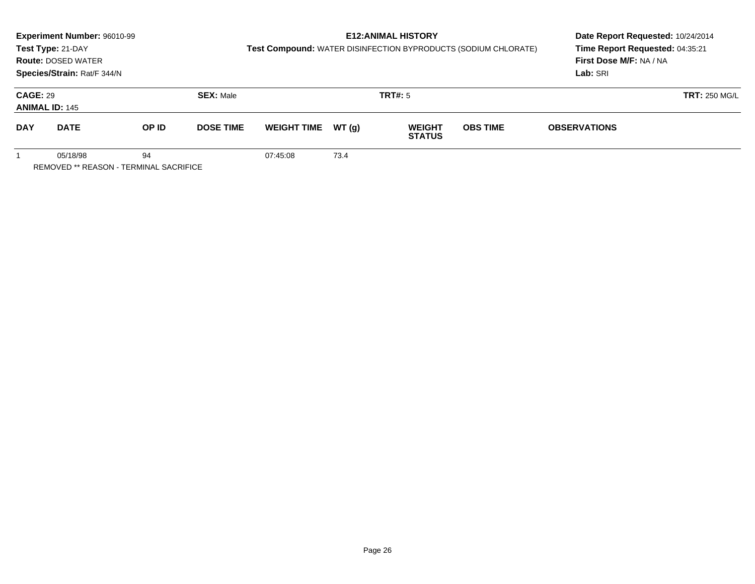|                                                          | Experiment Number: 96010-99<br>Test Type: 21-DAY<br><b>Route: DOSED WATER</b><br>Species/Strain: Rat/F 344/N |       |                  | Test Compound: WATER DISINFECTION BYPRODUCTS (SODIUM CHLORATE) | <b>E12: ANIMAL HISTORY</b> | Date Report Requested: 10/24/2014<br>Time Report Requested: 04:35:21<br>First Dose M/F: NA / NA<br>Lab: SRI |                 |                      |  |
|----------------------------------------------------------|--------------------------------------------------------------------------------------------------------------|-------|------------------|----------------------------------------------------------------|----------------------------|-------------------------------------------------------------------------------------------------------------|-----------------|----------------------|--|
| <b>CAGE: 29</b><br><b>ANIMAL ID: 145</b>                 |                                                                                                              |       | <b>SEX: Male</b> |                                                                |                            | <b>TRT#: 5</b>                                                                                              |                 | <b>TRT: 250 MG/L</b> |  |
| <b>DAY</b>                                               | <b>DATE</b>                                                                                                  | OP ID | <b>DOSE TIME</b> | <b>WEIGHT TIME</b>                                             | WT (a)                     | <b>WEIGHT</b><br><b>STATUS</b>                                                                              | <b>OBS TIME</b> | <b>OBSERVATIONS</b>  |  |
| 05/18/98<br>94<br>REMOVED ** REASON - TERMINAL SACRIFICE |                                                                                                              |       |                  | 07:45:08                                                       | 73.4                       |                                                                                                             |                 |                      |  |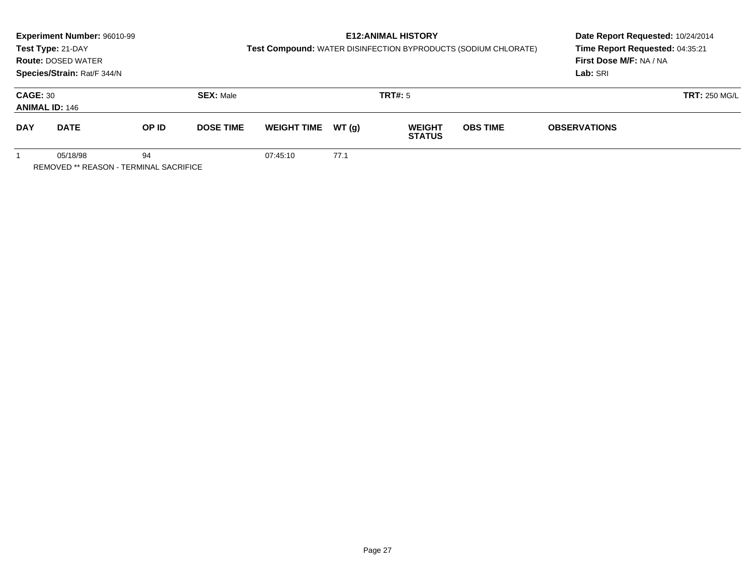|                                                          | Experiment Number: 96010-99<br>Test Type: 21-DAY<br><b>Route: DOSED WATER</b><br>Species/Strain: Rat/F 344/N |       |                  | Test Compound: WATER DISINFECTION BYPRODUCTS (SODIUM CHLORATE) | Date Report Requested: 10/24/2014<br>Time Report Requested: 04:35:21<br>First Dose M/F: NA / NA<br>Lab: SRI |                                |                 |                     |                      |
|----------------------------------------------------------|--------------------------------------------------------------------------------------------------------------|-------|------------------|----------------------------------------------------------------|-------------------------------------------------------------------------------------------------------------|--------------------------------|-----------------|---------------------|----------------------|
| <b>CAGE: 30</b><br><b>ANIMAL ID: 146</b>                 |                                                                                                              |       | <b>SEX: Male</b> |                                                                |                                                                                                             | <b>TRT#: 5</b>                 |                 |                     | <b>TRT: 250 MG/L</b> |
| <b>DAY</b>                                               | <b>DATE</b>                                                                                                  | OP ID | <b>DOSE TIME</b> | <b>WEIGHT TIME</b>                                             | WT(g)                                                                                                       | <b>WEIGHT</b><br><b>STATUS</b> | <b>OBS TIME</b> | <b>OBSERVATIONS</b> |                      |
| 94<br>05/18/98<br>REMOVED ** REASON - TERMINAL SACRIFICE |                                                                                                              |       |                  | 07:45:10                                                       | 77.1                                                                                                        |                                |                 |                     |                      |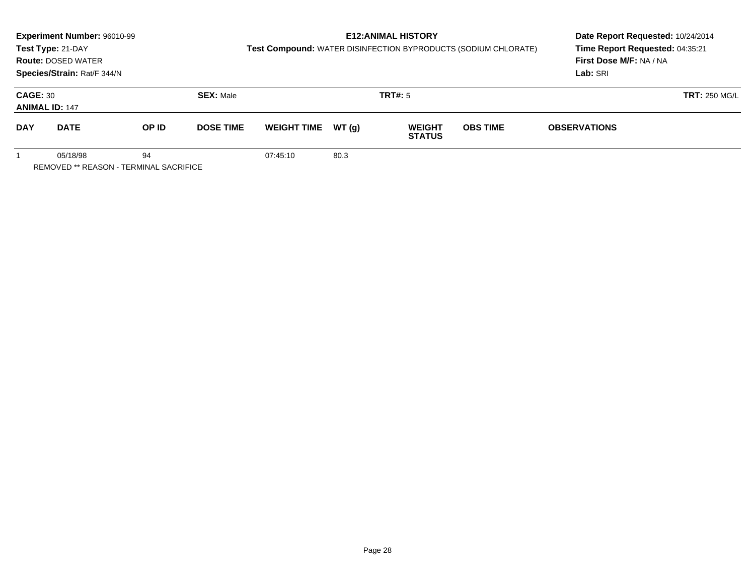|                                                                 | Experiment Number: 96010-99<br>Test Type: 21-DAY<br><b>Route: DOSED WATER</b><br>Species/Strain: Rat/F 344/N |       |                  | Test Compound: WATER DISINFECTION BYPRODUCTS (SODIUM CHLORATE) | <b>E12: ANIMAL HISTORY</b> | Date Report Requested: 10/24/2014<br>Time Report Requested: 04:35:21<br>First Dose M/F: NA / NA<br>Lab: SRI |                 |                      |  |
|-----------------------------------------------------------------|--------------------------------------------------------------------------------------------------------------|-------|------------------|----------------------------------------------------------------|----------------------------|-------------------------------------------------------------------------------------------------------------|-----------------|----------------------|--|
| <b>CAGE: 30</b><br><b>ANIMAL ID: 147</b>                        |                                                                                                              |       | <b>SEX: Male</b> |                                                                |                            | <b>TRT#:</b> 5                                                                                              |                 | <b>TRT: 250 MG/L</b> |  |
| <b>DAY</b>                                                      | <b>DATE</b>                                                                                                  | OP ID | <b>DOSE TIME</b> | <b>WEIGHT TIME</b>                                             | WT (q)                     | <b>WEIGHT</b><br><b>STATUS</b>                                                                              | <b>OBS TIME</b> | <b>OBSERVATIONS</b>  |  |
| 05/18/98<br>94<br><b>REMOVED ** REASON - TERMINAL SACRIFICE</b> |                                                                                                              |       |                  | 07:45:10                                                       | 80.3                       |                                                                                                             |                 |                      |  |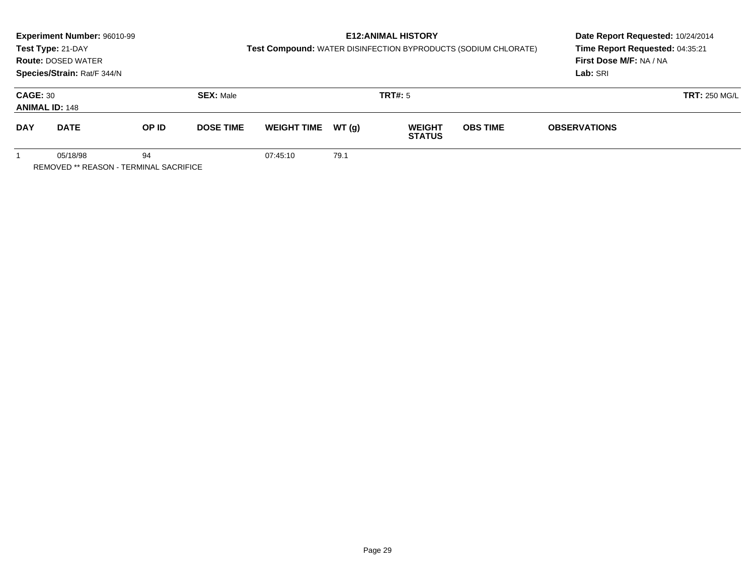|                                                                 | Experiment Number: 96010-99<br>Test Type: 21-DAY<br><b>Route: DOSED WATER</b><br>Species/Strain: Rat/F 344/N |       |                  | Test Compound: WATER DISINFECTION BYPRODUCTS (SODIUM CHLORATE) | <b>E12: ANIMAL HISTORY</b> | Date Report Requested: 10/24/2014<br>Time Report Requested: 04:35:21<br>First Dose M/F: NA / NA<br>Lab: SRI |                 |                      |  |
|-----------------------------------------------------------------|--------------------------------------------------------------------------------------------------------------|-------|------------------|----------------------------------------------------------------|----------------------------|-------------------------------------------------------------------------------------------------------------|-----------------|----------------------|--|
| <b>CAGE: 30</b>                                                 | <b>ANIMAL ID: 148</b>                                                                                        |       | <b>SEX: Male</b> |                                                                |                            | TRT#: 5                                                                                                     |                 | <b>TRT: 250 MG/L</b> |  |
| <b>DAY</b>                                                      | <b>DATE</b>                                                                                                  | OP ID | <b>DOSE TIME</b> | <b>WEIGHT TIME</b>                                             | WT (q)                     | <b>WEIGHT</b><br><b>STATUS</b>                                                                              | <b>OBS TIME</b> | <b>OBSERVATIONS</b>  |  |
| 94<br>05/18/98<br><b>REMOVED ** REASON - TERMINAL SACRIFICE</b> |                                                                                                              |       |                  | 07:45:10                                                       | 79.1                       |                                                                                                             |                 |                      |  |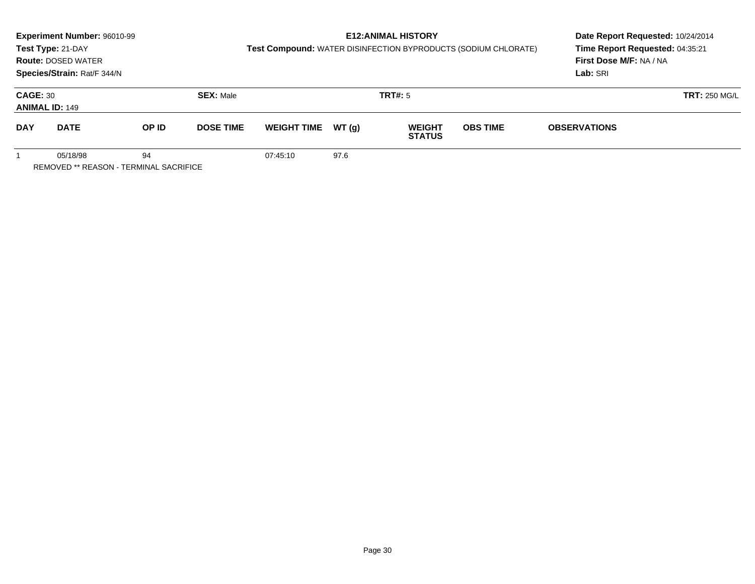|                                                                 | Experiment Number: 96010-99<br>Test Type: 21-DAY<br><b>Route: DOSED WATER</b><br>Species/Strain: Rat/F 344/N |       |                  | Test Compound: WATER DISINFECTION BYPRODUCTS (SODIUM CHLORATE) | Date Report Requested: 10/24/2014<br>Time Report Requested: 04:35:21<br>First Dose M/F: NA / NA<br>Lab: SRI |                                |                 |                      |  |
|-----------------------------------------------------------------|--------------------------------------------------------------------------------------------------------------|-------|------------------|----------------------------------------------------------------|-------------------------------------------------------------------------------------------------------------|--------------------------------|-----------------|----------------------|--|
| <b>CAGE: 30</b><br><b>ANIMAL ID: 149</b>                        |                                                                                                              |       | <b>SEX: Male</b> |                                                                |                                                                                                             | <b>TRT#:</b> 5                 |                 | <b>TRT: 250 MG/L</b> |  |
| <b>DAY</b>                                                      | <b>DATE</b>                                                                                                  | OP ID | <b>DOSE TIME</b> | <b>WEIGHT TIME</b>                                             | WT (q)                                                                                                      | <b>WEIGHT</b><br><b>STATUS</b> | <b>OBS TIME</b> | <b>OBSERVATIONS</b>  |  |
| 05/18/98<br>94<br><b>REMOVED ** REASON - TERMINAL SACRIFICE</b> |                                                                                                              |       |                  | 07:45:10                                                       | 97.6                                                                                                        |                                |                 |                      |  |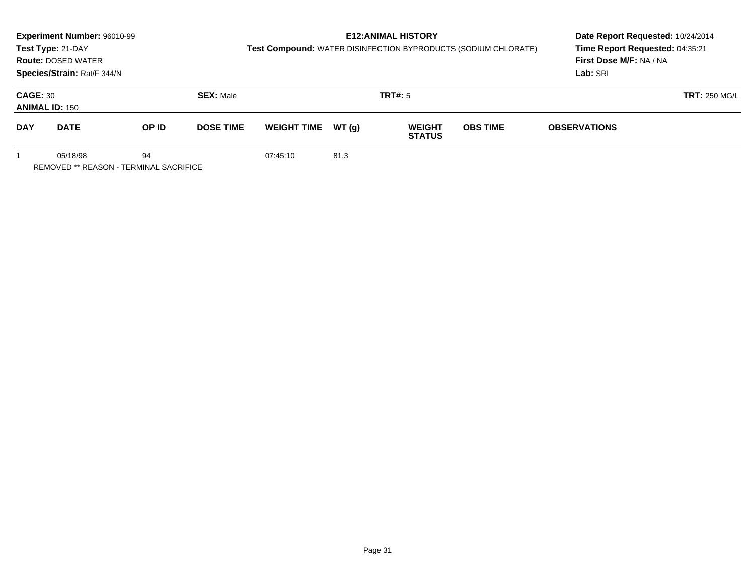|                                               | Experiment Number: 96010-99 |       |                  |                    | Date Report Requested: 10/24/2014 |                                |                                                                |                                 |  |
|-----------------------------------------------|-----------------------------|-------|------------------|--------------------|-----------------------------------|--------------------------------|----------------------------------------------------------------|---------------------------------|--|
|                                               | Test Type: 21-DAY           |       |                  |                    |                                   |                                | Test Compound: WATER DISINFECTION BYPRODUCTS (SODIUM CHLORATE) | Time Report Requested: 04:35:21 |  |
|                                               | <b>Route: DOSED WATER</b>   |       |                  |                    |                                   |                                |                                                                | First Dose M/F: NA / NA         |  |
|                                               | Species/Strain: Rat/F 344/N |       |                  |                    |                                   | Lab: SRI                       |                                                                |                                 |  |
| <b>CAGE: 30</b>                               |                             |       | <b>SEX: Male</b> |                    | <b>TRT: 250 MG/L</b>              |                                |                                                                |                                 |  |
|                                               | <b>ANIMAL ID: 150</b>       |       |                  |                    |                                   |                                |                                                                |                                 |  |
| <b>DAY</b>                                    | <b>DATE</b>                 | OP ID | <b>DOSE TIME</b> | <b>WEIGHT TIME</b> | WT (q)                            | <b>WEIGHT</b><br><b>STATUS</b> | <b>OBS TIME</b>                                                | <b>OBSERVATIONS</b>             |  |
|                                               | 94<br>05/18/98              |       |                  | 07:45:10           | 81.3                              |                                |                                                                |                                 |  |
| <b>REMOVED ** REASON - TERMINAL SACRIFICE</b> |                             |       |                  |                    |                                   |                                |                                                                |                                 |  |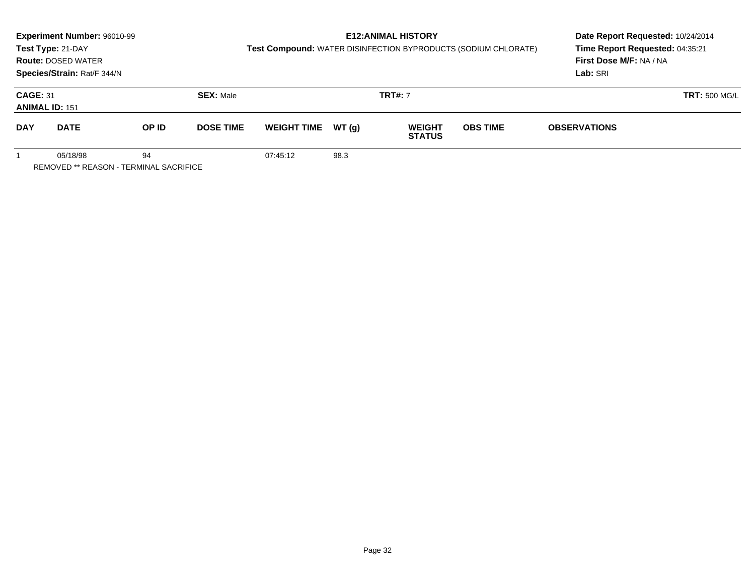|                                                                 | Experiment Number: 96010-99<br>Test Type: 21-DAY<br><b>Route: DOSED WATER</b><br>Species/Strain: Rat/F 344/N |       |                  | Test Compound: WATER DISINFECTION BYPRODUCTS (SODIUM CHLORATE) | <b>E12: ANIMAL HISTORY</b> | Date Report Requested: 10/24/2014<br>Time Report Requested: 04:35:21<br>First Dose M/F: NA / NA<br>Lab: SRI |                 |                      |  |
|-----------------------------------------------------------------|--------------------------------------------------------------------------------------------------------------|-------|------------------|----------------------------------------------------------------|----------------------------|-------------------------------------------------------------------------------------------------------------|-----------------|----------------------|--|
| <b>CAGE: 31</b>                                                 | <b>ANIMAL ID: 151</b>                                                                                        |       | <b>SEX: Male</b> |                                                                |                            | <b>TRT#:</b> 7                                                                                              |                 | <b>TRT: 500 MG/L</b> |  |
| <b>DAY</b>                                                      | <b>DATE</b>                                                                                                  | OP ID | <b>DOSE TIME</b> | <b>WEIGHT TIME</b>                                             | WT (a)                     | <b>WEIGHT</b><br><b>STATUS</b>                                                                              | <b>OBS TIME</b> | <b>OBSERVATIONS</b>  |  |
| 05/18/98<br>94<br><b>REMOVED ** REASON - TERMINAL SACRIFICE</b> |                                                                                                              |       |                  | 07:45:12                                                       | 98.3                       |                                                                                                             |                 |                      |  |

Page 32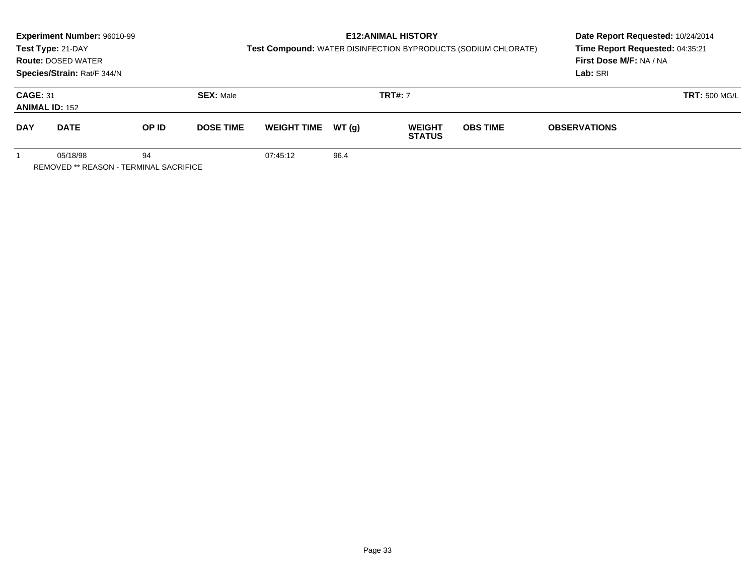|                                                                 | Experiment Number: 96010-99<br>Test Type: 21-DAY<br><b>Route: DOSED WATER</b><br>Species/Strain: Rat/F 344/N |       |                  | Test Compound: WATER DISINFECTION BYPRODUCTS (SODIUM CHLORATE) |        | <b>E12: ANIMAL HISTORY</b>     | Date Report Requested: 10/24/2014<br>Time Report Requested: 04:35:21<br>First Dose M/F: NA / NA<br>Lab: SRI |                      |  |
|-----------------------------------------------------------------|--------------------------------------------------------------------------------------------------------------|-------|------------------|----------------------------------------------------------------|--------|--------------------------------|-------------------------------------------------------------------------------------------------------------|----------------------|--|
| <b>CAGE: 31</b><br><b>ANIMAL ID: 152</b>                        |                                                                                                              |       | <b>SEX: Male</b> |                                                                |        | <b>TRT#:</b> 7                 |                                                                                                             | <b>TRT: 500 MG/L</b> |  |
| <b>DAY</b>                                                      | <b>DATE</b>                                                                                                  | OP ID | <b>DOSE TIME</b> | <b>WEIGHT TIME</b>                                             | WT (a) | <b>WEIGHT</b><br><b>STATUS</b> | <b>OBS TIME</b>                                                                                             | <b>OBSERVATIONS</b>  |  |
| 05/18/98<br>94<br><b>REMOVED ** REASON - TERMINAL SACRIFICE</b> |                                                                                                              |       |                  | 07:45:12                                                       | 96.4   |                                |                                                                                                             |                      |  |

Page 33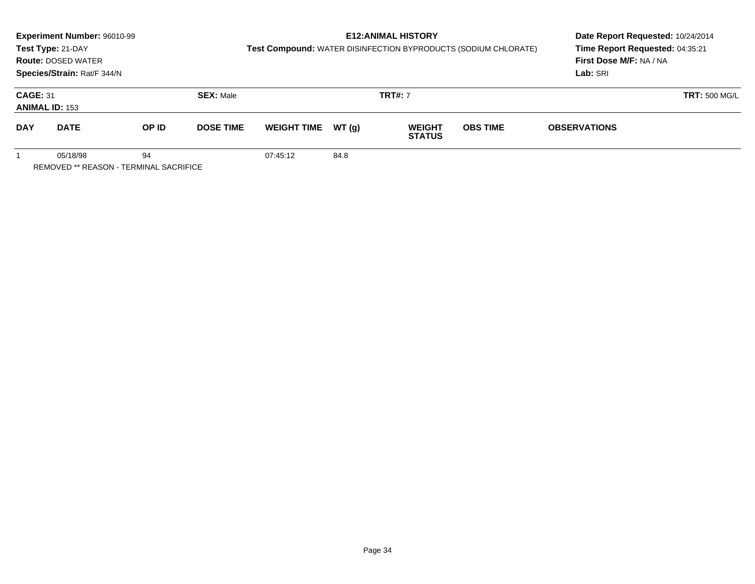|                                                                 | Experiment Number: 96010-99<br>Test Type: 21-DAY<br><b>Route: DOSED WATER</b><br>Species/Strain: Rat/F 344/N |       |                  | Test Compound: WATER DISINFECTION BYPRODUCTS (SODIUM CHLORATE) | <b>E12: ANIMAL HISTORY</b> | Date Report Requested: 10/24/2014<br>Time Report Requested: 04:35:21<br>First Dose M/F: NA / NA<br>Lab: SRI |                 |                     |                      |
|-----------------------------------------------------------------|--------------------------------------------------------------------------------------------------------------|-------|------------------|----------------------------------------------------------------|----------------------------|-------------------------------------------------------------------------------------------------------------|-----------------|---------------------|----------------------|
| <b>CAGE: 31</b>                                                 | <b>ANIMAL ID: 153</b>                                                                                        |       | <b>SEX: Male</b> |                                                                |                            | <b>TRT#:</b> 7                                                                                              |                 |                     | <b>TRT: 500 MG/L</b> |
| <b>DAY</b>                                                      | <b>DATE</b>                                                                                                  | OP ID | <b>DOSE TIME</b> | <b>WEIGHT TIME</b>                                             | WT (a)                     | <b>WEIGHT</b><br><b>STATUS</b>                                                                              | <b>OBS TIME</b> | <b>OBSERVATIONS</b> |                      |
| 94<br>05/18/98<br><b>DEMOVED ** DEMOON!</b> TEDMINIAL OMODIFIOE |                                                                                                              |       |                  | 07:45:12                                                       | 84.8                       |                                                                                                             |                 |                     |                      |

REMOVED \*\* REASON - TERMINAL SACRIFICE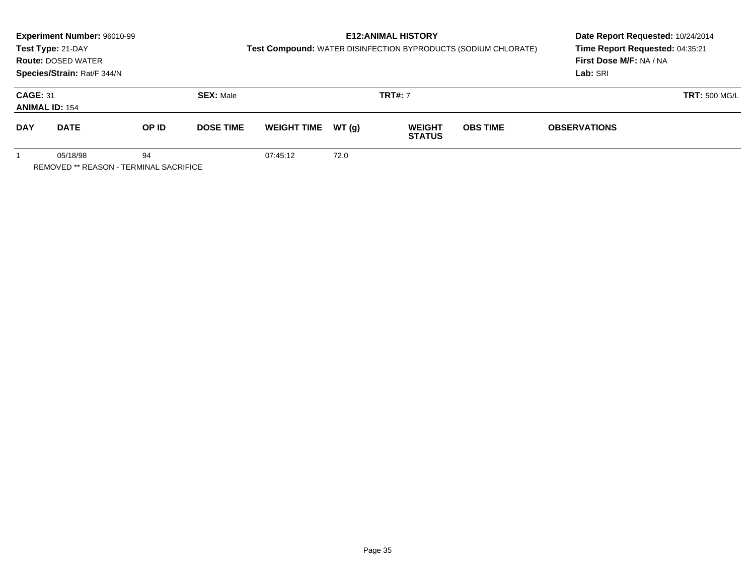|                                                                 | Experiment Number: 96010-99<br>Test Type: 21-DAY<br><b>Route: DOSED WATER</b><br>Species/Strain: Rat/F 344/N |       |                  | Test Compound: WATER DISINFECTION BYPRODUCTS (SODIUM CHLORATE) |        | <b>E12: ANIMAL HISTORY</b>     | Date Report Requested: 10/24/2014<br>Time Report Requested: 04:35:21<br>First Dose M/F: NA / NA<br>Lab: SRI |                      |  |
|-----------------------------------------------------------------|--------------------------------------------------------------------------------------------------------------|-------|------------------|----------------------------------------------------------------|--------|--------------------------------|-------------------------------------------------------------------------------------------------------------|----------------------|--|
| <b>CAGE: 31</b>                                                 | <b>ANIMAL ID: 154</b>                                                                                        |       | <b>SEX: Male</b> |                                                                |        | <b>TRT#:</b> 7                 |                                                                                                             | <b>TRT: 500 MG/L</b> |  |
| <b>DAY</b>                                                      | <b>DATE</b>                                                                                                  | OP ID | <b>DOSE TIME</b> | <b>WEIGHT TIME</b>                                             | WT (a) | <b>WEIGHT</b><br><b>STATUS</b> | <b>OBS TIME</b>                                                                                             | <b>OBSERVATIONS</b>  |  |
| 05/18/98<br>94<br><b>REMOVED ** REASON - TERMINAL SACRIFICE</b> |                                                                                                              |       |                  | 07:45:12                                                       | 72.0   |                                |                                                                                                             |                      |  |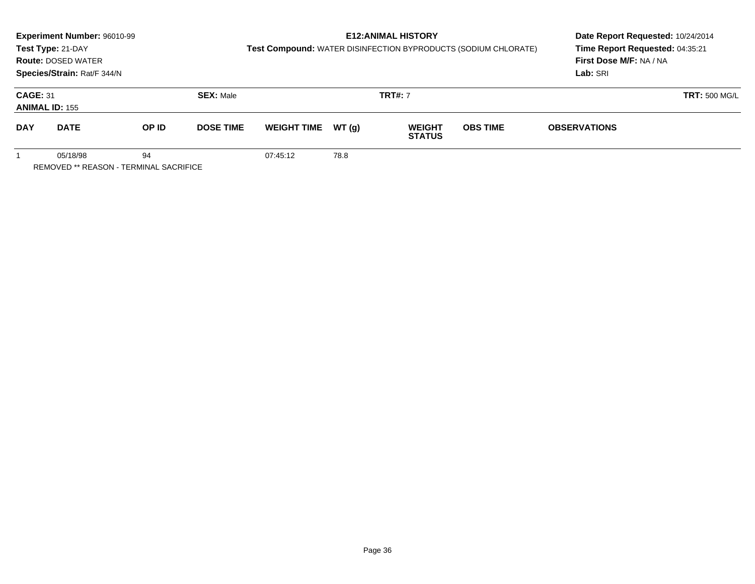| <b>Experiment Number: 96010-99</b><br>Test Type: 21-DAY<br><b>Route: DOSED WATER</b><br>Species/Strain: Rat/F 344/N |                                                    |       | <b>E12: ANIMAL HISTORY</b><br>Test Compound: WATER DISINFECTION BYPRODUCTS (SODIUM CHLORATE) |                    |        |                                |                 | Date Report Requested: 10/24/2014<br>Time Report Requested: 04:35:21<br>First Dose M/F: NA / NA<br>Lab: SRI |                      |
|---------------------------------------------------------------------------------------------------------------------|----------------------------------------------------|-------|----------------------------------------------------------------------------------------------|--------------------|--------|--------------------------------|-----------------|-------------------------------------------------------------------------------------------------------------|----------------------|
| <b>CAGE: 31</b><br><b>ANIMAL ID: 155</b>                                                                            |                                                    |       | <b>SEX: Male</b>                                                                             |                    |        | <b>TRT#: 7</b>                 |                 |                                                                                                             | <b>TRT: 500 MG/L</b> |
| <b>DAY</b>                                                                                                          | <b>DATE</b>                                        | OP ID | <b>DOSE TIME</b>                                                                             | <b>WEIGHT TIME</b> | WT (a) | <b>WEIGHT</b><br><b>STATUS</b> | <b>OBS TIME</b> | <b>OBSERVATIONS</b>                                                                                         |                      |
|                                                                                                                     | 05/18/98<br>REMOVED ** REASON - TERMINAL SACRIFICE | 94    |                                                                                              | 07:45:12           | 78.8   |                                |                 |                                                                                                             |                      |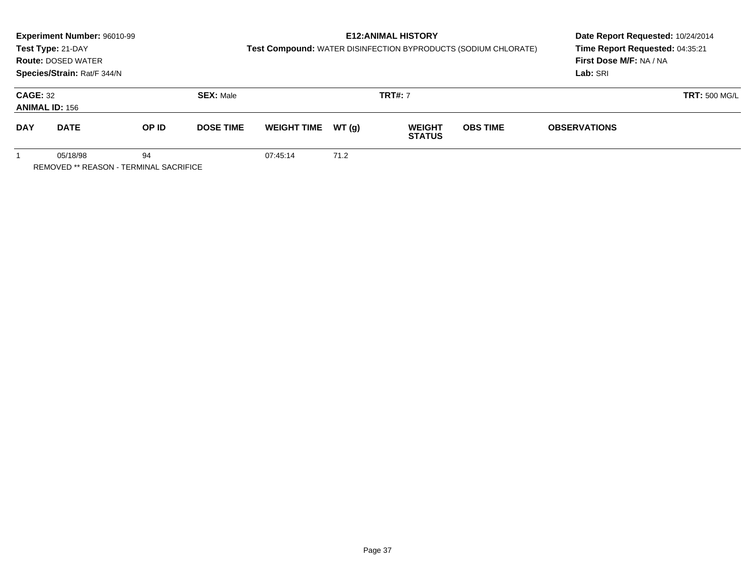|                                                          | <b>Experiment Number: 96010-99</b><br>Test Type: 21-DAY<br><b>Route: DOSED WATER</b><br>Species/Strain: Rat/F 344/N |       |                  | Test Compound: WATER DISINFECTION BYPRODUCTS (SODIUM CHLORATE) |        | <b>E12: ANIMAL HISTORY</b>     | Date Report Requested: 10/24/2014<br>Time Report Requested: 04:35:21<br>First Dose M/F: NA / NA<br>Lab: SRI |                     |                      |
|----------------------------------------------------------|---------------------------------------------------------------------------------------------------------------------|-------|------------------|----------------------------------------------------------------|--------|--------------------------------|-------------------------------------------------------------------------------------------------------------|---------------------|----------------------|
| <b>CAGE: 32</b><br><b>ANIMAL ID: 156</b>                 |                                                                                                                     |       | <b>SEX: Male</b> |                                                                |        | <b>TRT#: 7</b>                 |                                                                                                             |                     | <b>TRT: 500 MG/L</b> |
| <b>DAY</b>                                               | <b>DATE</b>                                                                                                         | OP ID | <b>DOSE TIME</b> | <b>WEIGHT TIME</b>                                             | WT (a) | <b>WEIGHT</b><br><b>STATUS</b> | <b>OBS TIME</b>                                                                                             | <b>OBSERVATIONS</b> |                      |
| 94<br>05/18/98<br>REMOVED ** REASON - TERMINAL SACRIFICE |                                                                                                                     |       |                  | 07:45:14                                                       | 71.2   |                                |                                                                                                             |                     |                      |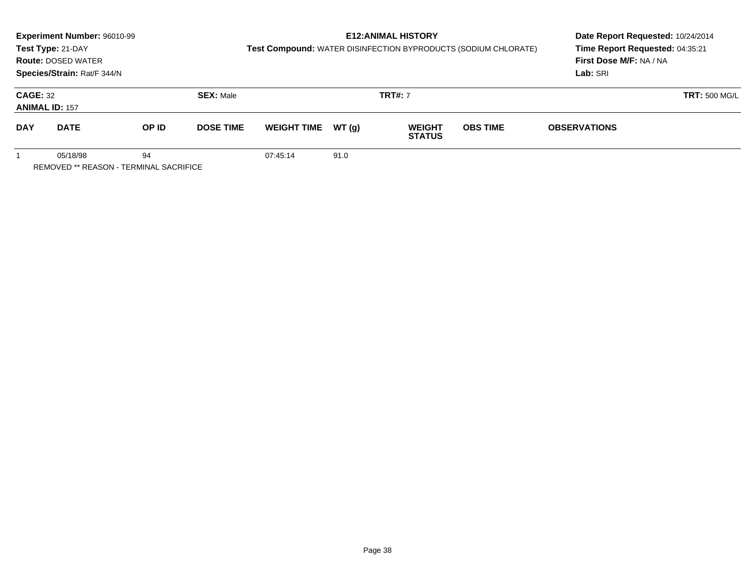|                                                                 | Experiment Number: 96010-99<br>Test Type: 21-DAY<br><b>Route: DOSED WATER</b><br>Species/Strain: Rat/F 344/N |       |                  |                    |        | <b>E12: ANIMAL HISTORY</b><br>Test Compound: WATER DISINFECTION BYPRODUCTS (SODIUM CHLORATE) | Date Report Requested: 10/24/2014<br>Time Report Requested: 04:35:21<br>First Dose M/F: NA / NA<br>Lab: SRI |                      |  |
|-----------------------------------------------------------------|--------------------------------------------------------------------------------------------------------------|-------|------------------|--------------------|--------|----------------------------------------------------------------------------------------------|-------------------------------------------------------------------------------------------------------------|----------------------|--|
| <b>CAGE: 32</b><br><b>ANIMAL ID: 157</b>                        |                                                                                                              |       | <b>SEX: Male</b> |                    |        | <b>TRT#:</b> 7                                                                               |                                                                                                             | <b>TRT: 500 MG/L</b> |  |
| <b>DAY</b>                                                      | <b>DATE</b>                                                                                                  | OP ID | <b>DOSE TIME</b> | <b>WEIGHT TIME</b> | WT (q) | <b>WEIGHT</b><br><b>STATUS</b>                                                               | <b>OBS TIME</b>                                                                                             | <b>OBSERVATIONS</b>  |  |
| 05/18/98<br>94<br><b>REMOVED ** REASON - TERMINAL SACRIFICE</b> |                                                                                                              |       |                  | 07:45:14           | 91.0   |                                                                                              |                                                                                                             |                      |  |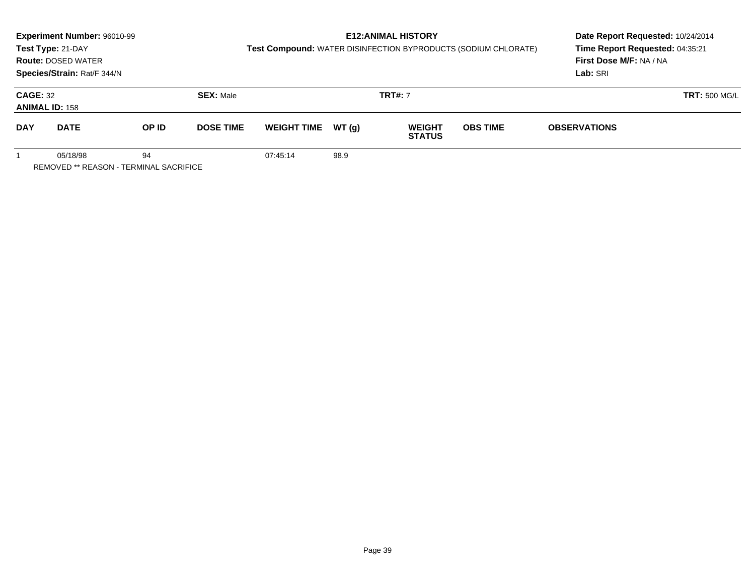|                                                                 | Experiment Number: 96010-99<br>Test Type: 21-DAY<br><b>Route: DOSED WATER</b><br>Species/Strain: Rat/F 344/N |       |                  | Test Compound: WATER DISINFECTION BYPRODUCTS (SODIUM CHLORATE) |        | <b>E12: ANIMAL HISTORY</b>     | Date Report Requested: 10/24/2014<br>Time Report Requested: 04:35:21<br>First Dose M/F: NA / NA<br>Lab: SRI |                      |  |
|-----------------------------------------------------------------|--------------------------------------------------------------------------------------------------------------|-------|------------------|----------------------------------------------------------------|--------|--------------------------------|-------------------------------------------------------------------------------------------------------------|----------------------|--|
| <b>CAGE: 32</b><br><b>ANIMAL ID: 158</b>                        |                                                                                                              |       | <b>SEX: Male</b> |                                                                |        | <b>TRT#: 7</b>                 |                                                                                                             | <b>TRT: 500 MG/L</b> |  |
| <b>DAY</b>                                                      | <b>DATE</b>                                                                                                  | OP ID | <b>DOSE TIME</b> | <b>WEIGHT TIME</b>                                             | WT (a) | <b>WEIGHT</b><br><b>STATUS</b> | <b>OBS TIME</b>                                                                                             | <b>OBSERVATIONS</b>  |  |
| 94<br>05/18/98<br><b>REMOVED ** REASON - TERMINAL SACRIFICE</b> |                                                                                                              |       |                  | 07:45:14                                                       | 98.9   |                                |                                                                                                             |                      |  |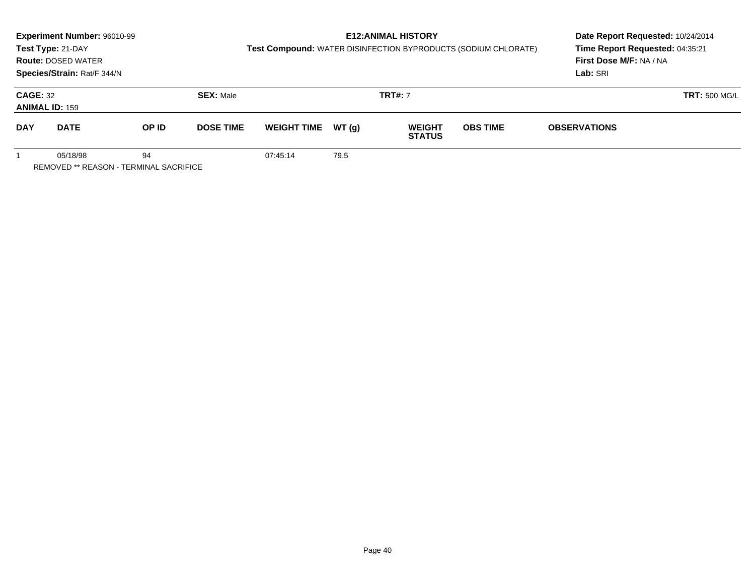|                                                          | <b>Experiment Number: 96010-99</b><br>Test Type: 21-DAY<br><b>Route: DOSED WATER</b><br>Species/Strain: Rat/F 344/N |       |                  | Test Compound: WATER DISINFECTION BYPRODUCTS (SODIUM CHLORATE) |        | <b>E12: ANIMAL HISTORY</b>     | Date Report Requested: 10/24/2014<br>Time Report Requested: 04:35:21<br>First Dose M/F: NA / NA<br>Lab: SRI |                     |                      |
|----------------------------------------------------------|---------------------------------------------------------------------------------------------------------------------|-------|------------------|----------------------------------------------------------------|--------|--------------------------------|-------------------------------------------------------------------------------------------------------------|---------------------|----------------------|
| <b>CAGE: 32</b><br><b>ANIMAL ID: 159</b>                 |                                                                                                                     |       | <b>SEX: Male</b> |                                                                |        | <b>TRT#: 7</b>                 |                                                                                                             |                     | <b>TRT: 500 MG/L</b> |
| <b>DAY</b>                                               | <b>DATE</b>                                                                                                         | OP ID | <b>DOSE TIME</b> | <b>WEIGHT TIME</b>                                             | WT (a) | <b>WEIGHT</b><br><b>STATUS</b> | <b>OBS TIME</b>                                                                                             | <b>OBSERVATIONS</b> |                      |
| 94<br>05/18/98<br>REMOVED ** REASON - TERMINAL SACRIFICE |                                                                                                                     |       |                  | 07:45:14                                                       | 79.5   |                                |                                                                                                             |                     |                      |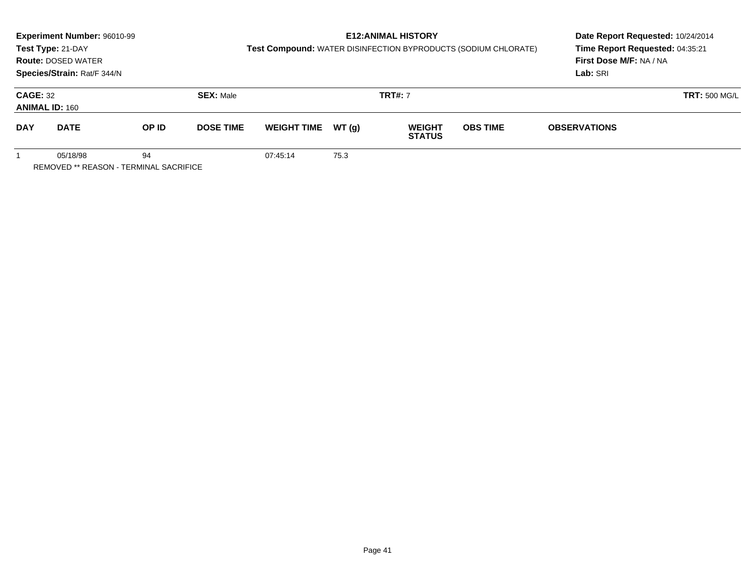|                                                          | <b>Experiment Number: 96010-99</b><br>Test Type: 21-DAY<br><b>Route: DOSED WATER</b><br>Species/Strain: Rat/F 344/N |       |                  | Test Compound: WATER DISINFECTION BYPRODUCTS (SODIUM CHLORATE) |        | <b>E12: ANIMAL HISTORY</b>     | Date Report Requested: 10/24/2014<br>Time Report Requested: 04:35:21<br>First Dose M/F: NA / NA<br>Lab: SRI |                     |                      |
|----------------------------------------------------------|---------------------------------------------------------------------------------------------------------------------|-------|------------------|----------------------------------------------------------------|--------|--------------------------------|-------------------------------------------------------------------------------------------------------------|---------------------|----------------------|
| <b>CAGE: 32</b><br><b>ANIMAL ID: 160</b>                 |                                                                                                                     |       | <b>SEX: Male</b> |                                                                |        | <b>TRT#: 7</b>                 |                                                                                                             |                     | <b>TRT: 500 MG/L</b> |
| <b>DAY</b>                                               | <b>DATE</b>                                                                                                         | OP ID | <b>DOSE TIME</b> | <b>WEIGHT TIME</b>                                             | WT (a) | <b>WEIGHT</b><br><b>STATUS</b> | <b>OBS TIME</b>                                                                                             | <b>OBSERVATIONS</b> |                      |
| 94<br>05/18/98<br>REMOVED ** REASON - TERMINAL SACRIFICE |                                                                                                                     |       |                  | 07:45:14                                                       | 75.3   |                                |                                                                                                             |                     |                      |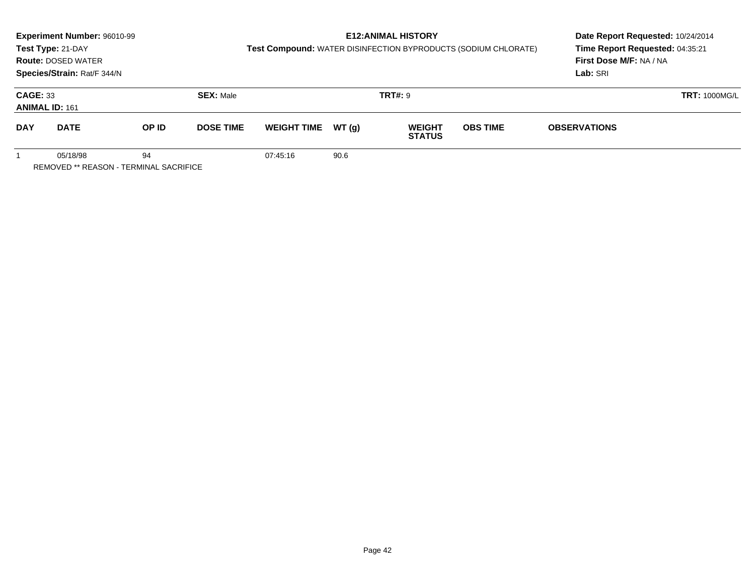|                                                                 | Experiment Number: 96010-99<br>Test Type: 21-DAY<br><b>Route: DOSED WATER</b><br>Species/Strain: Rat/F 344/N |       |                  | Test Compound: WATER DISINFECTION BYPRODUCTS (SODIUM CHLORATE) | <b>E12: ANIMAL HISTORY</b> | Date Report Requested: 10/24/2014<br>Time Report Requested: 04:35:21<br>First Dose M/F: NA / NA<br>Lab: SRI |                 |                      |  |
|-----------------------------------------------------------------|--------------------------------------------------------------------------------------------------------------|-------|------------------|----------------------------------------------------------------|----------------------------|-------------------------------------------------------------------------------------------------------------|-----------------|----------------------|--|
| <b>CAGE: 33</b><br><b>ANIMAL ID: 161</b>                        |                                                                                                              |       | <b>SEX: Male</b> |                                                                |                            | <b>TRT#:</b> 9                                                                                              |                 | <b>TRT: 1000MG/L</b> |  |
| <b>DAY</b>                                                      | <b>DATE</b>                                                                                                  | OP ID | <b>DOSE TIME</b> | <b>WEIGHT TIME</b>                                             | WT (q)                     | <b>WEIGHT</b><br><b>STATUS</b>                                                                              | <b>OBS TIME</b> | <b>OBSERVATIONS</b>  |  |
| 05/18/98<br>94<br><b>REMOVED ** REASON - TERMINAL SACRIFICE</b> |                                                                                                              |       |                  | 07:45:16                                                       | 90.6                       |                                                                                                             |                 |                      |  |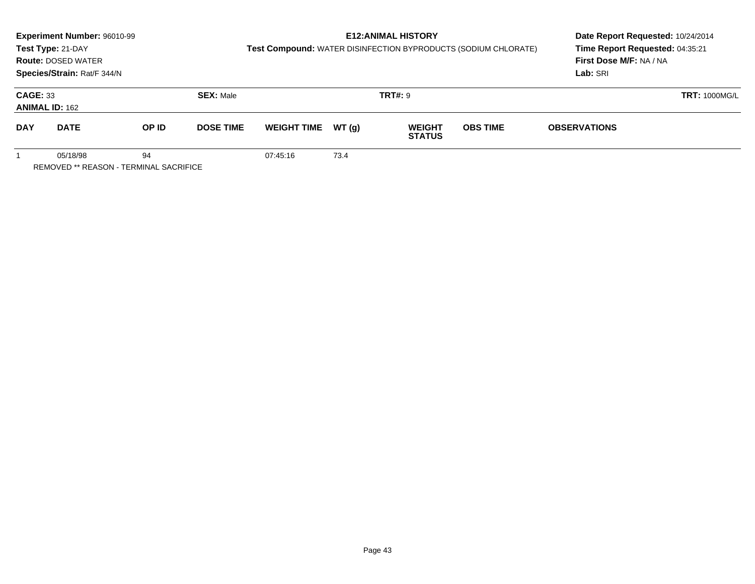|                                                          | Experiment Number: 96010-99<br>Test Type: 21-DAY<br><b>Route: DOSED WATER</b> |       |                  |                    |        | <b>E12: ANIMAL HISTORY</b>     | Test Compound: WATER DISINFECTION BYPRODUCTS (SODIUM CHLORATE) | Date Report Requested: 10/24/2014<br>Time Report Requested: 04:35:21<br>First Dose M/F: NA / NA |                      |  |
|----------------------------------------------------------|-------------------------------------------------------------------------------|-------|------------------|--------------------|--------|--------------------------------|----------------------------------------------------------------|-------------------------------------------------------------------------------------------------|----------------------|--|
|                                                          | Species/Strain: Rat/F 344/N                                                   |       |                  |                    |        |                                |                                                                | Lab: SRI                                                                                        |                      |  |
| <b>CAGE: 33</b>                                          | <b>ANIMAL ID: 162</b>                                                         |       | <b>SEX: Male</b> |                    |        | <b>TRT#: 9</b>                 |                                                                |                                                                                                 | <b>TRT: 1000MG/L</b> |  |
| <b>DAY</b>                                               | <b>DATE</b>                                                                   | OP ID | <b>DOSE TIME</b> | <b>WEIGHT TIME</b> | WT (a) | <b>WEIGHT</b><br><b>STATUS</b> | <b>OBS TIME</b>                                                | <b>OBSERVATIONS</b>                                                                             |                      |  |
| 05/18/98<br>94<br>REMOVED ** REASON - TERMINAL SACRIFICE |                                                                               |       |                  | 07:45:16           | 73.4   |                                |                                                                |                                                                                                 |                      |  |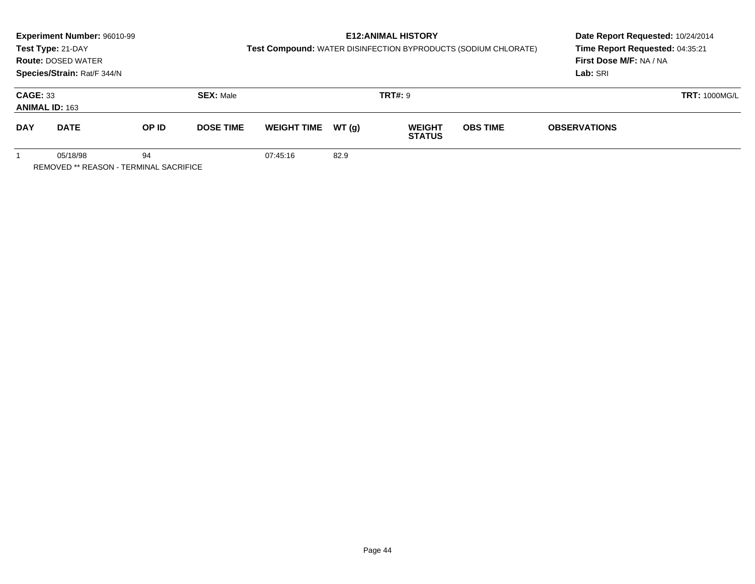|                                                                 | Experiment Number: 96010-99<br>Test Type: 21-DAY<br><b>Route: DOSED WATER</b><br>Species/Strain: Rat/F 344/N |       |                  | Test Compound: WATER DISINFECTION BYPRODUCTS (SODIUM CHLORATE) | <b>E12: ANIMAL HISTORY</b> | Date Report Requested: 10/24/2014<br>Time Report Requested: 04:35:21<br>First Dose M/F: NA / NA<br>Lab: SRI |                 |                      |  |
|-----------------------------------------------------------------|--------------------------------------------------------------------------------------------------------------|-------|------------------|----------------------------------------------------------------|----------------------------|-------------------------------------------------------------------------------------------------------------|-----------------|----------------------|--|
| <b>CAGE: 33</b><br><b>ANIMAL ID: 163</b>                        |                                                                                                              |       | <b>SEX: Male</b> |                                                                |                            | <b>TRT#:</b> 9                                                                                              |                 | <b>TRT: 1000MG/L</b> |  |
| <b>DAY</b>                                                      | <b>DATE</b>                                                                                                  | OP ID | <b>DOSE TIME</b> | <b>WEIGHT TIME</b>                                             | WT (q)                     | <b>WEIGHT</b><br><b>STATUS</b>                                                                              | <b>OBS TIME</b> | <b>OBSERVATIONS</b>  |  |
| 05/18/98<br>94<br><b>REMOVED ** REASON - TERMINAL SACRIFICE</b> |                                                                                                              |       |                  | 07:45:16                                                       | 82.9                       |                                                                                                             |                 |                      |  |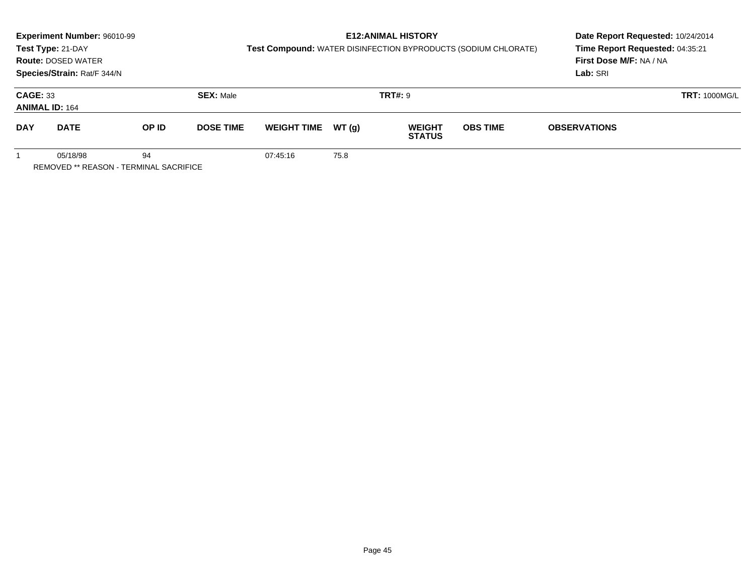|                                                                 | Experiment Number: 96010-99<br>Test Type: 21-DAY<br><b>Route: DOSED WATER</b><br>Species/Strain: Rat/F 344/N |       |                  | Test Compound: WATER DISINFECTION BYPRODUCTS (SODIUM CHLORATE) | <b>E12: ANIMAL HISTORY</b> | Date Report Requested: 10/24/2014<br>Time Report Requested: 04:35:21<br>First Dose M/F: NA / NA<br>Lab: SRI |                 |                      |  |
|-----------------------------------------------------------------|--------------------------------------------------------------------------------------------------------------|-------|------------------|----------------------------------------------------------------|----------------------------|-------------------------------------------------------------------------------------------------------------|-----------------|----------------------|--|
| <b>CAGE: 33</b><br><b>ANIMAL ID: 164</b>                        |                                                                                                              |       | <b>SEX: Male</b> |                                                                |                            | <b>TRT#:</b> 9                                                                                              |                 | <b>TRT: 1000MG/L</b> |  |
| <b>DAY</b>                                                      | <b>DATE</b>                                                                                                  | OP ID | <b>DOSE TIME</b> | <b>WEIGHT TIME</b>                                             | WT (q)                     | <b>WEIGHT</b><br><b>STATUS</b>                                                                              | <b>OBS TIME</b> | <b>OBSERVATIONS</b>  |  |
| 05/18/98<br>94<br><b>REMOVED ** REASON - TERMINAL SACRIFICE</b> |                                                                                                              |       |                  | 07:45:16                                                       | 75.8                       |                                                                                                             |                 |                      |  |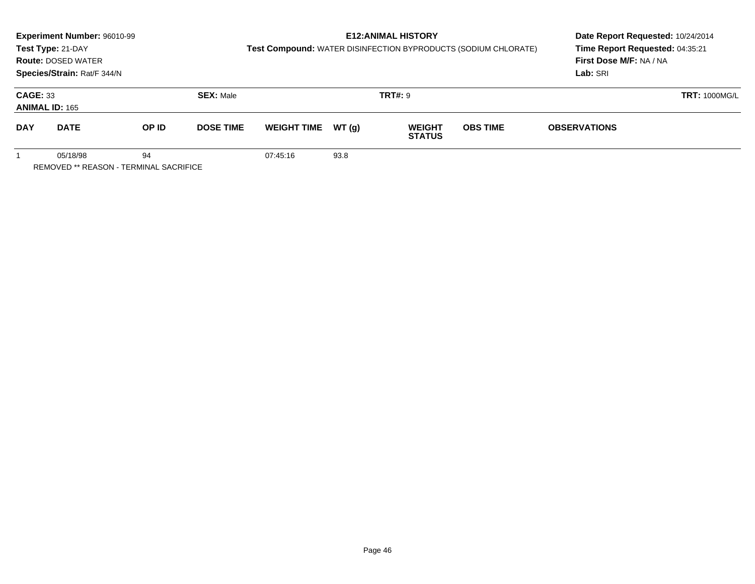|                                                                 | Experiment Number: 96010-99<br>Test Type: 21-DAY<br><b>Route: DOSED WATER</b><br>Species/Strain: Rat/F 344/N |       |                  | Test Compound: WATER DISINFECTION BYPRODUCTS (SODIUM CHLORATE) |        | <b>E12: ANIMAL HISTORY</b>     | Date Report Requested: 10/24/2014<br>Time Report Requested: 04:35:21<br>First Dose M/F: NA / NA<br>Lab: SRI |                      |  |
|-----------------------------------------------------------------|--------------------------------------------------------------------------------------------------------------|-------|------------------|----------------------------------------------------------------|--------|--------------------------------|-------------------------------------------------------------------------------------------------------------|----------------------|--|
| <b>CAGE: 33</b><br><b>ANIMAL ID: 165</b>                        |                                                                                                              |       | <b>SEX: Male</b> |                                                                |        | <b>TRT#: 9</b>                 |                                                                                                             | <b>TRT: 1000MG/L</b> |  |
| <b>DAY</b>                                                      | <b>DATE</b>                                                                                                  | OP ID | <b>DOSE TIME</b> | <b>WEIGHT TIME</b>                                             | WT (q) | <b>WEIGHT</b><br><b>STATUS</b> | <b>OBS TIME</b>                                                                                             | <b>OBSERVATIONS</b>  |  |
| 94<br>05/18/98<br><b>REMOVED ** REASON - TERMINAL SACRIFICE</b> |                                                                                                              |       |                  | 07:45:16                                                       | 93.8   |                                |                                                                                                             |                      |  |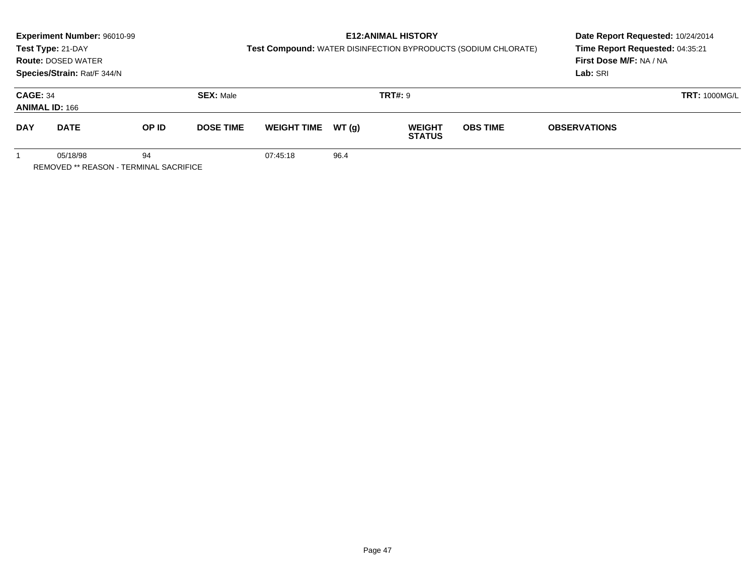|                                                          | <b>Experiment Number: 96010-99</b><br>Test Type: 21-DAY<br><b>Route: DOSED WATER</b><br>Species/Strain: Rat/F 344/N |       |                  | Test Compound: WATER DISINFECTION BYPRODUCTS (SODIUM CHLORATE) |        | <b>E12:ANIMAL HISTORY</b>      | Date Report Requested: 10/24/2014<br>Time Report Requested: 04:35:21<br>First Dose M/F: NA / NA<br>Lab: SRI |                      |  |
|----------------------------------------------------------|---------------------------------------------------------------------------------------------------------------------|-------|------------------|----------------------------------------------------------------|--------|--------------------------------|-------------------------------------------------------------------------------------------------------------|----------------------|--|
| <b>CAGE: 34</b><br><b>ANIMAL ID: 166</b>                 |                                                                                                                     |       | <b>SEX: Male</b> |                                                                |        | <b>TRT#: 9</b>                 |                                                                                                             | <b>TRT: 1000MG/L</b> |  |
| <b>DAY</b>                                               | <b>DATE</b>                                                                                                         | OP ID | <b>DOSE TIME</b> | <b>WEIGHT TIME</b>                                             | WT (q) | <b>WEIGHT</b><br><b>STATUS</b> | <b>OBS TIME</b>                                                                                             | <b>OBSERVATIONS</b>  |  |
| 94<br>05/18/98<br>REMOVED ** REASON - TERMINAL SACRIFICE |                                                                                                                     |       |                  | 07:45:18                                                       | 96.4   |                                |                                                                                                             |                      |  |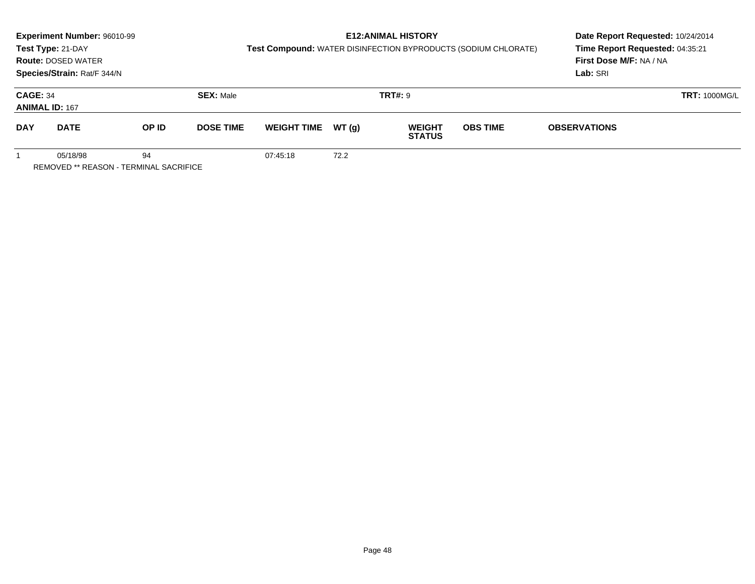|                                                          | <b>Experiment Number: 96010-99</b><br>Test Type: 21-DAY<br><b>Route: DOSED WATER</b><br>Species/Strain: Rat/F 344/N |       |                  | Test Compound: WATER DISINFECTION BYPRODUCTS (SODIUM CHLORATE) | <b>E12: ANIMAL HISTORY</b> | Date Report Requested: 10/24/2014<br>Time Report Requested: 04:35:21<br>First Dose M/F: NA / NA<br>Lab: SRI |                 |                     |                      |
|----------------------------------------------------------|---------------------------------------------------------------------------------------------------------------------|-------|------------------|----------------------------------------------------------------|----------------------------|-------------------------------------------------------------------------------------------------------------|-----------------|---------------------|----------------------|
| <b>CAGE: 34</b><br><b>ANIMAL ID: 167</b>                 |                                                                                                                     |       | <b>SEX: Male</b> |                                                                |                            | <b>TRT#: 9</b>                                                                                              |                 |                     | <b>TRT: 1000MG/L</b> |
| <b>DAY</b>                                               | <b>DATE</b>                                                                                                         | OP ID | <b>DOSE TIME</b> | <b>WEIGHT TIME</b>                                             | WT (q)                     | <b>WEIGHT</b><br><b>STATUS</b>                                                                              | <b>OBS TIME</b> | <b>OBSERVATIONS</b> |                      |
| 05/18/98<br>94<br>REMOVED ** REASON - TERMINAL SACRIFICE |                                                                                                                     |       |                  | 07:45:18                                                       | 72.2                       |                                                                                                             |                 |                     |                      |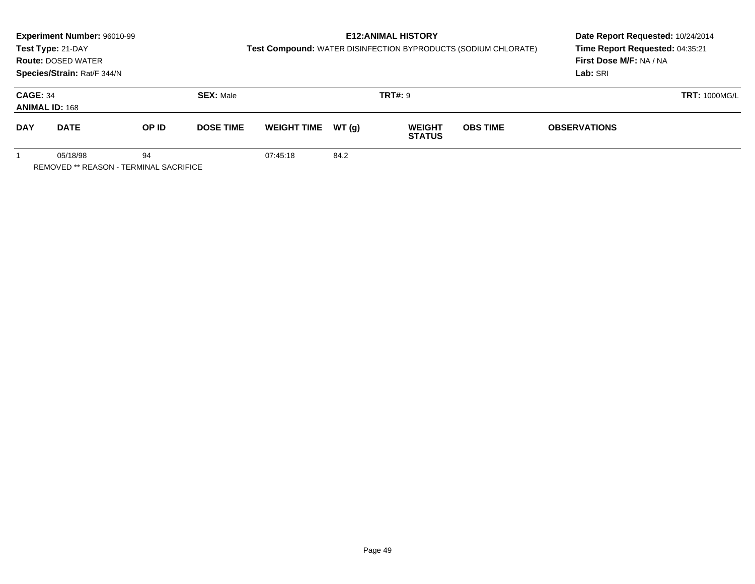|                                                          | Experiment Number: 96010-99                                                   |       |                  |                    | Date Report Requested: 10/24/2014<br>Time Report Requested: 04:35:21 |                                |                                                                |                                     |  |
|----------------------------------------------------------|-------------------------------------------------------------------------------|-------|------------------|--------------------|----------------------------------------------------------------------|--------------------------------|----------------------------------------------------------------|-------------------------------------|--|
|                                                          | Test Type: 21-DAY<br><b>Route: DOSED WATER</b><br>Species/Strain: Rat/F 344/N |       |                  |                    |                                                                      |                                | Test Compound: WATER DISINFECTION BYPRODUCTS (SODIUM CHLORATE) | First Dose M/F: NA / NA<br>Lab: SRI |  |
| <b>CAGE: 34</b><br><b>ANIMAL ID: 168</b>                 |                                                                               |       | <b>SEX: Male</b> |                    |                                                                      | <b>TRT#: 9</b>                 |                                                                | <b>TRT: 1000MG/L</b>                |  |
| <b>DAY</b>                                               | <b>DATE</b>                                                                   | OP ID | <b>DOSE TIME</b> | <b>WEIGHT TIME</b> | WT (q)                                                               | <b>WEIGHT</b><br><b>STATUS</b> | <b>OBS TIME</b>                                                | <b>OBSERVATIONS</b>                 |  |
| 94<br>05/18/98<br>REMOVED ** REASON - TERMINAL SACRIFICE |                                                                               |       |                  | 07:45:18           | 84.2                                                                 |                                |                                                                |                                     |  |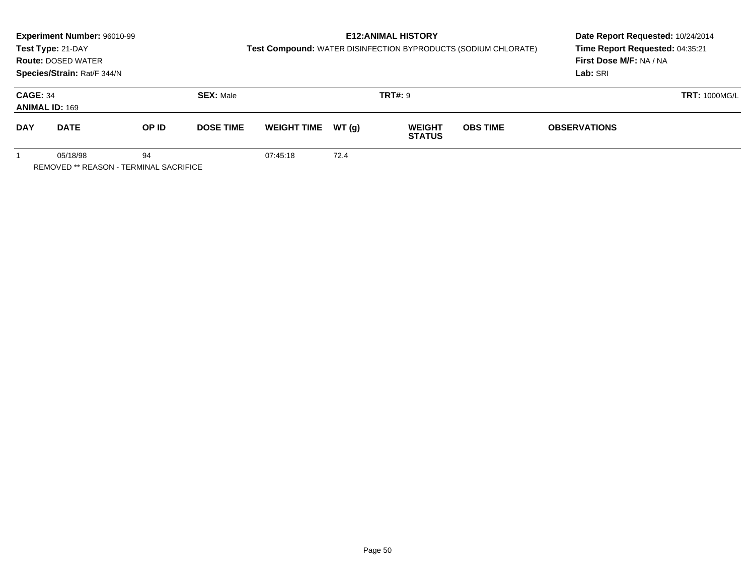|                                                          | <b>Experiment Number: 96010-99</b><br>Test Type: 21-DAY<br><b>Route: DOSED WATER</b><br>Species/Strain: Rat/F 344/N |       |                  | Test Compound: WATER DISINFECTION BYPRODUCTS (SODIUM CHLORATE) | <b>E12: ANIMAL HISTORY</b> | Date Report Requested: 10/24/2014<br>Time Report Requested: 04:35:21<br>First Dose M/F: NA / NA<br>Lab: SRI |                 |                      |  |
|----------------------------------------------------------|---------------------------------------------------------------------------------------------------------------------|-------|------------------|----------------------------------------------------------------|----------------------------|-------------------------------------------------------------------------------------------------------------|-----------------|----------------------|--|
| <b>CAGE: 34</b>                                          | <b>ANIMAL ID: 169</b>                                                                                               |       | <b>SEX: Male</b> |                                                                |                            | <b>TRT#: 9</b>                                                                                              |                 | <b>TRT: 1000MG/L</b> |  |
| <b>DAY</b>                                               | <b>DATE</b>                                                                                                         | OP ID | <b>DOSE TIME</b> | <b>WEIGHT TIME</b>                                             | WT (q)                     | <b>WEIGHT</b><br><b>STATUS</b>                                                                              | <b>OBS TIME</b> | <b>OBSERVATIONS</b>  |  |
| 05/18/98<br>94<br>REMOVED ** REASON - TERMINAL SACRIFICE |                                                                                                                     |       |                  | 07:45:18                                                       | 72.4                       |                                                                                                             |                 |                      |  |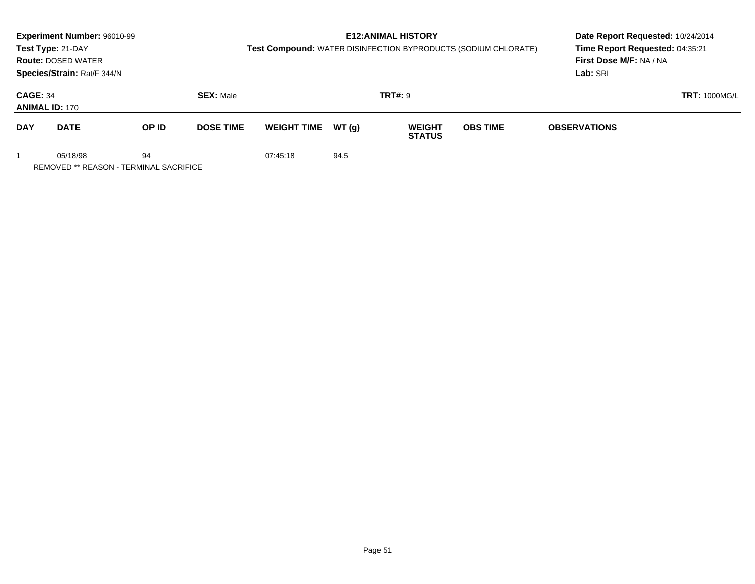|                                                          | Experiment Number: 96010-99<br>Test Type: 21-DAY<br><b>Route: DOSED WATER</b> |       |                  | Test Compound: WATER DISINFECTION BYPRODUCTS (SODIUM CHLORATE) |        | <b>E12: ANIMAL HISTORY</b>     | Date Report Requested: 10/24/2014<br>Time Report Requested: 04:35:21<br>First Dose M/F: NA / NA |                     |                      |
|----------------------------------------------------------|-------------------------------------------------------------------------------|-------|------------------|----------------------------------------------------------------|--------|--------------------------------|-------------------------------------------------------------------------------------------------|---------------------|----------------------|
| Species/Strain: Rat/F 344/N<br><b>CAGE: 34</b>           |                                                                               |       | <b>SEX: Male</b> |                                                                |        | <b>TRT#: 9</b>                 |                                                                                                 | Lab: SRI            | <b>TRT: 1000MG/L</b> |
|                                                          | <b>ANIMAL ID: 170</b>                                                         |       |                  |                                                                |        |                                |                                                                                                 |                     |                      |
| <b>DAY</b>                                               | <b>DATE</b>                                                                   | OP ID | <b>DOSE TIME</b> | <b>WEIGHT TIME</b>                                             | WT (a) | <b>WEIGHT</b><br><b>STATUS</b> | <b>OBS TIME</b>                                                                                 | <b>OBSERVATIONS</b> |                      |
| 05/18/98<br>94<br>REMOVED ** REASON - TERMINAL SACRIFICE |                                                                               |       |                  | 07:45:18                                                       | 94.5   |                                |                                                                                                 |                     |                      |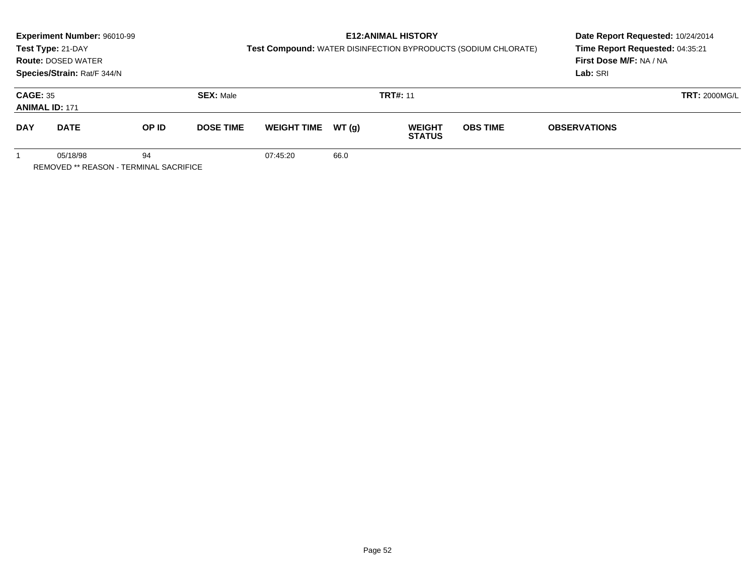|                                                                 | Experiment Number: 96010-99<br>Test Type: 21-DAY<br><b>Route: DOSED WATER</b><br>Species/Strain: Rat/F 344/N |       |                  | Test Compound: WATER DISINFECTION BYPRODUCTS (SODIUM CHLORATE) | <b>E12: ANIMAL HISTORY</b> | Date Report Requested: 10/24/2014<br>Time Report Requested: 04:35:21<br>First Dose M/F: NA / NA<br>Lab: SRI |                 |                      |  |
|-----------------------------------------------------------------|--------------------------------------------------------------------------------------------------------------|-------|------------------|----------------------------------------------------------------|----------------------------|-------------------------------------------------------------------------------------------------------------|-----------------|----------------------|--|
| <b>CAGE: 35</b>                                                 | <b>ANIMAL ID: 171</b>                                                                                        |       | <b>SEX: Male</b> |                                                                |                            | <b>TRT#: 11</b>                                                                                             |                 | <b>TRT: 2000MG/L</b> |  |
| <b>DAY</b>                                                      | <b>DATE</b>                                                                                                  | OP ID | <b>DOSE TIME</b> | <b>WEIGHT TIME</b>                                             | WT (q)                     | <b>WEIGHT</b><br><b>STATUS</b>                                                                              | <b>OBS TIME</b> | <b>OBSERVATIONS</b>  |  |
| 94<br>05/18/98<br><b>REMOVED ** REASON - TERMINAL SACRIFICE</b> |                                                                                                              |       |                  | 07:45:20                                                       | 66.0                       |                                                                                                             |                 |                      |  |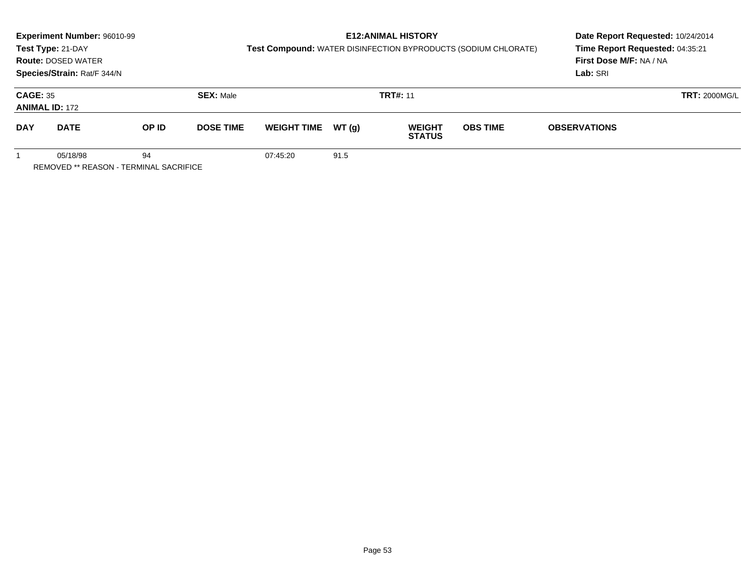|                 | Experiment Number: 96010-99<br>Test Type: 21-DAY<br><b>Route: DOSED WATER</b><br>Species/Strain: Rat/F 344/N |       |                  | Test Compound: WATER DISINFECTION BYPRODUCTS (SODIUM CHLORATE) | <b>E12: ANIMAL HISTORY</b> | Date Report Requested: 10/24/2014<br>Time Report Requested: 04:35:21<br>First Dose M/F: NA / NA<br>Lab: SRI |                 |                      |  |
|-----------------|--------------------------------------------------------------------------------------------------------------|-------|------------------|----------------------------------------------------------------|----------------------------|-------------------------------------------------------------------------------------------------------------|-----------------|----------------------|--|
| <b>CAGE: 35</b> | <b>ANIMAL ID: 172</b>                                                                                        |       | <b>SEX: Male</b> |                                                                |                            | <b>TRT#: 11</b>                                                                                             |                 | <b>TRT: 2000MG/L</b> |  |
| <b>DAY</b>      | <b>DATE</b>                                                                                                  | OP ID | <b>DOSE TIME</b> | <b>WEIGHT TIME</b>                                             | WT (q)                     | <b>WEIGHT</b><br><b>STATUS</b>                                                                              | <b>OBS TIME</b> | <b>OBSERVATIONS</b>  |  |
|                 | 05/18/98<br><b>REMOVED ** REASON - TERMINAL SACRIFICE</b>                                                    |       | 07:45:20         | 91.5                                                           |                            |                                                                                                             |                 |                      |  |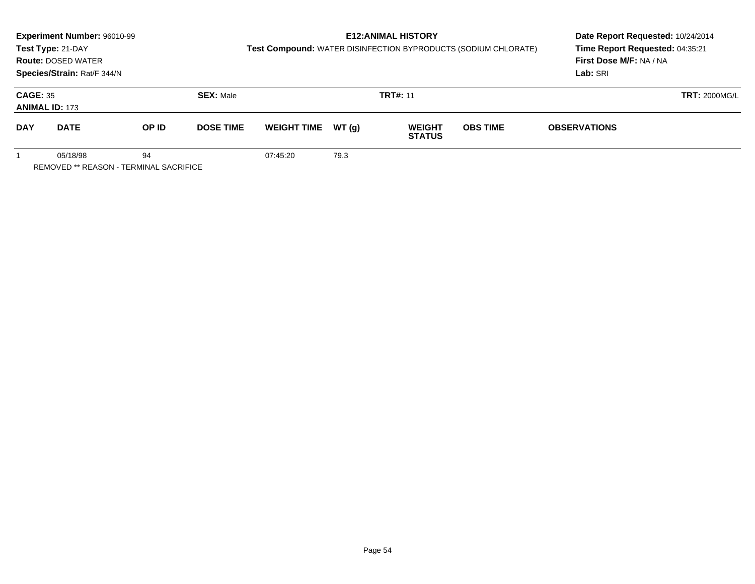|                                                                 | Experiment Number: 96010-99<br>Test Type: 21-DAY<br><b>Route: DOSED WATER</b><br>Species/Strain: Rat/F 344/N |       |                  | Test Compound: WATER DISINFECTION BYPRODUCTS (SODIUM CHLORATE) | Date Report Requested: 10/24/2014<br>Time Report Requested: 04:35:21<br>First Dose M/F: NA / NA<br>Lab: SRI |                                |                 |                      |  |
|-----------------------------------------------------------------|--------------------------------------------------------------------------------------------------------------|-------|------------------|----------------------------------------------------------------|-------------------------------------------------------------------------------------------------------------|--------------------------------|-----------------|----------------------|--|
| <b>CAGE: 35</b>                                                 | <b>ANIMAL ID: 173</b>                                                                                        |       | <b>SEX: Male</b> |                                                                |                                                                                                             | <b>TRT#: 11</b>                |                 | <b>TRT: 2000MG/L</b> |  |
| <b>DAY</b>                                                      | <b>DATE</b>                                                                                                  | OP ID | <b>DOSE TIME</b> | <b>WEIGHT TIME</b>                                             | WT(g)                                                                                                       | <b>WEIGHT</b><br><b>STATUS</b> | <b>OBS TIME</b> | <b>OBSERVATIONS</b>  |  |
| 05/18/98<br>94<br><b>REMOVED ** REASON - TERMINAL SACRIFICE</b> |                                                                                                              |       |                  | 07:45:20                                                       | 79.3                                                                                                        |                                |                 |                      |  |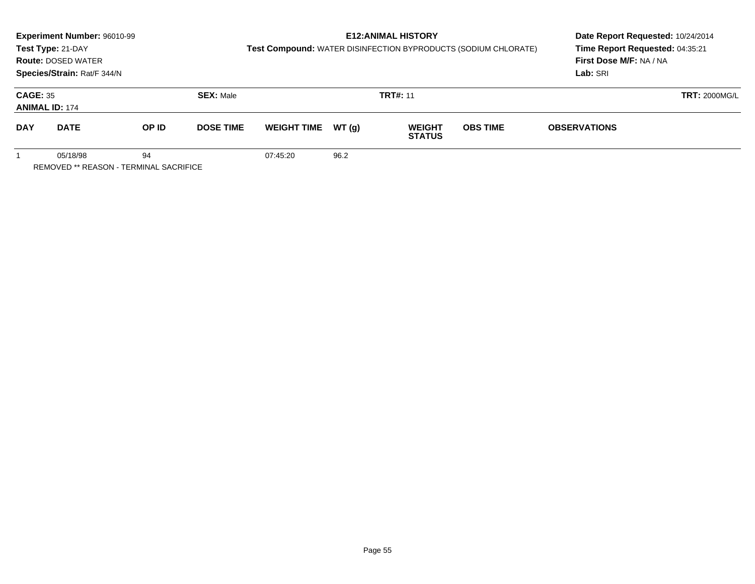|                                                                 | Experiment Number: 96010-99<br>Test Type: 21-DAY<br><b>Route: DOSED WATER</b><br>Species/Strain: Rat/F 344/N |       |                  | Test Compound: WATER DISINFECTION BYPRODUCTS (SODIUM CHLORATE) | Date Report Requested: 10/24/2014<br>Time Report Requested: 04:35:21<br>First Dose M/F: NA / NA<br>Lab: SRI |                                |                 |                      |  |
|-----------------------------------------------------------------|--------------------------------------------------------------------------------------------------------------|-------|------------------|----------------------------------------------------------------|-------------------------------------------------------------------------------------------------------------|--------------------------------|-----------------|----------------------|--|
| <b>CAGE: 35</b>                                                 | <b>ANIMAL ID: 174</b>                                                                                        |       | <b>SEX: Male</b> |                                                                |                                                                                                             | <b>TRT#: 11</b>                |                 | <b>TRT: 2000MG/L</b> |  |
| <b>DAY</b>                                                      | <b>DATE</b>                                                                                                  | OP ID | <b>DOSE TIME</b> | <b>WEIGHT TIME</b>                                             | WT(g)                                                                                                       | <b>WEIGHT</b><br><b>STATUS</b> | <b>OBS TIME</b> | <b>OBSERVATIONS</b>  |  |
| 05/18/98<br>94<br><b>REMOVED ** REASON - TERMINAL SACRIFICE</b> |                                                                                                              |       |                  | 07:45:20                                                       | 96.2                                                                                                        |                                |                 |                      |  |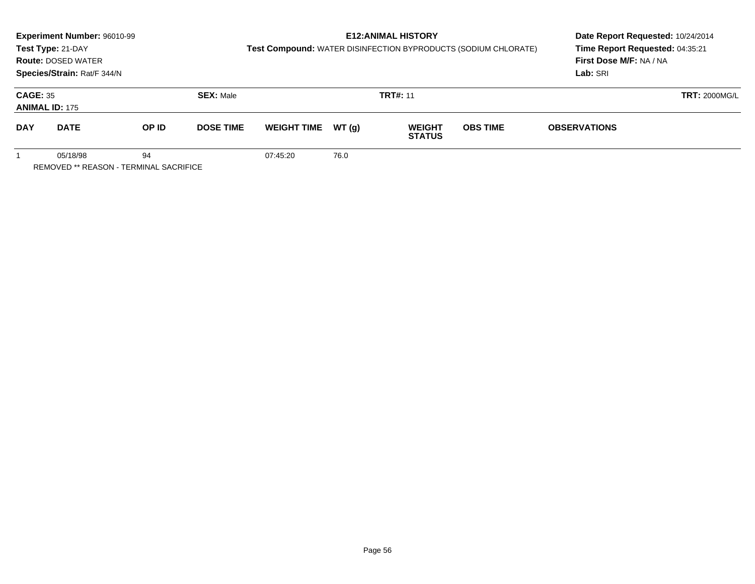|                                                                 | Experiment Number: 96010-99<br>Test Type: 21-DAY<br><b>Route: DOSED WATER</b><br>Species/Strain: Rat/F 344/N |       |                  | Test Compound: WATER DISINFECTION BYPRODUCTS (SODIUM CHLORATE) | Date Report Requested: 10/24/2014<br>Time Report Requested: 04:35:21<br>First Dose M/F: NA / NA<br>Lab: SRI |                                |                 |                      |  |
|-----------------------------------------------------------------|--------------------------------------------------------------------------------------------------------------|-------|------------------|----------------------------------------------------------------|-------------------------------------------------------------------------------------------------------------|--------------------------------|-----------------|----------------------|--|
| <b>CAGE: 35</b>                                                 | <b>ANIMAL ID: 175</b>                                                                                        |       | <b>SEX: Male</b> |                                                                |                                                                                                             | <b>TRT#: 11</b>                |                 | <b>TRT: 2000MG/L</b> |  |
| <b>DAY</b>                                                      | <b>DATE</b>                                                                                                  | OP ID | <b>DOSE TIME</b> | <b>WEIGHT TIME</b>                                             | WT (q)                                                                                                      | <b>WEIGHT</b><br><b>STATUS</b> | <b>OBS TIME</b> | <b>OBSERVATIONS</b>  |  |
| 05/18/98<br>94<br><b>REMOVED ** REASON - TERMINAL SACRIFICE</b> |                                                                                                              |       |                  | 07:45:20                                                       | 76.0                                                                                                        |                                |                 |                      |  |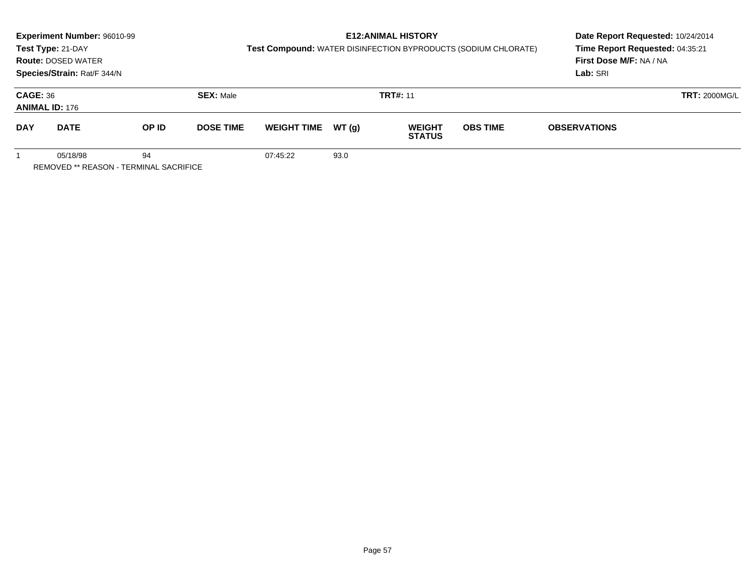|                                                                 | Experiment Number: 96010-99<br>Test Type: 21-DAY<br><b>Route: DOSED WATER</b><br>Species/Strain: Rat/F 344/N |       |                  | Test Compound: WATER DISINFECTION BYPRODUCTS (SODIUM CHLORATE) | <b>E12: ANIMAL HISTORY</b> | Date Report Requested: 10/24/2014<br>Time Report Requested: 04:35:21<br>First Dose M/F: NA / NA<br>Lab: SRI |                 |                      |  |
|-----------------------------------------------------------------|--------------------------------------------------------------------------------------------------------------|-------|------------------|----------------------------------------------------------------|----------------------------|-------------------------------------------------------------------------------------------------------------|-----------------|----------------------|--|
| <b>CAGE: 36</b>                                                 | <b>ANIMAL ID: 176</b>                                                                                        |       | <b>SEX: Male</b> |                                                                |                            | <b>TRT#: 11</b>                                                                                             |                 | <b>TRT: 2000MG/L</b> |  |
| <b>DAY</b>                                                      | <b>DATE</b>                                                                                                  | OP ID | <b>DOSE TIME</b> | <b>WEIGHT TIME</b>                                             | WT (q)                     | <b>WEIGHT</b><br><b>STATUS</b>                                                                              | <b>OBS TIME</b> | <b>OBSERVATIONS</b>  |  |
| 05/18/98<br>94<br><b>REMOVED ** REASON - TERMINAL SACRIFICE</b> |                                                                                                              |       |                  | 07:45:22                                                       | 93.0                       |                                                                                                             |                 |                      |  |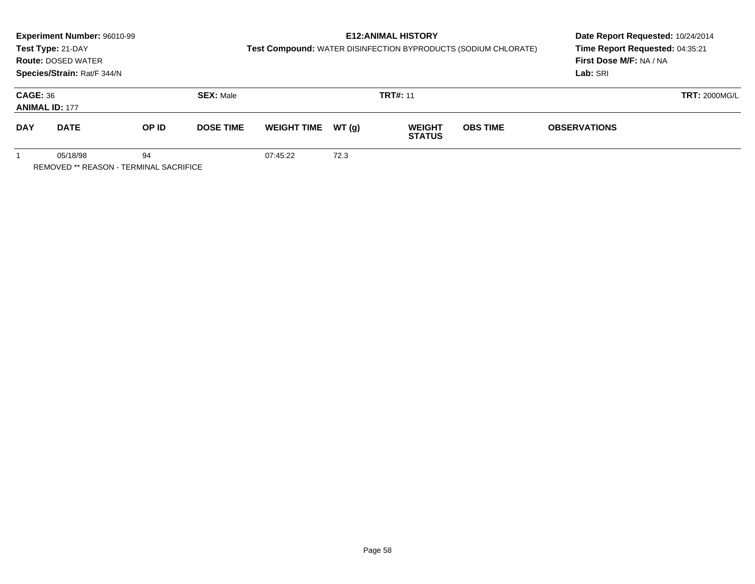|                 | Experiment Number: 96010-99<br>Test Type: 21-DAY<br><b>Route: DOSED WATER</b><br>Species/Strain: Rat/F 344/N |       |                  | Test Compound: WATER DISINFECTION BYPRODUCTS (SODIUM CHLORATE) | Date Report Requested: 10/24/2014<br>Time Report Requested: 04:35:21<br>First Dose M/F: NA / NA<br>Lab: SRI |                                |                 |                      |  |
|-----------------|--------------------------------------------------------------------------------------------------------------|-------|------------------|----------------------------------------------------------------|-------------------------------------------------------------------------------------------------------------|--------------------------------|-----------------|----------------------|--|
| <b>CAGE: 36</b> | <b>ANIMAL ID: 177</b>                                                                                        |       | <b>SEX: Male</b> |                                                                |                                                                                                             | <b>TRT#: 11</b>                |                 | <b>TRT: 2000MG/L</b> |  |
| <b>DAY</b>      | <b>DATE</b>                                                                                                  | OP ID | <b>DOSE TIME</b> | <b>WEIGHT TIME</b>                                             | WT(g)                                                                                                       | <b>WEIGHT</b><br><b>STATUS</b> | <b>OBS TIME</b> | <b>OBSERVATIONS</b>  |  |
|                 | 05/18/98<br><b>REMOVED ** REASON - TERMINAL SACRIFICE</b>                                                    | 94    |                  | 07:45:22                                                       | 72.3                                                                                                        |                                |                 |                      |  |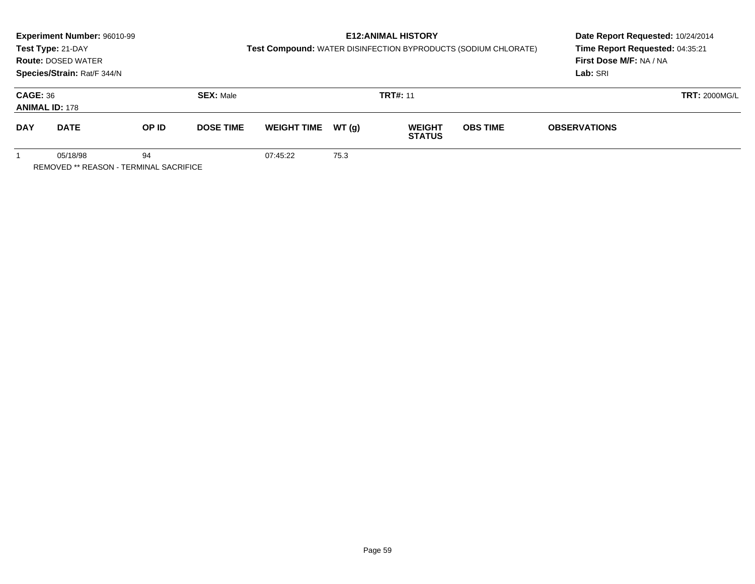|                                                                 | Experiment Number: 96010-99<br>Test Type: 21-DAY<br><b>Route: DOSED WATER</b><br>Species/Strain: Rat/F 344/N |       |                  | Test Compound: WATER DISINFECTION BYPRODUCTS (SODIUM CHLORATE) | <b>E12: ANIMAL HISTORY</b> | Date Report Requested: 10/24/2014<br>Time Report Requested: 04:35:21<br>First Dose M/F: NA / NA<br>Lab: SRI |                 |                      |  |
|-----------------------------------------------------------------|--------------------------------------------------------------------------------------------------------------|-------|------------------|----------------------------------------------------------------|----------------------------|-------------------------------------------------------------------------------------------------------------|-----------------|----------------------|--|
| <b>CAGE: 36</b>                                                 | <b>ANIMAL ID: 178</b>                                                                                        |       | <b>SEX: Male</b> |                                                                |                            | <b>TRT#: 11</b>                                                                                             |                 | <b>TRT: 2000MG/L</b> |  |
| <b>DAY</b>                                                      | <b>DATE</b>                                                                                                  | OP ID | <b>DOSE TIME</b> | <b>WEIGHT TIME</b>                                             | WT(g)                      | <b>WEIGHT</b><br><b>STATUS</b>                                                                              | <b>OBS TIME</b> | <b>OBSERVATIONS</b>  |  |
| 05/18/98<br>94<br><b>REMOVED ** REASON - TERMINAL SACRIFICE</b> |                                                                                                              |       |                  | 07:45:22                                                       | 75.3                       |                                                                                                             |                 |                      |  |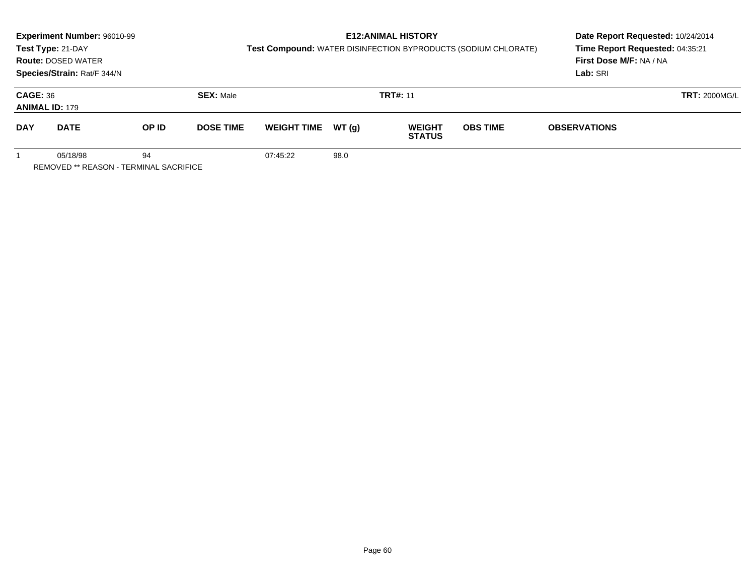|                                                                 | Experiment Number: 96010-99<br>Test Type: 21-DAY<br><b>Route: DOSED WATER</b><br>Species/Strain: Rat/F 344/N |       |                  | Test Compound: WATER DISINFECTION BYPRODUCTS (SODIUM CHLORATE) | <b>E12: ANIMAL HISTORY</b> | Date Report Requested: 10/24/2014<br>Time Report Requested: 04:35:21<br>First Dose M/F: NA / NA<br>Lab: SRI |                 |                      |  |
|-----------------------------------------------------------------|--------------------------------------------------------------------------------------------------------------|-------|------------------|----------------------------------------------------------------|----------------------------|-------------------------------------------------------------------------------------------------------------|-----------------|----------------------|--|
| <b>CAGE: 36</b>                                                 | <b>ANIMAL ID: 179</b>                                                                                        |       | <b>SEX: Male</b> |                                                                |                            | <b>TRT#: 11</b>                                                                                             |                 | <b>TRT: 2000MG/L</b> |  |
| <b>DAY</b>                                                      | <b>DATE</b>                                                                                                  | OP ID | <b>DOSE TIME</b> | <b>WEIGHT TIME</b>                                             | WT (q)                     | <b>WEIGHT</b><br><b>STATUS</b>                                                                              | <b>OBS TIME</b> | <b>OBSERVATIONS</b>  |  |
| 05/18/98<br>94<br><b>REMOVED ** REASON - TERMINAL SACRIFICE</b> |                                                                                                              |       |                  | 07:45:22                                                       | 98.0                       |                                                                                                             |                 |                      |  |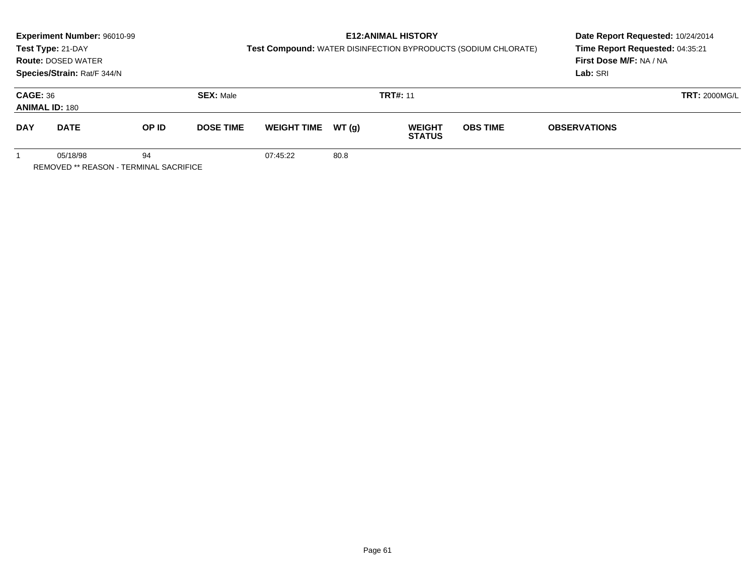|                 | Experiment Number: 96010-99<br>Test Type: 21-DAY<br><b>Route: DOSED WATER</b><br>Species/Strain: Rat/F 344/N |       |                  | Test Compound: WATER DISINFECTION BYPRODUCTS (SODIUM CHLORATE) | <b>E12: ANIMAL HISTORY</b> | Date Report Requested: 10/24/2014<br>Time Report Requested: 04:35:21<br>First Dose M/F: NA / NA<br>Lab: SRI |                 |                      |  |
|-----------------|--------------------------------------------------------------------------------------------------------------|-------|------------------|----------------------------------------------------------------|----------------------------|-------------------------------------------------------------------------------------------------------------|-----------------|----------------------|--|
| <b>CAGE: 36</b> | <b>ANIMAL ID: 180</b>                                                                                        |       | <b>SEX: Male</b> |                                                                |                            | <b>TRT#: 11</b>                                                                                             |                 | <b>TRT: 2000MG/L</b> |  |
| <b>DAY</b>      | <b>DATE</b>                                                                                                  | OP ID | <b>DOSE TIME</b> | <b>WEIGHT TIME</b>                                             | WT (q)                     | <b>WEIGHT</b><br><b>STATUS</b>                                                                              | <b>OBS TIME</b> | <b>OBSERVATIONS</b>  |  |
|                 | 05/18/98<br><b>REMOVED ** REASON - TERMINAL SACRIFICE</b>                                                    | 94    |                  | 07:45:22                                                       | 80.8                       |                                                                                                             |                 |                      |  |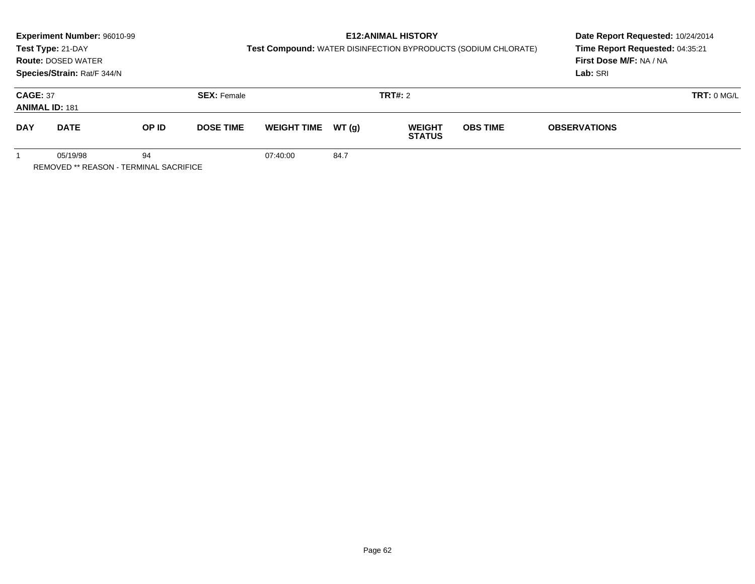|                 | Experiment Number: 96010-99<br>Test Type: 21-DAY<br><b>Route: DOSED WATER</b><br>Species/Strain: Rat/F 344/N |       |                    | Test Compound: WATER DISINFECTION BYPRODUCTS (SODIUM CHLORATE) | Date Report Requested: 10/24/2014<br>Time Report Requested: 04:35:21<br><b>First Dose M/F: NA / NA</b><br>Lab: SRI |                                |                 |                     |            |
|-----------------|--------------------------------------------------------------------------------------------------------------|-------|--------------------|----------------------------------------------------------------|--------------------------------------------------------------------------------------------------------------------|--------------------------------|-----------------|---------------------|------------|
| <b>CAGE: 37</b> | <b>ANIMAL ID: 181</b>                                                                                        |       | <b>SEX: Female</b> |                                                                |                                                                                                                    | <b>TRT#: 2</b>                 |                 |                     | TRT: 0 MGL |
| <b>DAY</b>      | <b>DATE</b>                                                                                                  | OP ID | <b>DOSE TIME</b>   | <b>WEIGHT TIME</b>                                             | WT (q)                                                                                                             | <b>WEIGHT</b><br><b>STATUS</b> | <b>OBS TIME</b> | <b>OBSERVATIONS</b> |            |
|                 | 05/19/98                                                                                                     | 94    |                    | 07:40:00                                                       | 84.7                                                                                                               |                                |                 |                     |            |

REMOVED \*\* REASON - TERMINAL SACRIFICE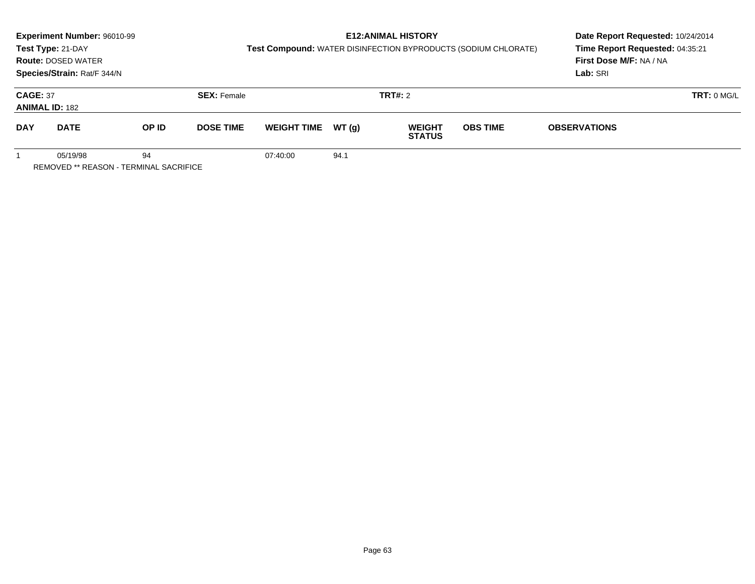|                 | Experiment Number: 96010-99<br>Test Type: 21-DAY<br><b>Route: DOSED WATER</b><br>Species/Strain: Rat/F 344/N |       |                    | Test Compound: WATER DISINFECTION BYPRODUCTS (SODIUM CHLORATE) | Date Report Requested: 10/24/2014<br>Time Report Requested: 04:35:21<br>First Dose M/F: NA / NA<br>Lab: SRI |                                |                 |                     |            |
|-----------------|--------------------------------------------------------------------------------------------------------------|-------|--------------------|----------------------------------------------------------------|-------------------------------------------------------------------------------------------------------------|--------------------------------|-----------------|---------------------|------------|
| <b>CAGE: 37</b> | <b>ANIMAL ID: 182</b>                                                                                        |       | <b>SEX: Female</b> |                                                                |                                                                                                             | <b>TRT#: 2</b>                 |                 |                     | TRT: 0 MGL |
| <b>DAY</b>      | <b>DATE</b>                                                                                                  | OP ID | <b>DOSE TIME</b>   | <b>WEIGHT TIME</b>                                             | WT(g)                                                                                                       | <b>WEIGHT</b><br><b>STATUS</b> | <b>OBS TIME</b> | <b>OBSERVATIONS</b> |            |
|                 | 05/19/98<br>REMOVED ** REASON - TERMINAL SACRIFICE                                                           | 94    |                    | 07:40:00                                                       | 94.1                                                                                                        |                                |                 |                     |            |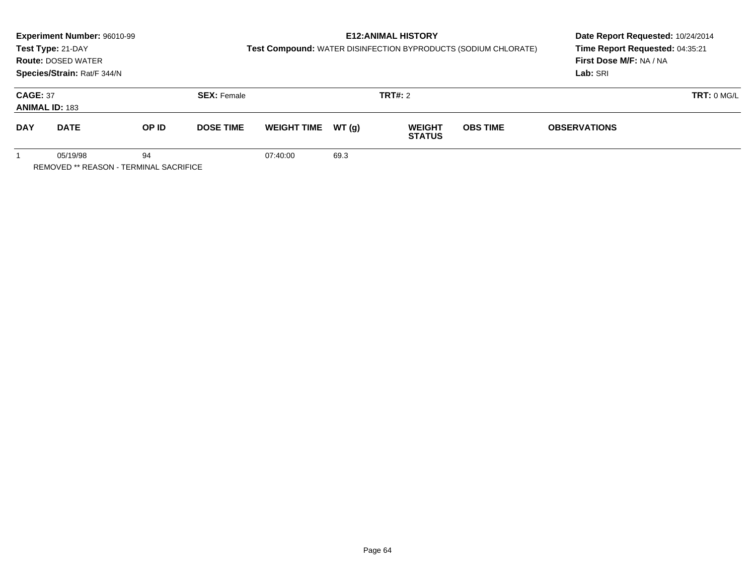|                 | Experiment Number: 96010-99<br>Test Type: 21-DAY<br><b>Route: DOSED WATER</b><br>Species/Strain: Rat/F 344/N |       |                    | Test Compound: WATER DISINFECTION BYPRODUCTS (SODIUM CHLORATE) | Date Report Requested: 10/24/2014<br>Time Report Requested: 04:35:21<br>First Dose M/F: NA / NA<br>Lab: SRI |                                |                 |                     |            |
|-----------------|--------------------------------------------------------------------------------------------------------------|-------|--------------------|----------------------------------------------------------------|-------------------------------------------------------------------------------------------------------------|--------------------------------|-----------------|---------------------|------------|
| <b>CAGE: 37</b> | <b>ANIMAL ID: 183</b>                                                                                        |       | <b>SEX: Female</b> |                                                                |                                                                                                             | <b>TRT#: 2</b>                 |                 |                     | TRT: 0 MGL |
| <b>DAY</b>      | <b>DATE</b>                                                                                                  | OP ID | <b>DOSE TIME</b>   | <b>WEIGHT TIME</b>                                             | WT(g)                                                                                                       | <b>WEIGHT</b><br><b>STATUS</b> | <b>OBS TIME</b> | <b>OBSERVATIONS</b> |            |
|                 | 05/19/98<br>REMOVED ** REASON - TERMINAL SACRIFICE                                                           | 94    |                    | 07:40:00                                                       | 69.3                                                                                                        |                                |                 |                     |            |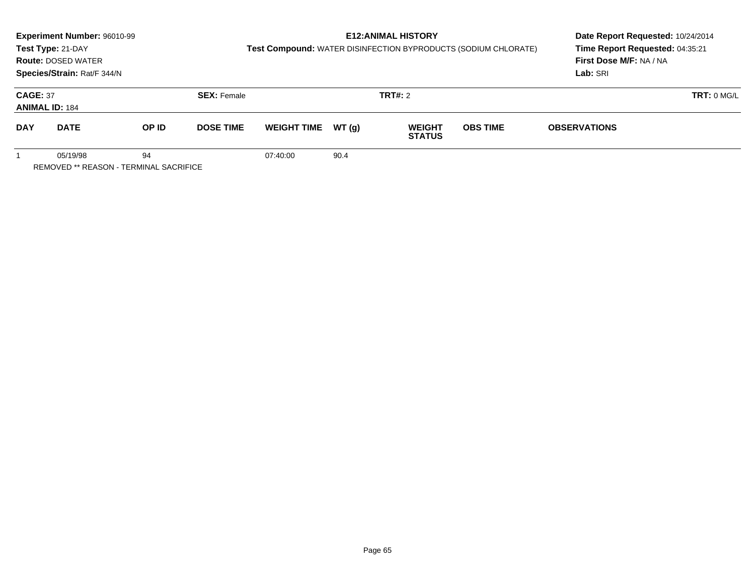|                 | Experiment Number: 96010-99<br>Test Type: 21-DAY<br><b>Route: DOSED WATER</b><br>Species/Strain: Rat/F 344/N |       |                    | Test Compound: WATER DISINFECTION BYPRODUCTS (SODIUM CHLORATE) | Date Report Requested: 10/24/2014<br>Time Report Requested: 04:35:21<br>First Dose M/F: NA / NA<br>Lab: SRI |                                |                 |                     |            |
|-----------------|--------------------------------------------------------------------------------------------------------------|-------|--------------------|----------------------------------------------------------------|-------------------------------------------------------------------------------------------------------------|--------------------------------|-----------------|---------------------|------------|
| <b>CAGE: 37</b> | <b>ANIMAL ID: 184</b>                                                                                        |       | <b>SEX: Female</b> |                                                                |                                                                                                             | <b>TRT#: 2</b>                 |                 |                     | TRT: 0 MGL |
| <b>DAY</b>      | <b>DATE</b>                                                                                                  | OP ID | <b>DOSE TIME</b>   | <b>WEIGHT TIME</b>                                             | WT(g)                                                                                                       | <b>WEIGHT</b><br><b>STATUS</b> | <b>OBS TIME</b> | <b>OBSERVATIONS</b> |            |
|                 | 05/19/98<br>REMOVED ** REASON - TERMINAL SACRIFICE                                                           | 94    |                    | 07:40:00                                                       | 90.4                                                                                                        |                                |                 |                     |            |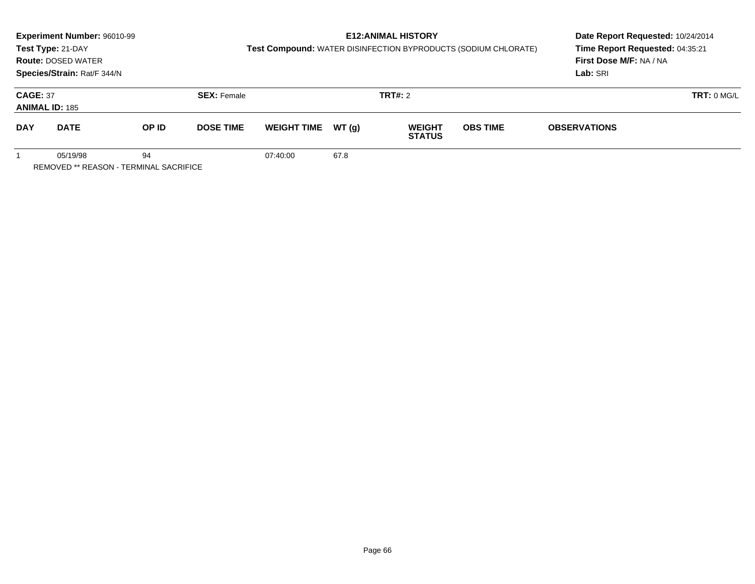|                 | Experiment Number: 96010-99<br>Test Type: 21-DAY<br><b>Route: DOSED WATER</b><br>Species/Strain: Rat/F 344/N |       |                    | Test Compound: WATER DISINFECTION BYPRODUCTS (SODIUM CHLORATE) | Date Report Requested: 10/24/2014<br>Time Report Requested: 04:35:21<br>First Dose M/F: NA / NA<br>Lab: SRI |                                |                 |                     |            |
|-----------------|--------------------------------------------------------------------------------------------------------------|-------|--------------------|----------------------------------------------------------------|-------------------------------------------------------------------------------------------------------------|--------------------------------|-----------------|---------------------|------------|
| <b>CAGE: 37</b> | <b>ANIMAL ID: 185</b>                                                                                        |       | <b>SEX: Female</b> |                                                                |                                                                                                             | <b>TRT#: 2</b>                 |                 |                     | TRT: 0 MGL |
| <b>DAY</b>      | <b>DATE</b>                                                                                                  | OP ID | <b>DOSE TIME</b>   | <b>WEIGHT TIME</b>                                             | WT(g)                                                                                                       | <b>WEIGHT</b><br><b>STATUS</b> | <b>OBS TIME</b> | <b>OBSERVATIONS</b> |            |
|                 | 05/19/98<br>REMOVED ** REASON - TERMINAL SACRIFICE                                                           | 94    |                    | 07:40:00                                                       | 67.8                                                                                                        |                                |                 |                     |            |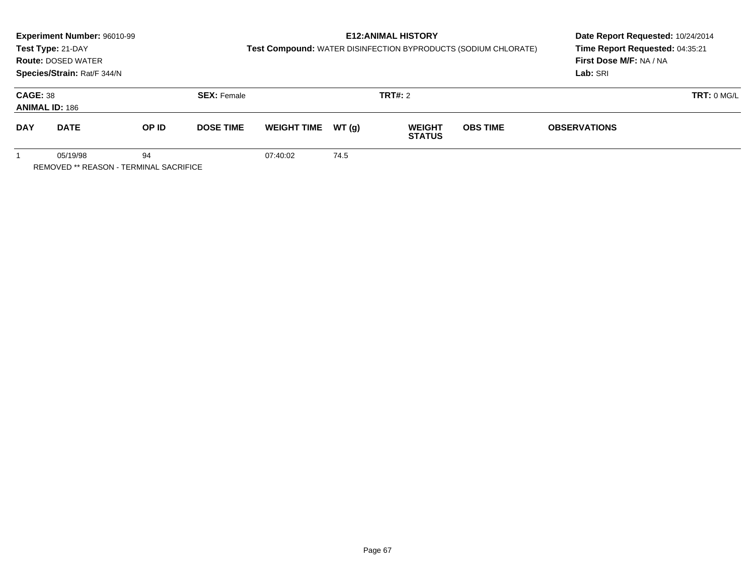|                 | Experiment Number: 96010-99<br>Test Type: 21-DAY<br><b>Route: DOSED WATER</b><br>Species/Strain: Rat/F 344/N |       |                    | Test Compound: WATER DISINFECTION BYPRODUCTS (SODIUM CHLORATE) | Date Report Requested: 10/24/2014<br>Time Report Requested: 04:35:21<br>First Dose M/F: NA / NA<br>Lab: SRI |                                |                 |                     |            |
|-----------------|--------------------------------------------------------------------------------------------------------------|-------|--------------------|----------------------------------------------------------------|-------------------------------------------------------------------------------------------------------------|--------------------------------|-----------------|---------------------|------------|
| <b>CAGE: 38</b> | <b>ANIMAL ID: 186</b>                                                                                        |       | <b>SEX: Female</b> |                                                                |                                                                                                             | <b>TRT#: 2</b>                 |                 |                     | TRT: 0 MGL |
| <b>DAY</b>      | <b>DATE</b>                                                                                                  | OP ID | <b>DOSE TIME</b>   | <b>WEIGHT TIME</b>                                             | WT(g)                                                                                                       | <b>WEIGHT</b><br><b>STATUS</b> | <b>OBS TIME</b> | <b>OBSERVATIONS</b> |            |
|                 | 05/19/98<br>REMOVED ** REASON - TERMINAL SACRIFICE                                                           | 94    |                    | 07:40:02                                                       | 74.5                                                                                                        |                                |                 |                     |            |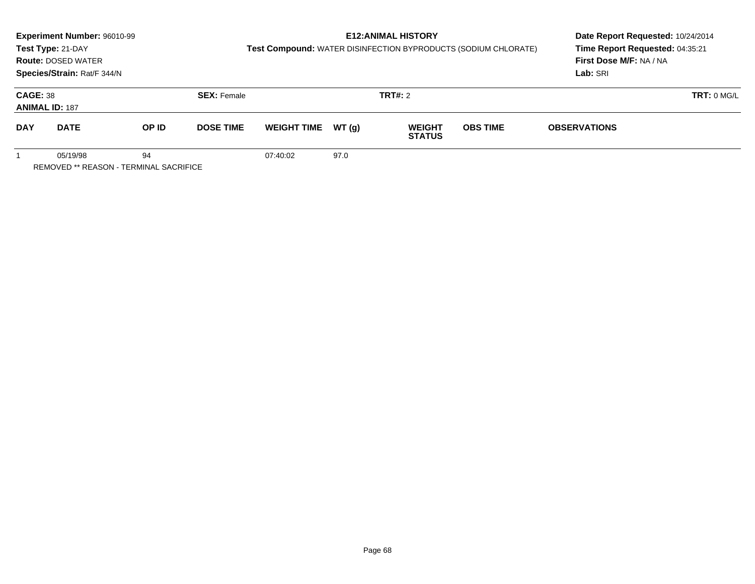|                 | Experiment Number: 96010-99<br>Test Type: 21-DAY<br><b>Route: DOSED WATER</b><br>Species/Strain: Rat/F 344/N |       |                    | Test Compound: WATER DISINFECTION BYPRODUCTS (SODIUM CHLORATE) | Date Report Requested: 10/24/2014<br>Time Report Requested: 04:35:21<br>First Dose M/F: NA / NA<br>Lab: SRI |                                |                 |                     |
|-----------------|--------------------------------------------------------------------------------------------------------------|-------|--------------------|----------------------------------------------------------------|-------------------------------------------------------------------------------------------------------------|--------------------------------|-----------------|---------------------|
| <b>CAGE: 38</b> | <b>ANIMAL ID: 187</b>                                                                                        |       | <b>SEX: Female</b> |                                                                |                                                                                                             | <b>TRT#:</b> 2                 |                 | TRT: 0 MGL          |
| <b>DAY</b>      | <b>DATE</b>                                                                                                  | OP ID | <b>DOSE TIME</b>   | <b>WEIGHT TIME</b>                                             | WT(q)                                                                                                       | <b>WEIGHT</b><br><b>STATUS</b> | <b>OBS TIME</b> | <b>OBSERVATIONS</b> |
|                 | 05/19/98<br>REMOVED ** REASON - TERMINAL SACRIFICE                                                           | 94    |                    | 07:40:02                                                       | 97.0                                                                                                        |                                |                 |                     |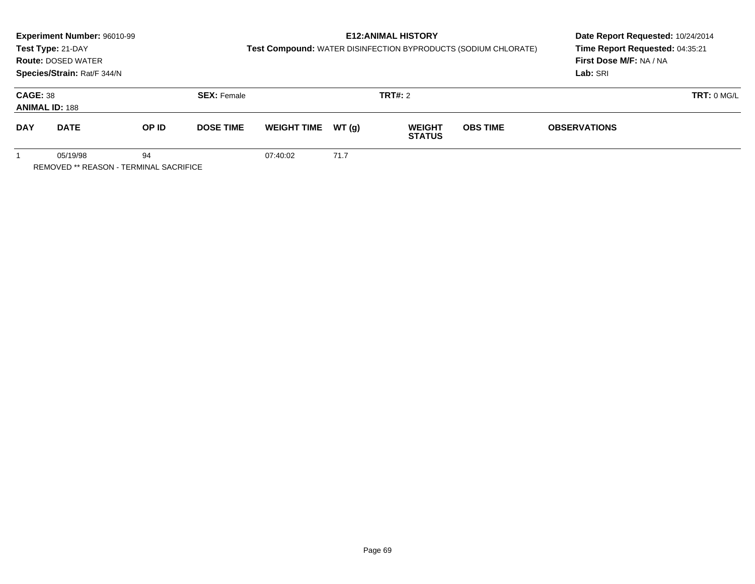|                 | Experiment Number: 96010-99<br>Test Type: 21-DAY<br><b>Route: DOSED WATER</b><br>Species/Strain: Rat/F 344/N |       |                    | Test Compound: WATER DISINFECTION BYPRODUCTS (SODIUM CHLORATE) | Date Report Requested: 10/24/2014<br>Time Report Requested: 04:35:21<br><b>First Dose M/F: NA / NA</b><br>Lab: SRI |                                |                 |                     |            |
|-----------------|--------------------------------------------------------------------------------------------------------------|-------|--------------------|----------------------------------------------------------------|--------------------------------------------------------------------------------------------------------------------|--------------------------------|-----------------|---------------------|------------|
| <b>CAGE: 38</b> | <b>ANIMAL ID: 188</b>                                                                                        |       | <b>SEX: Female</b> |                                                                |                                                                                                                    | <b>TRT#: 2</b>                 |                 |                     | TRT: 0 MGL |
| <b>DAY</b>      | <b>DATE</b>                                                                                                  | OP ID | <b>DOSE TIME</b>   | <b>WEIGHT TIME</b>                                             | WT (q)                                                                                                             | <b>WEIGHT</b><br><b>STATUS</b> | <b>OBS TIME</b> | <b>OBSERVATIONS</b> |            |
|                 | 05/19/98                                                                                                     | 94    |                    | 07:40:02                                                       | 71.7                                                                                                               |                                |                 |                     |            |

REMOVED \*\* REASON - TERMINAL SACRIFICE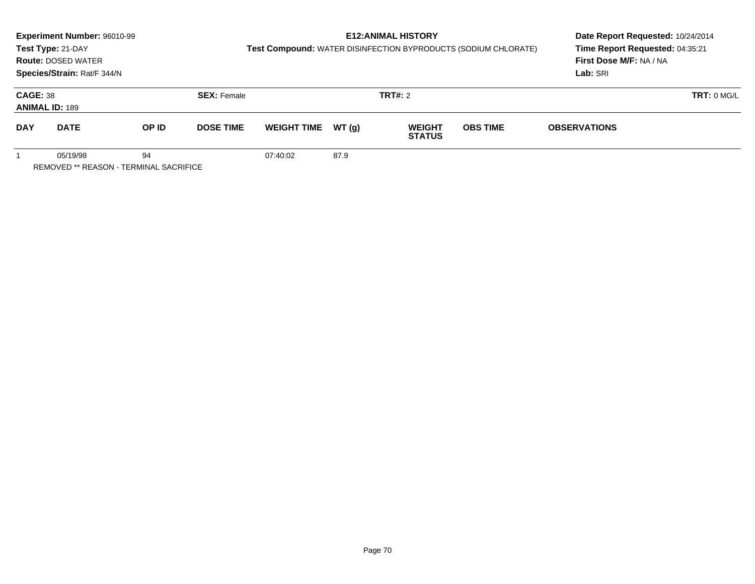|                 | Experiment Number: 96010-99<br>Test Type: 21-DAY<br><b>Route: DOSED WATER</b><br>Species/Strain: Rat/F 344/N |       |                    | Test Compound: WATER DISINFECTION BYPRODUCTS (SODIUM CHLORATE) | Date Report Requested: 10/24/2014<br>Time Report Requested: 04:35:21<br>First Dose M/F: NA / NA<br>Lab: SRI |                                |                 |                     |            |
|-----------------|--------------------------------------------------------------------------------------------------------------|-------|--------------------|----------------------------------------------------------------|-------------------------------------------------------------------------------------------------------------|--------------------------------|-----------------|---------------------|------------|
| <b>CAGE: 38</b> | <b>ANIMAL ID: 189</b>                                                                                        |       | <b>SEX: Female</b> |                                                                |                                                                                                             | <b>TRT#: 2</b>                 |                 |                     | TRT: 0 MGL |
| <b>DAY</b>      | <b>DATE</b>                                                                                                  | OP ID | <b>DOSE TIME</b>   | <b>WEIGHT TIME</b>                                             | WT(g)                                                                                                       | <b>WEIGHT</b><br><b>STATUS</b> | <b>OBS TIME</b> | <b>OBSERVATIONS</b> |            |
|                 | 05/19/98<br>REMOVED ** REASON - TERMINAL SACRIFICE                                                           | 94    |                    | 07:40:02                                                       | 87.9                                                                                                        |                                |                 |                     |            |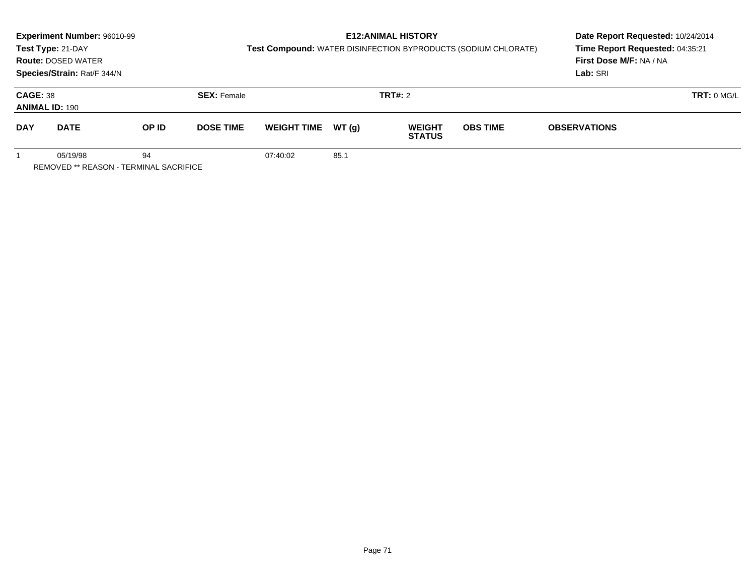|                 | Experiment Number: 96010-99<br>Test Type: 21-DAY<br><b>Route: DOSED WATER</b><br>Species/Strain: Rat/F 344/N |       |                    | Test Compound: WATER DISINFECTION BYPRODUCTS (SODIUM CHLORATE) | Date Report Requested: 10/24/2014<br>Time Report Requested: 04:35:21<br>First Dose M/F: NA / NA<br>Lab: SRI |                                |                 |                     |            |
|-----------------|--------------------------------------------------------------------------------------------------------------|-------|--------------------|----------------------------------------------------------------|-------------------------------------------------------------------------------------------------------------|--------------------------------|-----------------|---------------------|------------|
| <b>CAGE: 38</b> | <b>ANIMAL ID: 190</b>                                                                                        |       | <b>SEX: Female</b> |                                                                |                                                                                                             | <b>TRT#: 2</b>                 |                 |                     | TRT: 0 MGL |
| <b>DAY</b>      | <b>DATE</b>                                                                                                  | OP ID | <b>DOSE TIME</b>   | <b>WEIGHT TIME</b>                                             | WT(g)                                                                                                       | <b>WEIGHT</b><br><b>STATUS</b> | <b>OBS TIME</b> | <b>OBSERVATIONS</b> |            |
|                 | 05/19/98<br>REMOVED ** REASON - TERMINAL SACRIFICE                                                           | 94    |                    | 07:40:02                                                       | 85.1                                                                                                        |                                |                 |                     |            |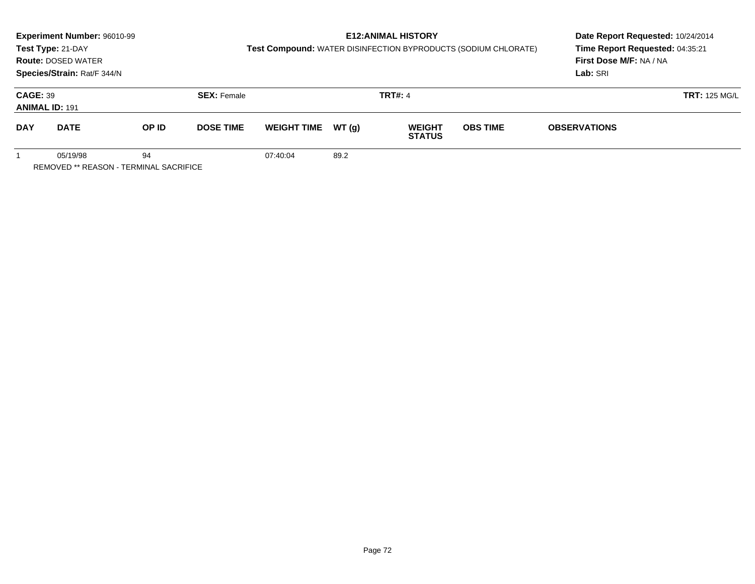|                 | Experiment Number: 96010-99                        |       |                    |                    |       | <b>E12:ANIMAL HISTORY</b>      |                                                                | Date Report Requested: 10/24/2014 |                      |  |
|-----------------|----------------------------------------------------|-------|--------------------|--------------------|-------|--------------------------------|----------------------------------------------------------------|-----------------------------------|----------------------|--|
|                 | Test Type: 21-DAY                                  |       |                    |                    |       |                                | Test Compound: WATER DISINFECTION BYPRODUCTS (SODIUM CHLORATE) | Time Report Requested: 04:35:21   |                      |  |
|                 | <b>Route: DOSED WATER</b>                          |       |                    |                    |       |                                |                                                                | First Dose M/F: NA / NA           |                      |  |
|                 | Species/Strain: Rat/F 344/N                        |       |                    |                    |       |                                |                                                                | Lab: SRI                          |                      |  |
| <b>CAGE: 39</b> | <b>ANIMAL ID: 191</b>                              |       | <b>SEX: Female</b> |                    |       | <b>TRT#: 4</b>                 |                                                                |                                   | <b>TRT: 125 MG/L</b> |  |
| <b>DAY</b>      | <b>DATE</b>                                        | OP ID | <b>DOSE TIME</b>   | <b>WEIGHT TIME</b> | WT(g) | <b>WEIGHT</b><br><b>STATUS</b> | <b>OBS TIME</b>                                                | <b>OBSERVATIONS</b>               |                      |  |
|                 | 05/19/98<br>REMOVED ** REASON - TERMINAL SACRIFICE | 94    |                    | 07:40:04           | 89.2  |                                |                                                                |                                   |                      |  |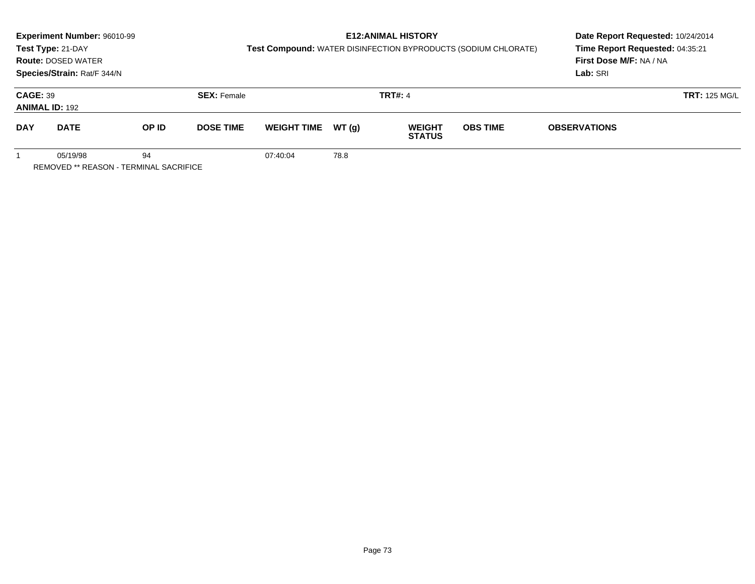|                                          | Experiment Number: 96010-99<br>Test Type: 21-DAY<br><b>Route: DOSED WATER</b><br>Species/Strain: Rat/F 344/N |       |                    | Test Compound: WATER DISINFECTION BYPRODUCTS (SODIUM CHLORATE) | Date Report Requested: 10/24/2014<br>Time Report Requested: 04:35:21<br>First Dose M/F: NA / NA<br>Lab: SRI |                                |                 |                     |                      |
|------------------------------------------|--------------------------------------------------------------------------------------------------------------|-------|--------------------|----------------------------------------------------------------|-------------------------------------------------------------------------------------------------------------|--------------------------------|-----------------|---------------------|----------------------|
| <b>CAGE: 39</b><br><b>ANIMAL ID: 192</b> |                                                                                                              |       | <b>SEX: Female</b> |                                                                | <b>TRT#: 4</b>                                                                                              |                                |                 |                     | <b>TRT: 125 MG/L</b> |
| <b>DAY</b>                               | <b>DATE</b>                                                                                                  | OP ID | <b>DOSE TIME</b>   | <b>WEIGHT TIME</b>                                             | WT(g)                                                                                                       | <b>WEIGHT</b><br><b>STATUS</b> | <b>OBS TIME</b> | <b>OBSERVATIONS</b> |                      |
|                                          | 05/19/98<br>REMOVED ** REASON - TERMINAL SACRIFICE                                                           | 94    |                    | 07:40:04                                                       | 78.8                                                                                                        |                                |                 |                     |                      |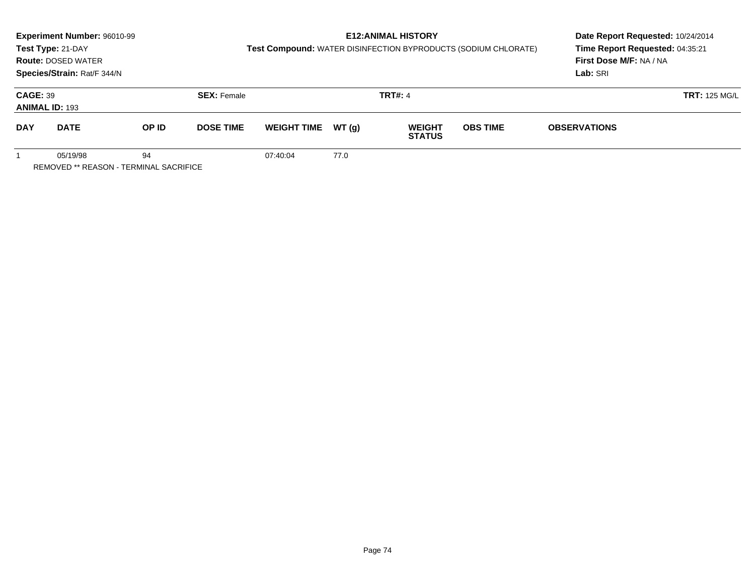|                                          | Experiment Number: 96010-99<br>Test Type: 21-DAY<br><b>Route: DOSED WATER</b><br>Species/Strain: Rat/F 344/N |       |                    | Test Compound: WATER DISINFECTION BYPRODUCTS (SODIUM CHLORATE) | Date Report Requested: 10/24/2014<br>Time Report Requested: 04:35:21<br>First Dose M/F: NA / NA<br>Lab: SRI |                                |                 |                     |                      |
|------------------------------------------|--------------------------------------------------------------------------------------------------------------|-------|--------------------|----------------------------------------------------------------|-------------------------------------------------------------------------------------------------------------|--------------------------------|-----------------|---------------------|----------------------|
| <b>CAGE: 39</b><br><b>ANIMAL ID: 193</b> |                                                                                                              |       | <b>SEX: Female</b> |                                                                |                                                                                                             | <b>TRT#: 4</b>                 |                 |                     | <b>TRT: 125 MG/L</b> |
| <b>DAY</b>                               | <b>DATE</b>                                                                                                  | OP ID | <b>DOSE TIME</b>   | <b>WEIGHT TIME</b>                                             | WT(g)                                                                                                       | <b>WEIGHT</b><br><b>STATUS</b> | <b>OBS TIME</b> | <b>OBSERVATIONS</b> |                      |
|                                          | 05/19/98<br>REMOVED ** REASON - TERMINAL SACRIFICE                                                           | 94    |                    | 07:40:04                                                       | 77.0                                                                                                        |                                |                 |                     |                      |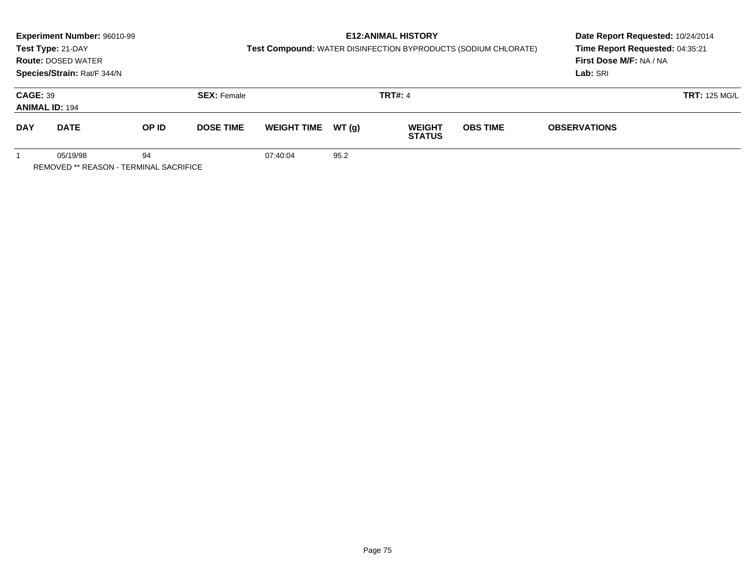|                                          | Experiment Number: 96010-99                        |       |                                      |                    |       | <b>E12: ANIMAL HISTORY</b>     |                                                                | Date Report Requested: 10/24/2014 |                      |  |
|------------------------------------------|----------------------------------------------------|-------|--------------------------------------|--------------------|-------|--------------------------------|----------------------------------------------------------------|-----------------------------------|----------------------|--|
|                                          | Test Type: 21-DAY                                  |       |                                      |                    |       |                                | Test Compound: WATER DISINFECTION BYPRODUCTS (SODIUM CHLORATE) | Time Report Requested: 04:35:21   |                      |  |
|                                          | <b>Route: DOSED WATER</b>                          |       |                                      |                    |       |                                |                                                                | First Dose M/F: NA / NA           |                      |  |
|                                          | Species/Strain: Rat/F 344/N                        |       |                                      |                    |       |                                |                                                                | Lab: SRI                          |                      |  |
| <b>CAGE: 39</b><br><b>ANIMAL ID: 194</b> |                                                    |       | <b>TRT#: 4</b><br><b>SEX: Female</b> |                    |       |                                |                                                                |                                   | <b>TRT: 125 MG/L</b> |  |
| <b>DAY</b>                               | <b>DATE</b>                                        | OP ID | <b>DOSE TIME</b>                     | <b>WEIGHT TIME</b> | WT(g) | <b>WEIGHT</b><br><b>STATUS</b> | <b>OBS TIME</b>                                                | <b>OBSERVATIONS</b>               |                      |  |
|                                          | 05/19/98<br>REMOVED ** REASON - TERMINAL SACRIFICE | 94    |                                      | 07:40:04           | 95.2  |                                |                                                                |                                   |                      |  |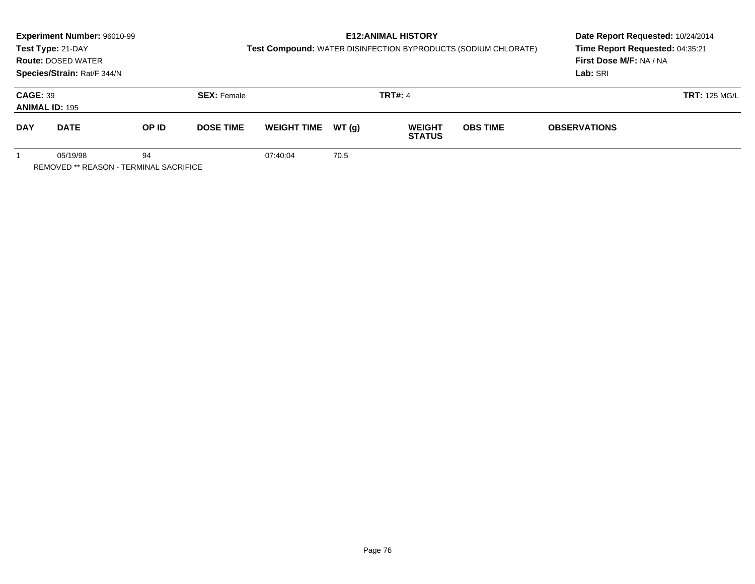|                                          | Experiment Number: 96010-99                        |       |                                      |                    |       | <b>E12: ANIMAL HISTORY</b>     |                                                                | Date Report Requested: 10/24/2014 |  |  |
|------------------------------------------|----------------------------------------------------|-------|--------------------------------------|--------------------|-------|--------------------------------|----------------------------------------------------------------|-----------------------------------|--|--|
|                                          | Test Type: 21-DAY                                  |       |                                      |                    |       |                                | Test Compound: WATER DISINFECTION BYPRODUCTS (SODIUM CHLORATE) | Time Report Requested: 04:35:21   |  |  |
|                                          | <b>Route: DOSED WATER</b>                          |       |                                      |                    |       |                                |                                                                | First Dose M/F: NA / NA           |  |  |
|                                          | Species/Strain: Rat/F 344/N                        |       |                                      |                    |       |                                |                                                                | Lab: SRI                          |  |  |
| <b>CAGE: 39</b><br><b>ANIMAL ID: 195</b> |                                                    |       | <b>TRT#: 4</b><br><b>SEX: Female</b> |                    |       |                                |                                                                | <b>TRT: 125 MG/L</b>              |  |  |
| <b>DAY</b>                               | <b>DATE</b>                                        | OP ID | <b>DOSE TIME</b>                     | <b>WEIGHT TIME</b> | WT(g) | <b>WEIGHT</b><br><b>STATUS</b> | <b>OBS TIME</b>                                                | <b>OBSERVATIONS</b>               |  |  |
|                                          | 05/19/98<br>REMOVED ** REASON - TERMINAL SACRIFICE | 94    |                                      | 07:40:04           | 70.5  |                                |                                                                |                                   |  |  |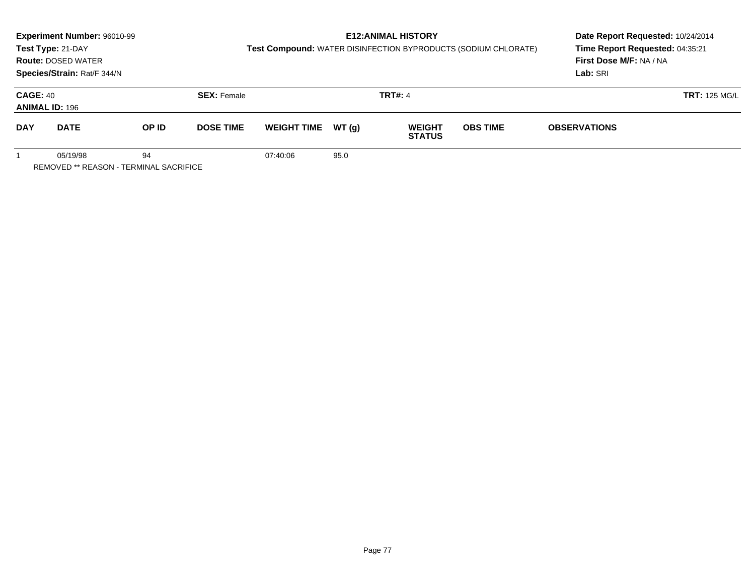|                                                          | Experiment Number: 96010-99<br>Test Type: 21-DAY<br><b>Route: DOSED WATER</b><br>Species/Strain: Rat/F 344/N |       |                    | Test Compound: WATER DISINFECTION BYPRODUCTS (SODIUM CHLORATE) | Date Report Requested: 10/24/2014<br>Time Report Requested: 04:35:21<br>First Dose M/F: NA / NA<br>Lab: SRI |                                |                 |                     |                      |
|----------------------------------------------------------|--------------------------------------------------------------------------------------------------------------|-------|--------------------|----------------------------------------------------------------|-------------------------------------------------------------------------------------------------------------|--------------------------------|-----------------|---------------------|----------------------|
| <b>CAGE: 40</b><br><b>ANIMAL ID: 196</b>                 |                                                                                                              |       | <b>SEX: Female</b> |                                                                |                                                                                                             | <b>TRT#: 4</b>                 |                 |                     | <b>TRT: 125 MG/L</b> |
| <b>DAY</b>                                               | <b>DATE</b>                                                                                                  | OP ID | <b>DOSE TIME</b>   | <b>WEIGHT TIME</b>                                             | WT(g)                                                                                                       | <b>WEIGHT</b><br><b>STATUS</b> | <b>OBS TIME</b> | <b>OBSERVATIONS</b> |                      |
| 94<br>05/19/98<br>REMOVED ** REASON - TERMINAL SACRIFICE |                                                                                                              |       |                    | 07:40:06                                                       | 95.0                                                                                                        |                                |                 |                     |                      |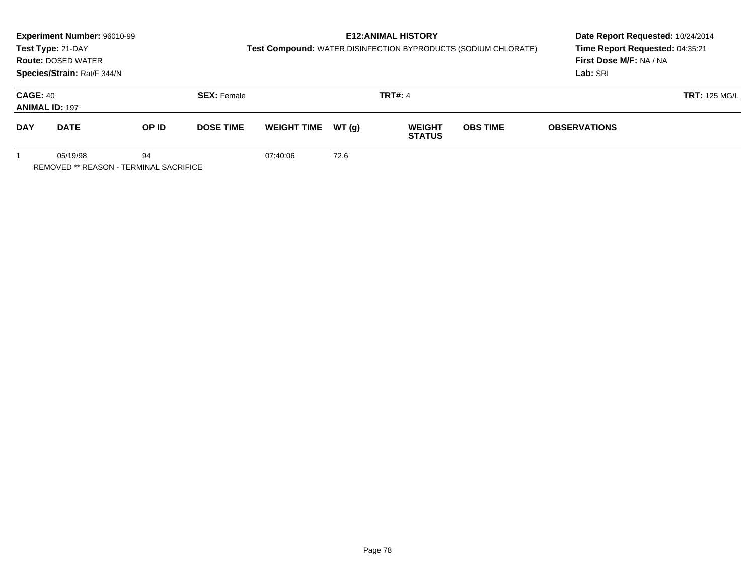|                                                          | Experiment Number: 96010-99<br>Test Type: 21-DAY<br><b>Route: DOSED WATER</b><br>Species/Strain: Rat/F 344/N |       |                    | Test Compound: WATER DISINFECTION BYPRODUCTS (SODIUM CHLORATE) | Date Report Requested: 10/24/2014<br>Time Report Requested: 04:35:21<br>First Dose M/F: NA / NA<br>Lab: SRI |                                |                 |                      |  |
|----------------------------------------------------------|--------------------------------------------------------------------------------------------------------------|-------|--------------------|----------------------------------------------------------------|-------------------------------------------------------------------------------------------------------------|--------------------------------|-----------------|----------------------|--|
| <b>CAGE: 40</b><br><b>ANIMAL ID: 197</b>                 |                                                                                                              |       | <b>SEX: Female</b> |                                                                |                                                                                                             | <b>TRT#: 4</b>                 |                 | <b>TRT: 125 MG/L</b> |  |
| <b>DAY</b>                                               | <b>DATE</b>                                                                                                  | OP ID | <b>DOSE TIME</b>   | <b>WEIGHT TIME</b>                                             | WT(g)                                                                                                       | <b>WEIGHT</b><br><b>STATUS</b> | <b>OBS TIME</b> | <b>OBSERVATIONS</b>  |  |
| 94<br>05/19/98<br>REMOVED ** REASON - TERMINAL SACRIFICE |                                                                                                              |       |                    | 07:40:06                                                       | 72.6                                                                                                        |                                |                 |                      |  |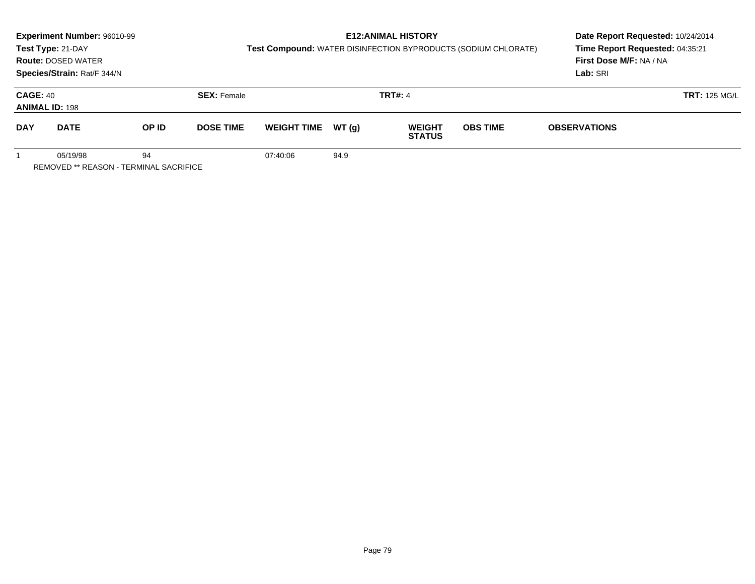|                                                          | Experiment Number: 96010-99<br>Test Type: 21-DAY<br><b>Route: DOSED WATER</b><br>Species/Strain: Rat/F 344/N |       |                    | Test Compound: WATER DISINFECTION BYPRODUCTS (SODIUM CHLORATE) | Date Report Requested: 10/24/2014<br>Time Report Requested: 04:35:21<br>First Dose M/F: NA / NA<br>Lab: SRI |                                |                 |                     |                      |
|----------------------------------------------------------|--------------------------------------------------------------------------------------------------------------|-------|--------------------|----------------------------------------------------------------|-------------------------------------------------------------------------------------------------------------|--------------------------------|-----------------|---------------------|----------------------|
| <b>CAGE: 40</b><br><b>ANIMAL ID: 198</b>                 |                                                                                                              |       | <b>SEX: Female</b> |                                                                |                                                                                                             | <b>TRT#: 4</b>                 |                 |                     | <b>TRT: 125 MG/L</b> |
| <b>DAY</b>                                               | <b>DATE</b>                                                                                                  | OP ID | <b>DOSE TIME</b>   | <b>WEIGHT TIME</b>                                             | WT(g)                                                                                                       | <b>WEIGHT</b><br><b>STATUS</b> | <b>OBS TIME</b> | <b>OBSERVATIONS</b> |                      |
| 94<br>05/19/98<br>REMOVED ** REASON - TERMINAL SACRIFICE |                                                                                                              |       |                    | 07:40:06                                                       | 94.9                                                                                                        |                                |                 |                     |                      |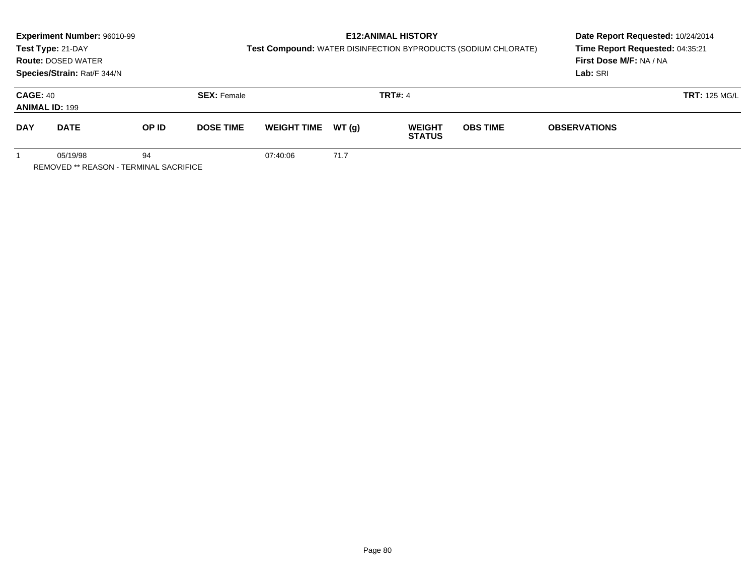|                                                          | Experiment Number: 96010-99<br>Test Type: 21-DAY<br><b>Route: DOSED WATER</b><br>Species/Strain: Rat/F 344/N |       |                    | Test Compound: WATER DISINFECTION BYPRODUCTS (SODIUM CHLORATE) | Date Report Requested: 10/24/2014<br>Time Report Requested: 04:35:21<br>First Dose M/F: NA / NA<br>Lab: SRI |                                |                 |                     |                      |
|----------------------------------------------------------|--------------------------------------------------------------------------------------------------------------|-------|--------------------|----------------------------------------------------------------|-------------------------------------------------------------------------------------------------------------|--------------------------------|-----------------|---------------------|----------------------|
| <b>CAGE: 40</b><br><b>ANIMAL ID: 199</b>                 |                                                                                                              |       | <b>SEX: Female</b> |                                                                |                                                                                                             | <b>TRT#: 4</b>                 |                 |                     | <b>TRT: 125 MG/L</b> |
| <b>DAY</b>                                               | <b>DATE</b>                                                                                                  | OP ID | <b>DOSE TIME</b>   | <b>WEIGHT TIME</b>                                             | WT(g)                                                                                                       | <b>WEIGHT</b><br><b>STATUS</b> | <b>OBS TIME</b> | <b>OBSERVATIONS</b> |                      |
| 94<br>05/19/98<br>REMOVED ** REASON - TERMINAL SACRIFICE |                                                                                                              |       |                    | 07:40:06                                                       | 71.7                                                                                                        |                                |                 |                     |                      |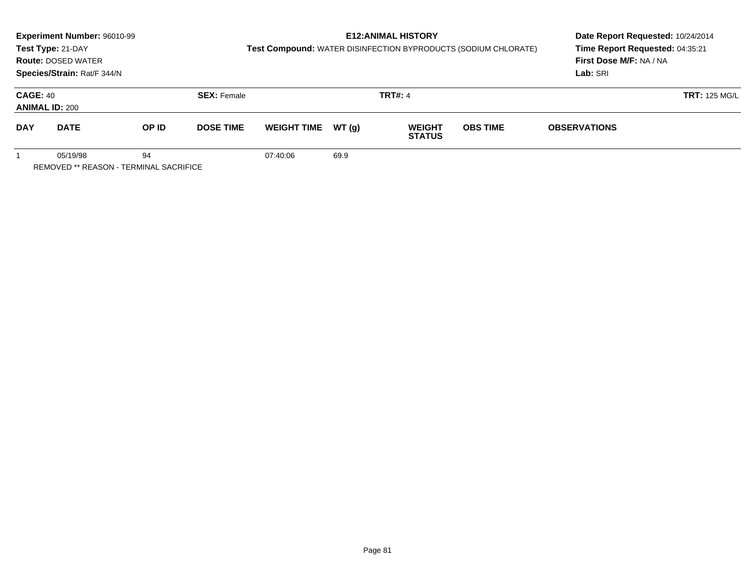|                                                          | Experiment Number: 96010-99<br>Test Type: 21-DAY<br><b>Route: DOSED WATER</b><br>Species/Strain: Rat/F 344/N |       |                    | Test Compound: WATER DISINFECTION BYPRODUCTS (SODIUM CHLORATE) | Date Report Requested: 10/24/2014<br>Time Report Requested: 04:35:21<br>First Dose M/F: NA / NA<br>Lab: SRI |                                |                 |                     |                      |
|----------------------------------------------------------|--------------------------------------------------------------------------------------------------------------|-------|--------------------|----------------------------------------------------------------|-------------------------------------------------------------------------------------------------------------|--------------------------------|-----------------|---------------------|----------------------|
| <b>CAGE: 40</b><br><b>ANIMAL ID: 200</b>                 |                                                                                                              |       | <b>SEX: Female</b> |                                                                |                                                                                                             | <b>TRT#: 4</b>                 |                 |                     | <b>TRT: 125 MG/L</b> |
| <b>DAY</b>                                               | <b>DATE</b>                                                                                                  | OP ID | <b>DOSE TIME</b>   | <b>WEIGHT TIME</b>                                             | WT(g)                                                                                                       | <b>WEIGHT</b><br><b>STATUS</b> | <b>OBS TIME</b> | <b>OBSERVATIONS</b> |                      |
| 94<br>05/19/98<br>REMOVED ** REASON - TERMINAL SACRIFICE |                                                                                                              |       |                    | 07:40:06                                                       | 69.9                                                                                                        |                                |                 |                     |                      |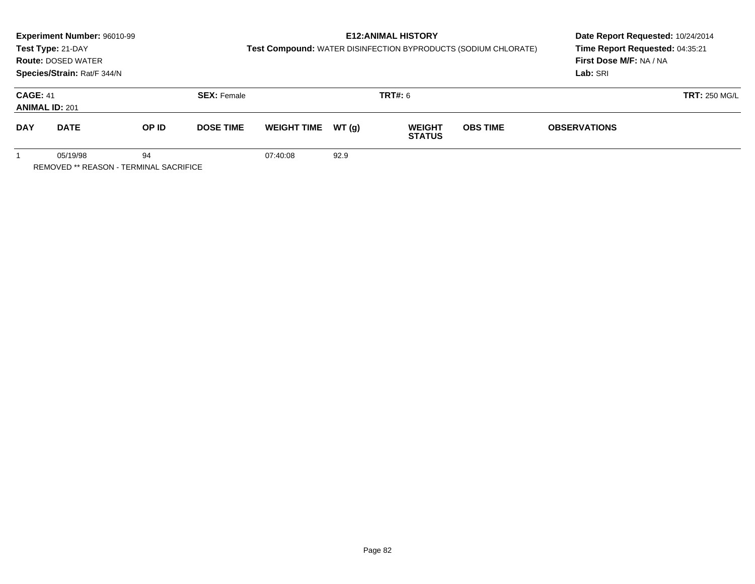|                                                          | Experiment Number: 96010-99<br>Test Type: 21-DAY<br><b>Route: DOSED WATER</b><br>Species/Strain: Rat/F 344/N |       |                    | Test Compound: WATER DISINFECTION BYPRODUCTS (SODIUM CHLORATE) | Date Report Requested: 10/24/2014<br>Time Report Requested: 04:35:21<br>First Dose M/F: NA / NA<br>Lab: SRI |                                |                 |                     |                      |
|----------------------------------------------------------|--------------------------------------------------------------------------------------------------------------|-------|--------------------|----------------------------------------------------------------|-------------------------------------------------------------------------------------------------------------|--------------------------------|-----------------|---------------------|----------------------|
| <b>CAGE: 41</b><br><b>ANIMAL ID: 201</b>                 |                                                                                                              |       | <b>SEX: Female</b> |                                                                |                                                                                                             | <b>TRT#: 6</b>                 |                 |                     | <b>TRT: 250 MG/L</b> |
| <b>DAY</b>                                               | <b>DATE</b>                                                                                                  | OP ID | <b>DOSE TIME</b>   | <b>WEIGHT TIME</b>                                             | WT(g)                                                                                                       | <b>WEIGHT</b><br><b>STATUS</b> | <b>OBS TIME</b> | <b>OBSERVATIONS</b> |                      |
| 94<br>05/19/98<br>REMOVED ** REASON - TERMINAL SACRIFICE |                                                                                                              |       |                    | 07:40:08                                                       | 92.9                                                                                                        |                                |                 |                     |                      |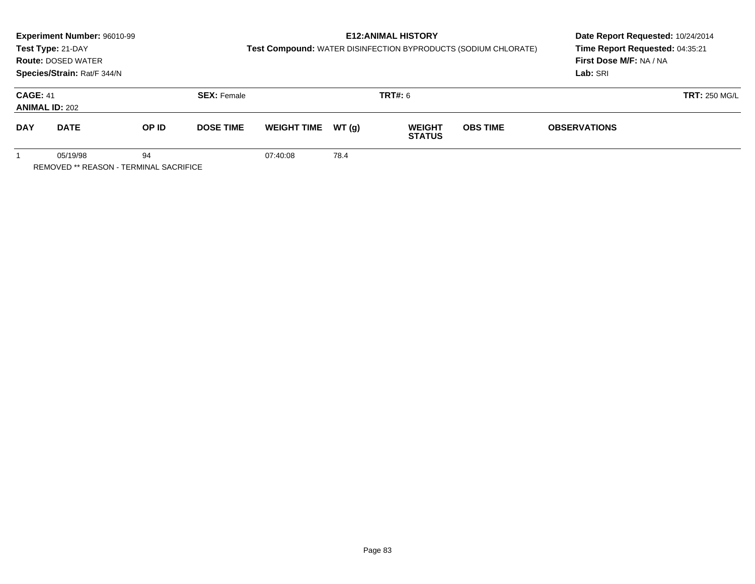|                                                          | Experiment Number: 96010-99<br>Test Type: 21-DAY<br><b>Route: DOSED WATER</b><br>Species/Strain: Rat/F 344/N |       |                    | Test Compound: WATER DISINFECTION BYPRODUCTS (SODIUM CHLORATE) | <b>E12: ANIMAL HISTORY</b> | Date Report Requested: 10/24/2014<br>Time Report Requested: 04:35:21<br>First Dose M/F: NA / NA<br>Lab: SRI |                 |                     |                      |
|----------------------------------------------------------|--------------------------------------------------------------------------------------------------------------|-------|--------------------|----------------------------------------------------------------|----------------------------|-------------------------------------------------------------------------------------------------------------|-----------------|---------------------|----------------------|
| <b>CAGE: 41</b><br><b>ANIMAL ID: 202</b>                 |                                                                                                              |       | <b>SEX: Female</b> |                                                                |                            | <b>TRT#:</b> 6                                                                                              |                 |                     | <b>TRT: 250 MG/L</b> |
| <b>DAY</b>                                               | <b>DATE</b>                                                                                                  | OP ID | <b>DOSE TIME</b>   | <b>WEIGHT TIME</b>                                             | WT (a)                     | <b>WEIGHT</b><br><b>STATUS</b>                                                                              | <b>OBS TIME</b> | <b>OBSERVATIONS</b> |                      |
| 05/19/98<br>94<br>REMOVED ** REASON - TERMINAL SACRIFICE |                                                                                                              |       |                    | 07:40:08                                                       | 78.4                       |                                                                                                             |                 |                     |                      |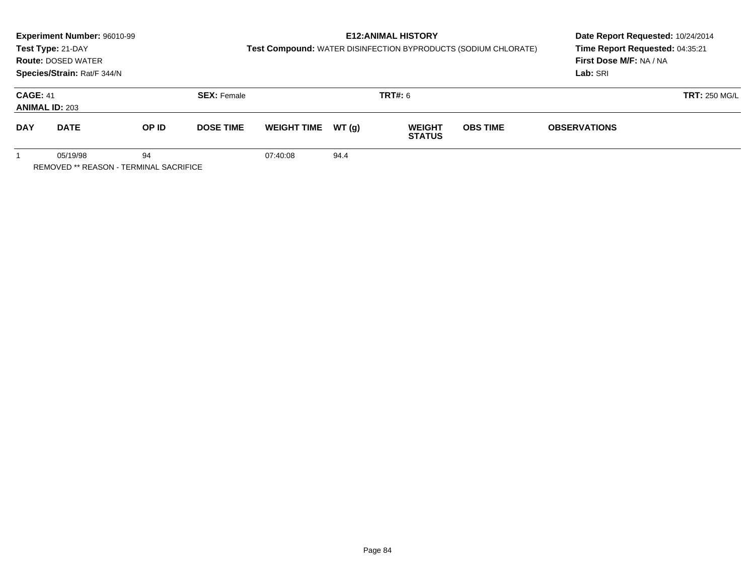|                                                          | Experiment Number: 96010-99<br>Test Type: 21-DAY<br><b>Route: DOSED WATER</b><br>Species/Strain: Rat/F 344/N |       |                    | Test Compound: WATER DISINFECTION BYPRODUCTS (SODIUM CHLORATE) | Date Report Requested: 10/24/2014<br>Time Report Requested: 04:35:21<br>First Dose M/F: NA / NA<br>Lab: SRI |                                |                 |                      |  |
|----------------------------------------------------------|--------------------------------------------------------------------------------------------------------------|-------|--------------------|----------------------------------------------------------------|-------------------------------------------------------------------------------------------------------------|--------------------------------|-----------------|----------------------|--|
| <b>CAGE: 41</b><br><b>ANIMAL ID: 203</b>                 |                                                                                                              |       | <b>SEX: Female</b> |                                                                |                                                                                                             | <b>TRT#:</b> 6                 |                 | <b>TRT: 250 MG/L</b> |  |
| <b>DAY</b>                                               | <b>DATE</b>                                                                                                  | OP ID | <b>DOSE TIME</b>   | <b>WEIGHT TIME</b>                                             | WT (a)                                                                                                      | <b>WEIGHT</b><br><b>STATUS</b> | <b>OBS TIME</b> | <b>OBSERVATIONS</b>  |  |
| 05/19/98<br>94<br>REMOVED ** REASON - TERMINAL SACRIFICE |                                                                                                              |       |                    | 07:40:08                                                       | 94.4                                                                                                        |                                |                 |                      |  |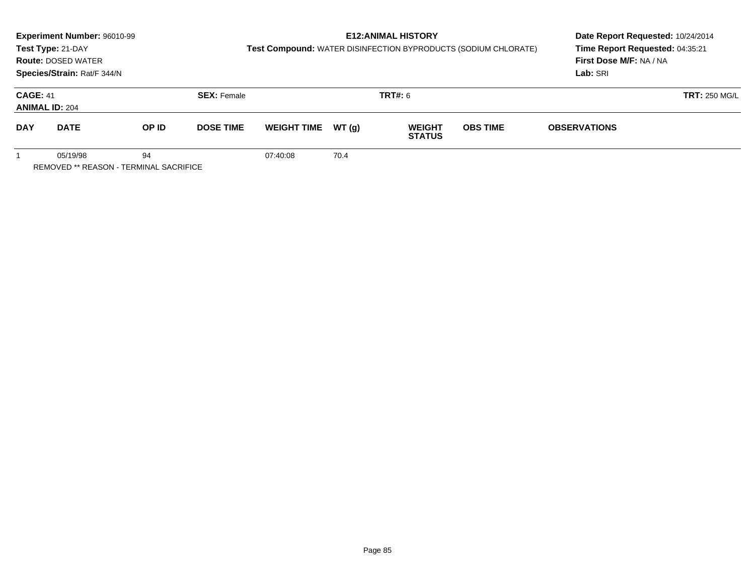|                                                          | Experiment Number: 96010-99<br>Test Type: 21-DAY<br><b>Route: DOSED WATER</b><br>Species/Strain: Rat/F 344/N |       |                    | Test Compound: WATER DISINFECTION BYPRODUCTS (SODIUM CHLORATE) | Date Report Requested: 10/24/2014<br>Time Report Requested: 04:35:21<br>First Dose M/F: NA / NA<br>Lab: SRI |                                |                 |                      |  |
|----------------------------------------------------------|--------------------------------------------------------------------------------------------------------------|-------|--------------------|----------------------------------------------------------------|-------------------------------------------------------------------------------------------------------------|--------------------------------|-----------------|----------------------|--|
| <b>CAGE: 41</b><br><b>ANIMAL ID: 204</b>                 |                                                                                                              |       | <b>SEX: Female</b> |                                                                | <b>TRT#:</b> 6                                                                                              |                                |                 | <b>TRT: 250 MG/L</b> |  |
| <b>DAY</b>                                               | <b>DATE</b>                                                                                                  | OP ID | <b>DOSE TIME</b>   | <b>WEIGHT TIME</b>                                             | WT(g)                                                                                                       | <b>WEIGHT</b><br><b>STATUS</b> | <b>OBS TIME</b> | <b>OBSERVATIONS</b>  |  |
| 94<br>05/19/98<br>REMOVED ** REASON - TERMINAL SACRIFICE |                                                                                                              |       |                    | 07:40:08                                                       | 70.4                                                                                                        |                                |                 |                      |  |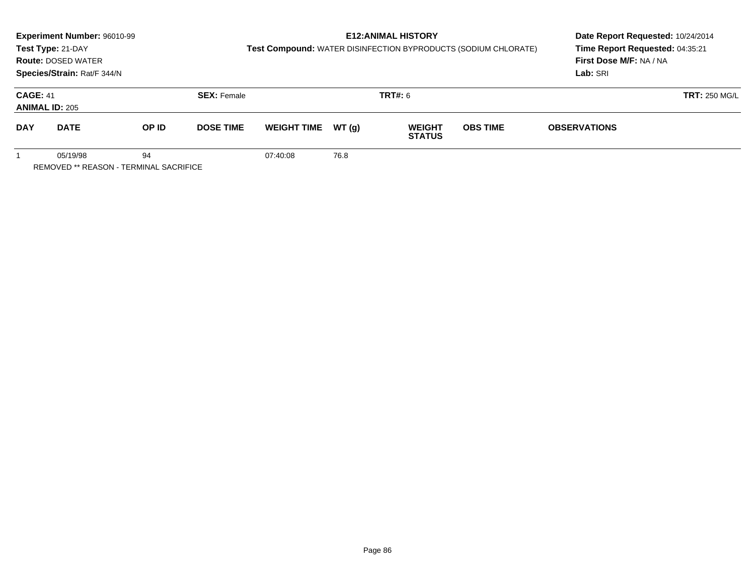|                                                          | Experiment Number: 96010-99<br>Test Type: 21-DAY<br><b>Route: DOSED WATER</b><br>Species/Strain: Rat/F 344/N |       |                    | Test Compound: WATER DISINFECTION BYPRODUCTS (SODIUM CHLORATE) | Date Report Requested: 10/24/2014<br>Time Report Requested: 04:35:21<br>First Dose M/F: NA / NA<br>Lab: SRI |                                |                 |                      |  |
|----------------------------------------------------------|--------------------------------------------------------------------------------------------------------------|-------|--------------------|----------------------------------------------------------------|-------------------------------------------------------------------------------------------------------------|--------------------------------|-----------------|----------------------|--|
| <b>CAGE: 41</b><br><b>ANIMAL ID: 205</b>                 |                                                                                                              |       | <b>SEX: Female</b> |                                                                | <b>TRT#:</b> 6                                                                                              |                                |                 | <b>TRT: 250 MG/L</b> |  |
| <b>DAY</b>                                               | <b>DATE</b>                                                                                                  | OP ID | <b>DOSE TIME</b>   | <b>WEIGHT TIME</b>                                             | WT(g)                                                                                                       | <b>WEIGHT</b><br><b>STATUS</b> | <b>OBS TIME</b> | <b>OBSERVATIONS</b>  |  |
| 94<br>05/19/98<br>REMOVED ** REASON - TERMINAL SACRIFICE |                                                                                                              |       |                    | 07:40:08                                                       | 76.8                                                                                                        |                                |                 |                      |  |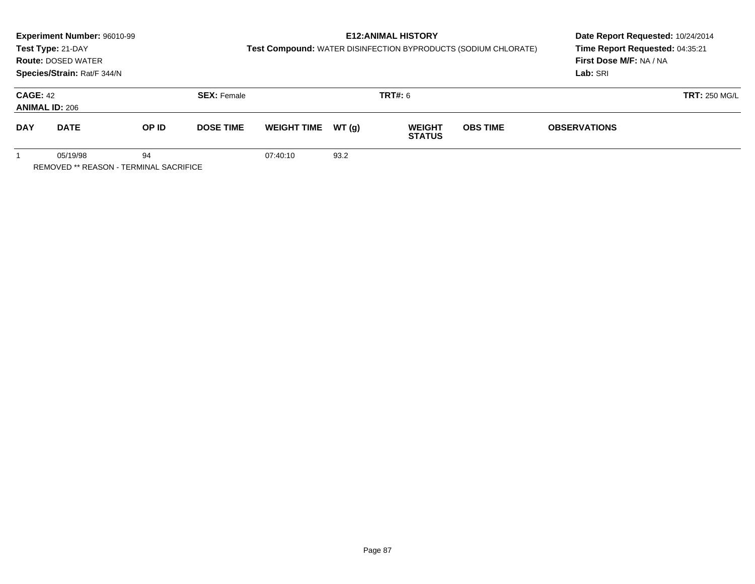|                                                                 | Experiment Number: 96010-99 |       |                    |                                                                |                                 | <b>E12: ANIMAL HISTORY</b>     |                 | Date Report Requested: 10/24/2014 |                      |
|-----------------------------------------------------------------|-----------------------------|-------|--------------------|----------------------------------------------------------------|---------------------------------|--------------------------------|-----------------|-----------------------------------|----------------------|
|                                                                 | Test Type: 21-DAY           |       |                    | Test Compound: WATER DISINFECTION BYPRODUCTS (SODIUM CHLORATE) | Time Report Requested: 04:35:21 |                                |                 |                                   |                      |
|                                                                 | <b>Route: DOSED WATER</b>   |       |                    |                                                                |                                 |                                |                 | First Dose M/F: NA / NA           |                      |
|                                                                 | Species/Strain: Rat/F 344/N |       |                    |                                                                |                                 |                                |                 | Lab: SRI                          |                      |
| <b>CAGE: 42</b><br><b>ANIMAL ID: 206</b>                        |                             |       | <b>SEX: Female</b> |                                                                | <b>TRT#:</b> 6                  |                                |                 |                                   | <b>TRT: 250 MG/L</b> |
| <b>DAY</b>                                                      | <b>DATE</b>                 | OP ID | <b>DOSE TIME</b>   | <b>WEIGHT TIME</b>                                             | WT (a)                          | <b>WEIGHT</b><br><b>STATUS</b> | <b>OBS TIME</b> | <b>OBSERVATIONS</b>               |                      |
| 05/19/98<br>94<br><b>REMOVED ** REASON - TERMINAL SACRIFICE</b> |                             |       |                    | 07:40:10                                                       | 93.2                            |                                |                 |                                   |                      |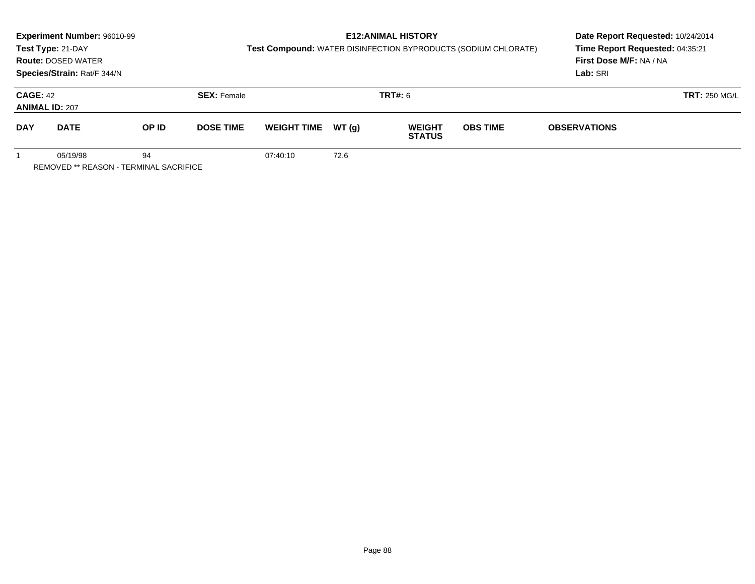| <b>E12: ANIMAL HISTORY</b><br>Experiment Number: 96010-99<br>Test Compound: WATER DISINFECTION BYPRODUCTS (SODIUM CHLORATE)<br>Test Type: 21-DAY<br><b>Route: DOSED WATER</b><br>Species/Strain: Rat/F 344/N |             |       |                    |                    |        |                                | Date Report Requested: 10/24/2014<br>Time Report Requested: 04:35:21<br>First Dose M/F: NA / NA<br>Lab: SRI |                      |  |
|--------------------------------------------------------------------------------------------------------------------------------------------------------------------------------------------------------------|-------------|-------|--------------------|--------------------|--------|--------------------------------|-------------------------------------------------------------------------------------------------------------|----------------------|--|
| <b>CAGE: 42</b><br><b>ANIMAL ID: 207</b>                                                                                                                                                                     |             |       | <b>SEX: Female</b> |                    |        | <b>TRT#:</b> 6                 |                                                                                                             | <b>TRT: 250 MG/L</b> |  |
| <b>DAY</b>                                                                                                                                                                                                   | <b>DATE</b> | OP ID | <b>DOSE TIME</b>   | <b>WEIGHT TIME</b> | WT (a) | <b>WEIGHT</b><br><b>STATUS</b> | <b>OBS TIME</b>                                                                                             | <b>OBSERVATIONS</b>  |  |
| 05/19/98<br>94<br>REMOVED ** REASON - TERMINAL SACRIFICE                                                                                                                                                     |             |       |                    | 07:40:10           | 72.6   |                                |                                                                                                             |                      |  |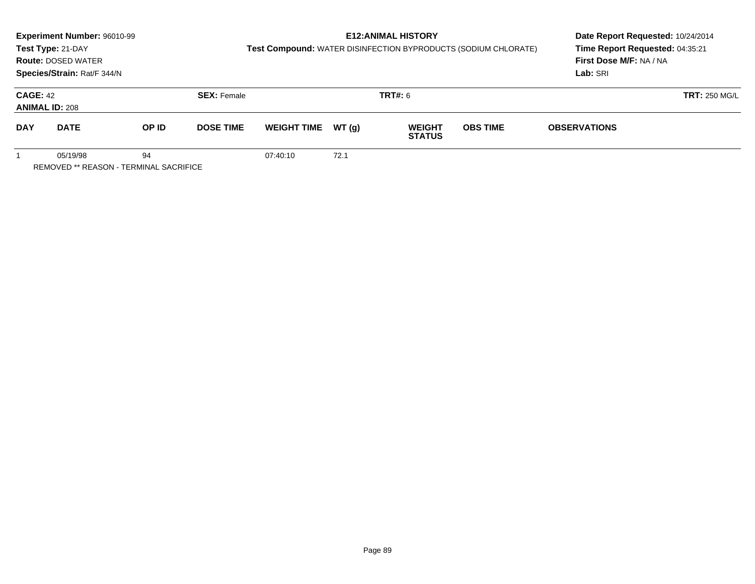|                                          | Experiment Number: 96010-99                               |       |                    |                                                                |                                 | <b>E12: ANIMAL HISTORY</b>     |                 | Date Report Requested: 10/24/2014 |  |
|------------------------------------------|-----------------------------------------------------------|-------|--------------------|----------------------------------------------------------------|---------------------------------|--------------------------------|-----------------|-----------------------------------|--|
|                                          | Test Type: 21-DAY                                         |       |                    | Test Compound: WATER DISINFECTION BYPRODUCTS (SODIUM CHLORATE) | Time Report Requested: 04:35:21 |                                |                 |                                   |  |
|                                          | <b>Route: DOSED WATER</b>                                 |       |                    |                                                                |                                 |                                |                 | First Dose M/F: NA / NA           |  |
|                                          | Species/Strain: Rat/F 344/N                               |       |                    |                                                                |                                 |                                |                 | Lab: SRI                          |  |
| <b>CAGE: 42</b><br><b>ANIMAL ID: 208</b> |                                                           |       | <b>SEX: Female</b> |                                                                |                                 | <b>TRT#:</b> 6                 |                 | <b>TRT: 250 MG/L</b>              |  |
| <b>DAY</b>                               | <b>DATE</b>                                               | OP ID | <b>DOSE TIME</b>   | <b>WEIGHT TIME</b>                                             | WT (a)                          | <b>WEIGHT</b><br><b>STATUS</b> | <b>OBS TIME</b> | <b>OBSERVATIONS</b>               |  |
|                                          | 05/19/98<br><b>REMOVED ** REASON - TERMINAL SACRIFICE</b> | 94    |                    | 07:40:10                                                       | 72.1                            |                                |                 |                                   |  |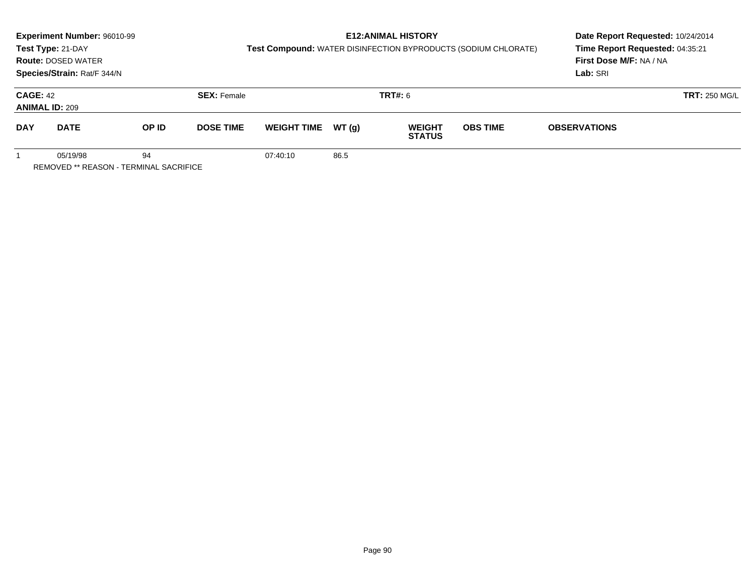|                                                                 | Experiment Number: 96010-99 |       |                    |                    |                                                                | <b>E12: ANIMAL HISTORY</b>      |                 | Date Report Requested: 10/24/2014 |  |
|-----------------------------------------------------------------|-----------------------------|-------|--------------------|--------------------|----------------------------------------------------------------|---------------------------------|-----------------|-----------------------------------|--|
|                                                                 | Test Type: 21-DAY           |       |                    |                    | Test Compound: WATER DISINFECTION BYPRODUCTS (SODIUM CHLORATE) | Time Report Requested: 04:35:21 |                 |                                   |  |
|                                                                 | <b>Route: DOSED WATER</b>   |       |                    |                    |                                                                |                                 |                 | First Dose M/F: NA / NA           |  |
|                                                                 | Species/Strain: Rat/F 344/N |       |                    |                    |                                                                |                                 |                 | Lab: SRI                          |  |
| <b>CAGE: 42</b><br><b>ANIMAL ID: 209</b>                        |                             |       | <b>SEX: Female</b> |                    |                                                                | <b>TRT#:</b> 6                  |                 | <b>TRT: 250 MG/L</b>              |  |
| <b>DAY</b>                                                      | <b>DATE</b>                 | OP ID | <b>DOSE TIME</b>   | <b>WEIGHT TIME</b> | WT (a)                                                         | <b>WEIGHT</b><br><b>STATUS</b>  | <b>OBS TIME</b> | <b>OBSERVATIONS</b>               |  |
| 05/19/98<br>94<br><b>REMOVED ** REASON - TERMINAL SACRIFICE</b> |                             |       |                    | 07:40:10           | 86.5                                                           |                                 |                 |                                   |  |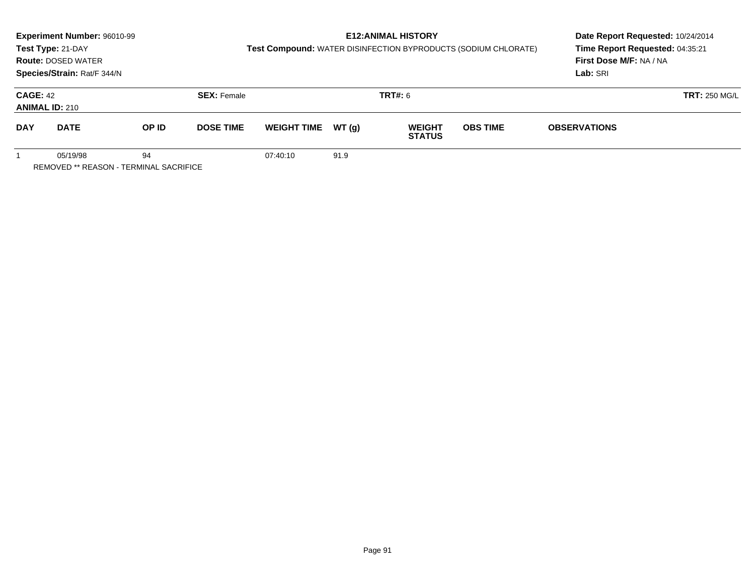| Experiment Number: 96010-99                                     |                    |                                                                |                                 | Date Report Requested: 10/24/2014 |                 |                         |  |
|-----------------------------------------------------------------|--------------------|----------------------------------------------------------------|---------------------------------|-----------------------------------|-----------------|-------------------------|--|
| Test Type: 21-DAY                                               |                    | Test Compound: WATER DISINFECTION BYPRODUCTS (SODIUM CHLORATE) | Time Report Requested: 04:35:21 |                                   |                 |                         |  |
| <b>Route: DOSED WATER</b>                                       |                    |                                                                |                                 |                                   |                 | First Dose M/F: NA / NA |  |
| Species/Strain: Rat/F 344/N                                     |                    |                                                                |                                 |                                   |                 | Lab: SRI                |  |
| <b>CAGE: 42</b><br><b>ANIMAL ID: 210</b>                        | <b>SEX: Female</b> |                                                                |                                 | <b>TRT#:</b> 6                    |                 | <b>TRT: 250 MG/L</b>    |  |
| <b>DAY</b><br><b>DATE</b><br>OP ID                              | <b>DOSE TIME</b>   | <b>WEIGHT TIME</b>                                             | WT (q)                          | <b>WEIGHT</b><br><b>STATUS</b>    | <b>OBS TIME</b> | <b>OBSERVATIONS</b>     |  |
| 94<br>05/19/98<br><b>REMOVED ** REASON - TERMINAL SACRIFICE</b> |                    | 07:40:10                                                       | 91.9                            |                                   |                 |                         |  |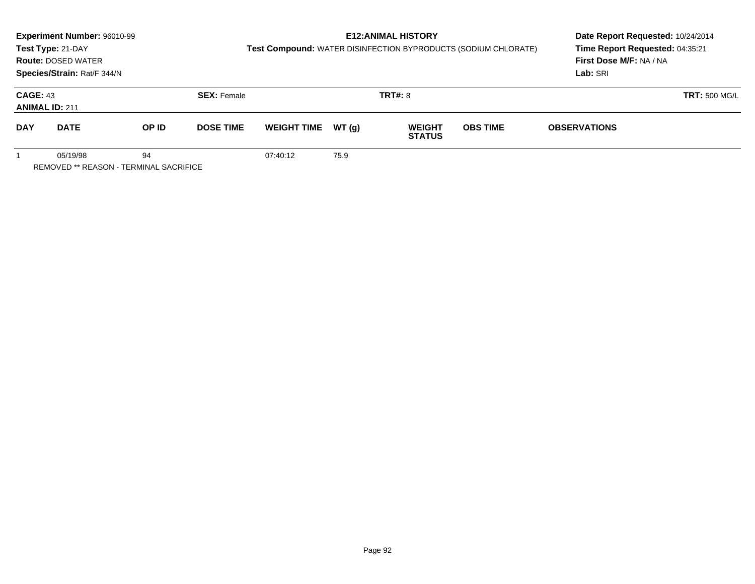|                                                          | Experiment Number: 96010-99<br>Test Type: 21-DAY<br><b>Route: DOSED WATER</b><br>Species/Strain: Rat/F 344/N |       |                    | Test Compound: WATER DISINFECTION BYPRODUCTS (SODIUM CHLORATE) | Date Report Requested: 10/24/2014<br>Time Report Requested: 04:35:21<br>First Dose M/F: NA / NA<br>Lab: SRI |                                |                 |                     |                      |
|----------------------------------------------------------|--------------------------------------------------------------------------------------------------------------|-------|--------------------|----------------------------------------------------------------|-------------------------------------------------------------------------------------------------------------|--------------------------------|-----------------|---------------------|----------------------|
| <b>CAGE: 43</b><br><b>ANIMAL ID: 211</b>                 |                                                                                                              |       | <b>SEX: Female</b> |                                                                | <b>TRT#: 8</b>                                                                                              |                                |                 |                     | <b>TRT: 500 MG/L</b> |
| <b>DAY</b>                                               | <b>DATE</b>                                                                                                  | OP ID | <b>DOSE TIME</b>   | <b>WEIGHT TIME</b>                                             | WT(g)                                                                                                       | <b>WEIGHT</b><br><b>STATUS</b> | <b>OBS TIME</b> | <b>OBSERVATIONS</b> |                      |
| 94<br>05/19/98<br>REMOVED ** REASON - TERMINAL SACRIFICE |                                                                                                              |       |                    | 07:40:12                                                       | 75.9                                                                                                        |                                |                 |                     |                      |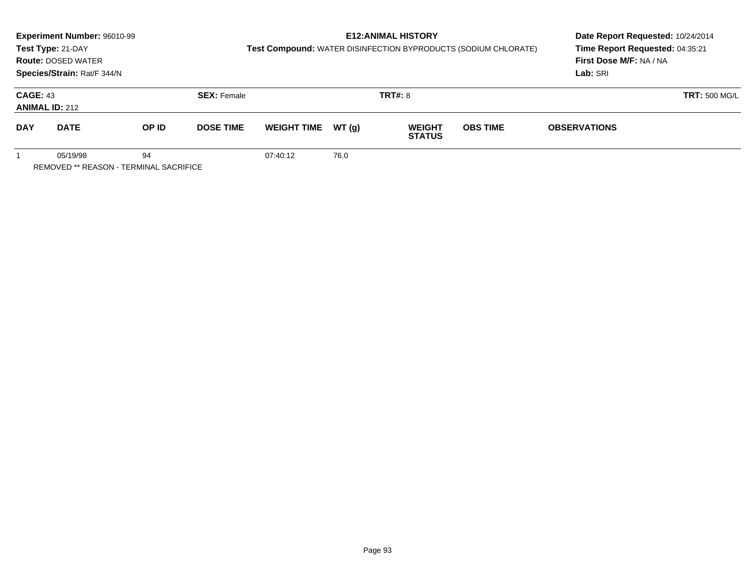|                                                          | Experiment Number: 96010-99<br>Test Type: 21-DAY<br><b>Route: DOSED WATER</b><br>Species/Strain: Rat/F 344/N |       |                    | Test Compound: WATER DISINFECTION BYPRODUCTS (SODIUM CHLORATE) | Date Report Requested: 10/24/2014<br>Time Report Requested: 04:35:21<br>First Dose M/F: NA / NA<br>Lab: SRI |                                |                 |                     |                      |
|----------------------------------------------------------|--------------------------------------------------------------------------------------------------------------|-------|--------------------|----------------------------------------------------------------|-------------------------------------------------------------------------------------------------------------|--------------------------------|-----------------|---------------------|----------------------|
| <b>CAGE: 43</b><br><b>ANIMAL ID: 212</b>                 |                                                                                                              |       | <b>SEX: Female</b> |                                                                | <b>TRT#: 8</b>                                                                                              |                                |                 |                     | <b>TRT: 500 MG/L</b> |
| <b>DAY</b>                                               | <b>DATE</b>                                                                                                  | OP ID | <b>DOSE TIME</b>   | <b>WEIGHT TIME</b>                                             | WT(g)                                                                                                       | <b>WEIGHT</b><br><b>STATUS</b> | <b>OBS TIME</b> | <b>OBSERVATIONS</b> |                      |
| 94<br>05/19/98<br>REMOVED ** REASON - TERMINAL SACRIFICE |                                                                                                              |       |                    | 07:40:12                                                       | 76.0                                                                                                        |                                |                 |                     |                      |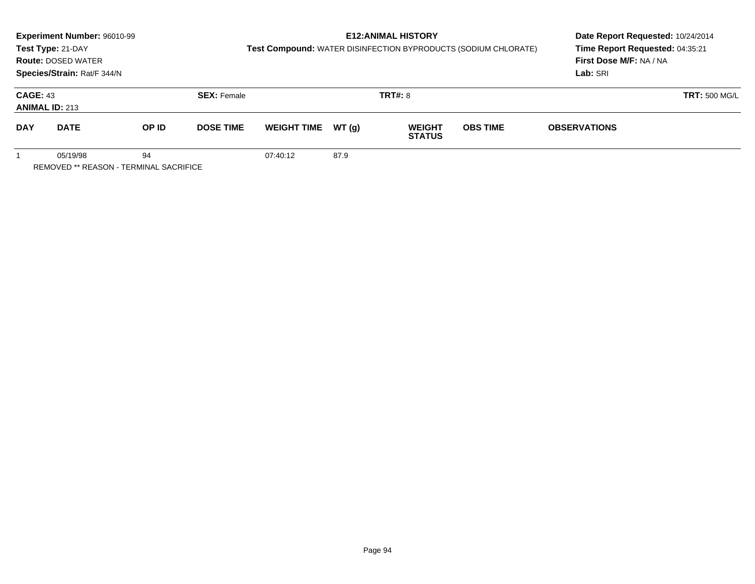| <b>E12: ANIMAL HISTORY</b><br>Experiment Number: 96010-99<br>Test Compound: WATER DISINFECTION BYPRODUCTS (SODIUM CHLORATE)<br>Test Type: 21-DAY<br><b>Route: DOSED WATER</b><br>Species/Strain: Rat/F 344/N |             |       |                    |                    |        |                                | Date Report Requested: 10/24/2014<br>Time Report Requested: 04:35:21<br>First Dose M/F: NA / NA<br>Lab: SRI |                      |  |
|--------------------------------------------------------------------------------------------------------------------------------------------------------------------------------------------------------------|-------------|-------|--------------------|--------------------|--------|--------------------------------|-------------------------------------------------------------------------------------------------------------|----------------------|--|
| <b>CAGE: 43</b><br><b>ANIMAL ID: 213</b>                                                                                                                                                                     |             |       | <b>SEX: Female</b> |                    |        | <b>TRT#: 8</b>                 |                                                                                                             | <b>TRT: 500 MG/L</b> |  |
| <b>DAY</b>                                                                                                                                                                                                   | <b>DATE</b> | OP ID | <b>DOSE TIME</b>   | <b>WEIGHT TIME</b> | WT (a) | <b>WEIGHT</b><br><b>STATUS</b> | <b>OBS TIME</b>                                                                                             | <b>OBSERVATIONS</b>  |  |
| 05/19/98<br>94<br>REMOVED ** REASON - TERMINAL SACRIFICE                                                                                                                                                     |             |       |                    | 07:40:12           | 87.9   |                                |                                                                                                             |                      |  |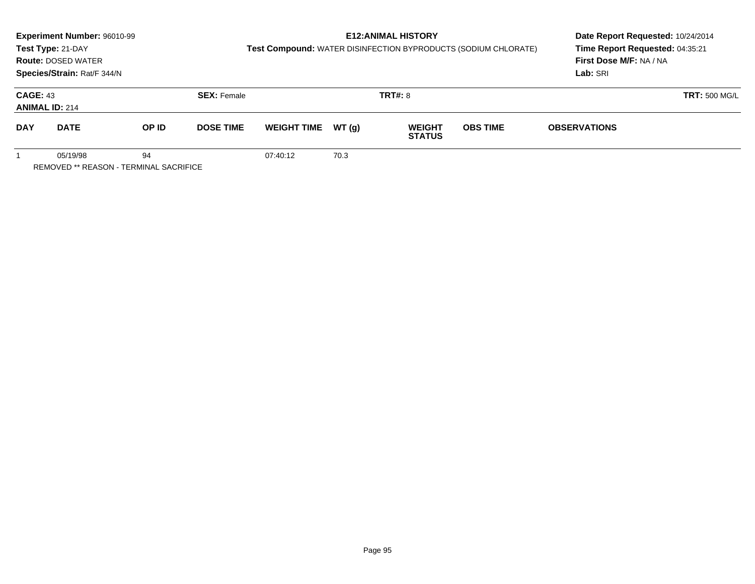|                                                          | Experiment Number: 96010-99<br>Test Type: 21-DAY<br><b>Route: DOSED WATER</b><br>Species/Strain: Rat/F 344/N |       |                    | Test Compound: WATER DISINFECTION BYPRODUCTS (SODIUM CHLORATE) | Date Report Requested: 10/24/2014<br>Time Report Requested: 04:35:21<br>First Dose M/F: NA / NA<br>Lab: SRI |                                |                 |                     |                      |
|----------------------------------------------------------|--------------------------------------------------------------------------------------------------------------|-------|--------------------|----------------------------------------------------------------|-------------------------------------------------------------------------------------------------------------|--------------------------------|-----------------|---------------------|----------------------|
| <b>CAGE: 43</b><br><b>ANIMAL ID: 214</b>                 |                                                                                                              |       | <b>SEX: Female</b> |                                                                | <b>TRT#: 8</b>                                                                                              |                                |                 |                     | <b>TRT: 500 MG/L</b> |
| <b>DAY</b>                                               | <b>DATE</b>                                                                                                  | OP ID | <b>DOSE TIME</b>   | <b>WEIGHT TIME</b>                                             | WT(g)                                                                                                       | <b>WEIGHT</b><br><b>STATUS</b> | <b>OBS TIME</b> | <b>OBSERVATIONS</b> |                      |
| 94<br>05/19/98<br>REMOVED ** REASON - TERMINAL SACRIFICE |                                                                                                              |       |                    | 07:40:12                                                       | 70.3                                                                                                        |                                |                 |                     |                      |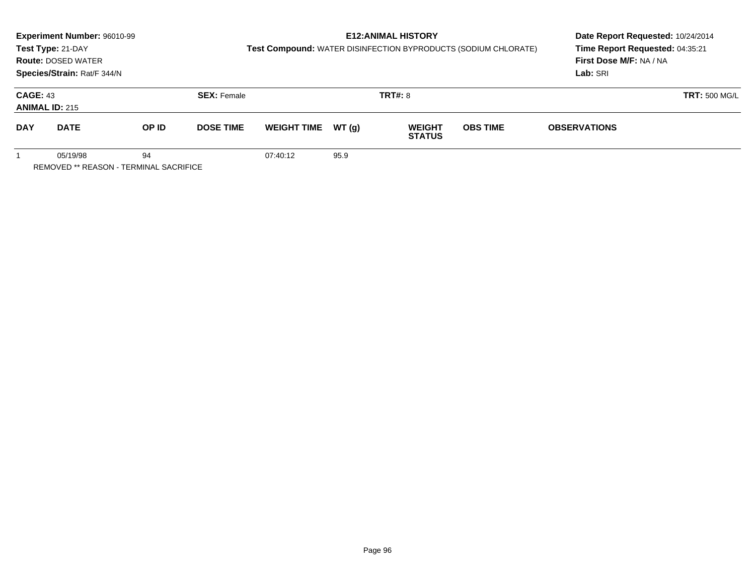|                                                          | Experiment Number: 96010-99<br>Test Type: 21-DAY<br><b>Route: DOSED WATER</b><br>Species/Strain: Rat/F 344/N |       |                    | Test Compound: WATER DISINFECTION BYPRODUCTS (SODIUM CHLORATE) | Date Report Requested: 10/24/2014<br>Time Report Requested: 04:35:21<br>First Dose M/F: NA / NA<br>Lab: SRI |                                |                 |                      |  |
|----------------------------------------------------------|--------------------------------------------------------------------------------------------------------------|-------|--------------------|----------------------------------------------------------------|-------------------------------------------------------------------------------------------------------------|--------------------------------|-----------------|----------------------|--|
| <b>CAGE: 43</b><br><b>ANIMAL ID: 215</b>                 |                                                                                                              |       | <b>SEX: Female</b> |                                                                | <b>TRT#: 8</b>                                                                                              |                                |                 | <b>TRT: 500 MG/L</b> |  |
| <b>DAY</b>                                               | <b>DATE</b>                                                                                                  | OP ID | <b>DOSE TIME</b>   | <b>WEIGHT TIME</b>                                             | WT(g)                                                                                                       | <b>WEIGHT</b><br><b>STATUS</b> | <b>OBS TIME</b> | <b>OBSERVATIONS</b>  |  |
| 94<br>05/19/98<br>REMOVED ** REASON - TERMINAL SACRIFICE |                                                                                                              |       |                    | 07:40:12                                                       | 95.9                                                                                                        |                                |                 |                      |  |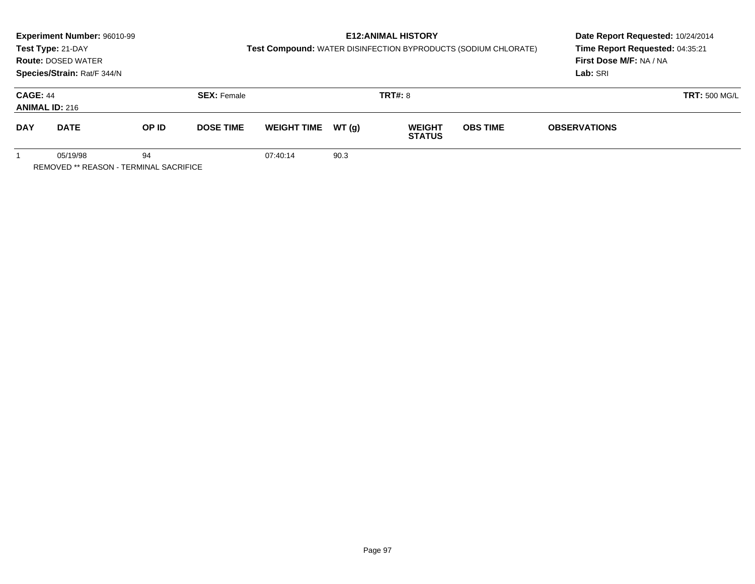| Experiment Number: 96010-99<br>Test Compound: WATER DISINFECTION BYPRODUCTS (SODIUM CHLORATE)<br>Test Type: 21-DAY<br><b>Route: DOSED WATER</b><br>Species/Strain: Rat/F 344/N |             |       |                    |                    |        | <b>E12: ANIMAL HISTORY</b>     |                 | Date Report Requested: 10/24/2014<br>Time Report Requested: 04:35:21<br>First Dose M/F: NA / NA<br>Lab: SRI |  |
|--------------------------------------------------------------------------------------------------------------------------------------------------------------------------------|-------------|-------|--------------------|--------------------|--------|--------------------------------|-----------------|-------------------------------------------------------------------------------------------------------------|--|
| <b>CAGE: 44</b><br><b>ANIMAL ID: 216</b>                                                                                                                                       |             |       | <b>SEX: Female</b> |                    |        | <b>TRT#: 8</b>                 |                 | <b>TRT: 500 MG/L</b>                                                                                        |  |
| <b>DAY</b>                                                                                                                                                                     | <b>DATE</b> | OP ID | <b>DOSE TIME</b>   | <b>WEIGHT TIME</b> | WT (a) | <b>WEIGHT</b><br><b>STATUS</b> | <b>OBS TIME</b> | <b>OBSERVATIONS</b>                                                                                         |  |
| 05/19/98<br>94<br>REMOVED ** REASON - TERMINAL SACRIFICE                                                                                                                       |             |       |                    | 07:40:14           | 90.3   |                                |                 |                                                                                                             |  |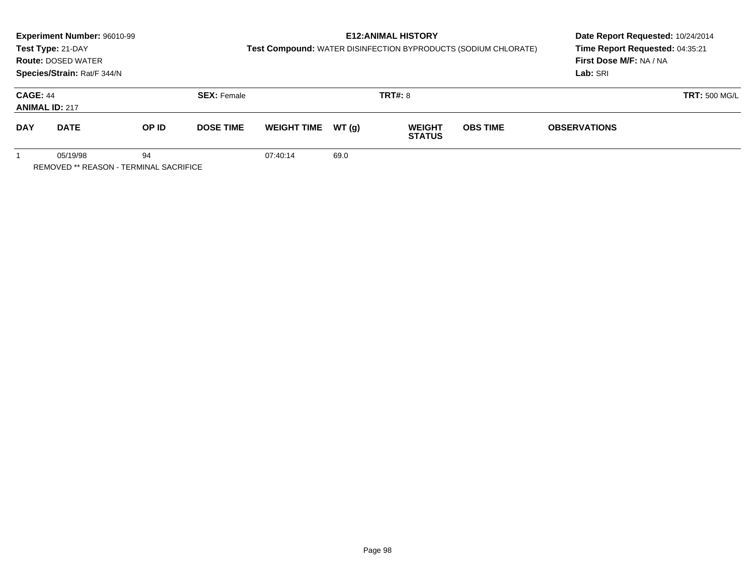|                                                          | Experiment Number: 96010-99<br>Test Type: 21-DAY<br><b>Route: DOSED WATER</b><br>Species/Strain: Rat/F 344/N |       |                    | Test Compound: WATER DISINFECTION BYPRODUCTS (SODIUM CHLORATE) |        | <b>E12: ANIMAL HISTORY</b>     | Date Report Requested: 10/24/2014<br>Time Report Requested: 04:35:21<br>First Dose M/F: NA / NA<br>Lab: SRI |                      |  |
|----------------------------------------------------------|--------------------------------------------------------------------------------------------------------------|-------|--------------------|----------------------------------------------------------------|--------|--------------------------------|-------------------------------------------------------------------------------------------------------------|----------------------|--|
| <b>CAGE: 44</b><br><b>ANIMAL ID: 217</b>                 |                                                                                                              |       | <b>SEX: Female</b> |                                                                |        | <b>TRT#: 8</b>                 |                                                                                                             | <b>TRT: 500 MG/L</b> |  |
| <b>DAY</b>                                               | <b>DATE</b>                                                                                                  | OP ID | <b>DOSE TIME</b>   | <b>WEIGHT TIME</b>                                             | WT (a) | <b>WEIGHT</b><br><b>STATUS</b> | <b>OBS TIME</b>                                                                                             | <b>OBSERVATIONS</b>  |  |
| 05/19/98<br>94<br>REMOVED ** REASON - TERMINAL SACRIFICE |                                                                                                              |       |                    | 07:40:14                                                       | 69.0   |                                |                                                                                                             |                      |  |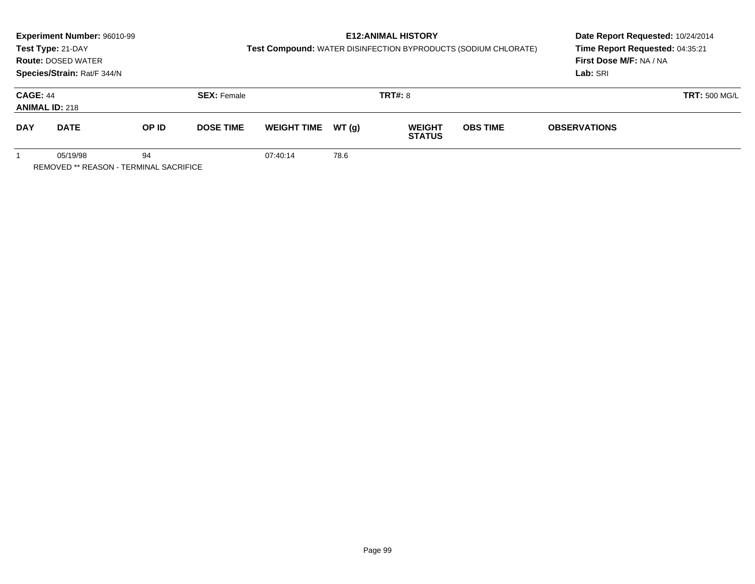|                                          | Experiment Number: 96010-99                        |       |                                      |                    |       | <b>E12:ANIMAL HISTORY</b>      |                                                                | Date Report Requested: 10/24/2014 |                      |
|------------------------------------------|----------------------------------------------------|-------|--------------------------------------|--------------------|-------|--------------------------------|----------------------------------------------------------------|-----------------------------------|----------------------|
|                                          | Test Type: 21-DAY                                  |       |                                      |                    |       |                                | Test Compound: WATER DISINFECTION BYPRODUCTS (SODIUM CHLORATE) | Time Report Requested: 04:35:21   |                      |
|                                          | <b>Route: DOSED WATER</b>                          |       |                                      |                    |       |                                |                                                                | First Dose M/F: NA / NA           |                      |
|                                          | Species/Strain: Rat/F 344/N                        |       |                                      |                    |       |                                |                                                                | Lab: SRI                          |                      |
| <b>CAGE: 44</b><br><b>ANIMAL ID: 218</b> |                                                    |       | <b>TRT#: 8</b><br><b>SEX: Female</b> |                    |       |                                |                                                                |                                   | <b>TRT: 500 MG/L</b> |
| <b>DAY</b>                               | <b>DATE</b>                                        | OP ID | <b>DOSE TIME</b>                     | <b>WEIGHT TIME</b> | WT(g) | <b>WEIGHT</b><br><b>STATUS</b> | <b>OBS TIME</b>                                                | <b>OBSERVATIONS</b>               |                      |
|                                          | 05/19/98<br>REMOVED ** REASON - TERMINAL SACRIFICE | 94    |                                      | 07:40:14           | 78.6  |                                |                                                                |                                   |                      |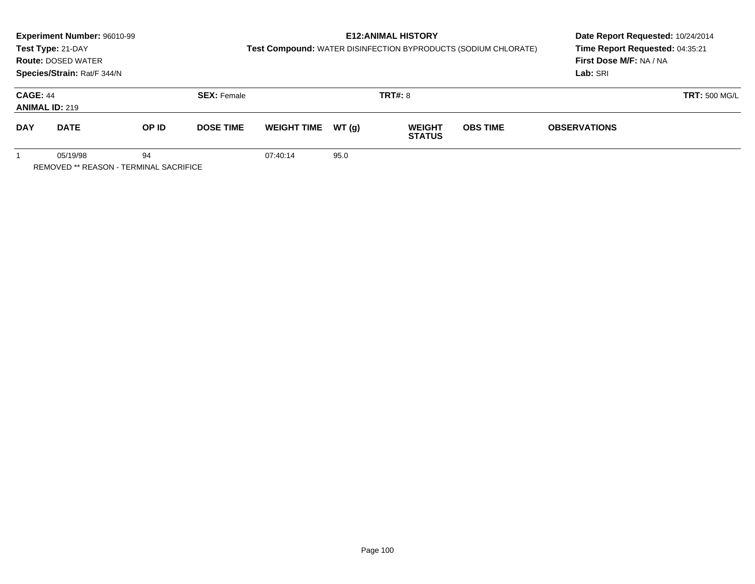|                                                          | Experiment Number: 96010-99<br>Test Type: 21-DAY<br><b>Route: DOSED WATER</b><br>Species/Strain: Rat/F 344/N |       |                    | Test Compound: WATER DISINFECTION BYPRODUCTS (SODIUM CHLORATE) | Date Report Requested: 10/24/2014<br>Time Report Requested: 04:35:21<br>First Dose M/F: NA / NA<br>Lab: SRI |                                |                 |                      |  |
|----------------------------------------------------------|--------------------------------------------------------------------------------------------------------------|-------|--------------------|----------------------------------------------------------------|-------------------------------------------------------------------------------------------------------------|--------------------------------|-----------------|----------------------|--|
| <b>CAGE: 44</b><br><b>ANIMAL ID: 219</b>                 |                                                                                                              |       | <b>SEX: Female</b> |                                                                | <b>TRT#: 8</b>                                                                                              |                                |                 | <b>TRT: 500 MG/L</b> |  |
| <b>DAY</b>                                               | <b>DATE</b>                                                                                                  | OP ID | <b>DOSE TIME</b>   | <b>WEIGHT TIME</b>                                             | WT(g)                                                                                                       | <b>WEIGHT</b><br><b>STATUS</b> | <b>OBS TIME</b> | <b>OBSERVATIONS</b>  |  |
| 94<br>05/19/98<br>REMOVED ** REASON - TERMINAL SACRIFICE |                                                                                                              |       |                    | 07:40:14                                                       | 95.0                                                                                                        |                                |                 |                      |  |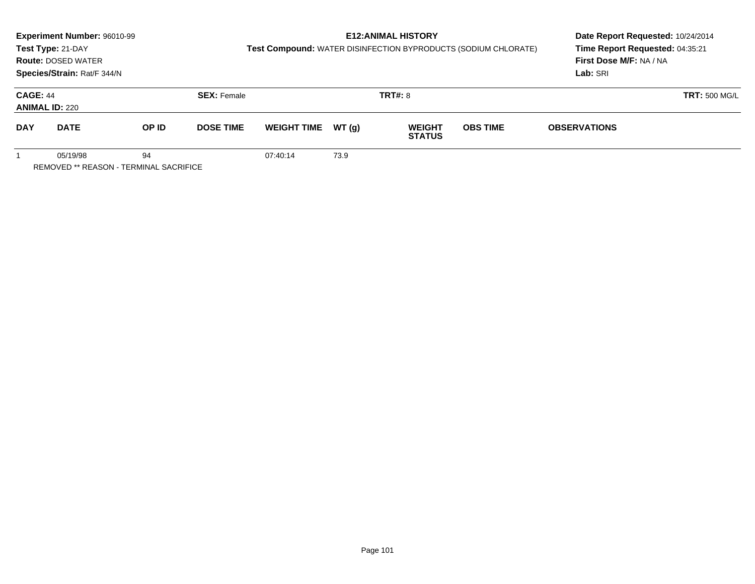|                                                          | Experiment Number: 96010-99<br>Test Type: 21-DAY<br><b>Route: DOSED WATER</b><br>Species/Strain: Rat/F 344/N |       |                    | Test Compound: WATER DISINFECTION BYPRODUCTS (SODIUM CHLORATE) | Date Report Requested: 10/24/2014<br>Time Report Requested: 04:35:21<br>First Dose M/F: NA / NA<br>Lab: SRI |                                |                 |                      |  |
|----------------------------------------------------------|--------------------------------------------------------------------------------------------------------------|-------|--------------------|----------------------------------------------------------------|-------------------------------------------------------------------------------------------------------------|--------------------------------|-----------------|----------------------|--|
| <b>CAGE: 44</b><br><b>ANIMAL ID: 220</b>                 |                                                                                                              |       | <b>SEX: Female</b> |                                                                | <b>TRT#: 8</b>                                                                                              |                                |                 | <b>TRT: 500 MG/L</b> |  |
| <b>DAY</b>                                               | <b>DATE</b>                                                                                                  | OP ID | <b>DOSE TIME</b>   | <b>WEIGHT TIME</b>                                             | WT(g)                                                                                                       | <b>WEIGHT</b><br><b>STATUS</b> | <b>OBS TIME</b> | <b>OBSERVATIONS</b>  |  |
| 94<br>05/19/98<br>REMOVED ** REASON - TERMINAL SACRIFICE |                                                                                                              |       |                    | 07:40:14                                                       | 73.9                                                                                                        |                                |                 |                      |  |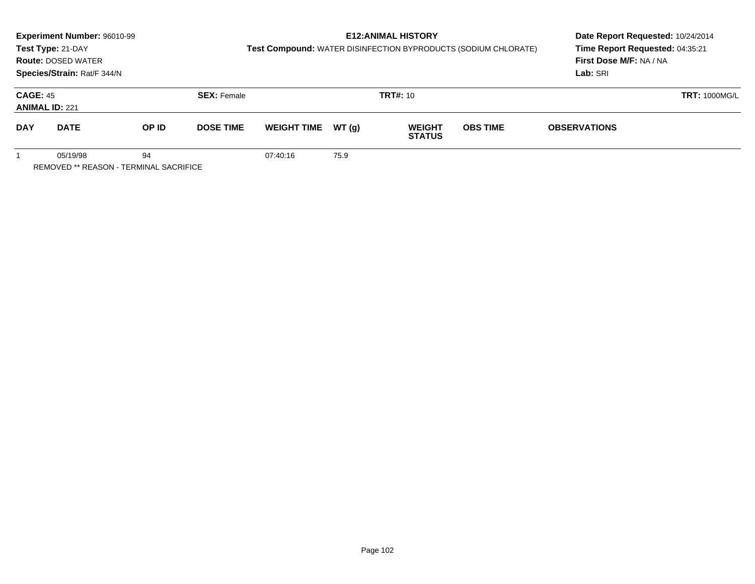|                                          | <b>Experiment Number: 96010-99</b><br>Test Type: 21-DAY<br><b>Route: DOSED WATER</b><br>Species/Strain: Rat/F 344/N |       |                    | Test Compound: WATER DISINFECTION BYPRODUCTS (SODIUM CHLORATE) | Date Report Requested: 10/24/2014<br>Time Report Requested: 04:35:21<br>First Dose M/F: NA / NA<br>Lab: SRI |                                |                 |                      |  |
|------------------------------------------|---------------------------------------------------------------------------------------------------------------------|-------|--------------------|----------------------------------------------------------------|-------------------------------------------------------------------------------------------------------------|--------------------------------|-----------------|----------------------|--|
| <b>CAGE: 45</b><br><b>ANIMAL ID: 221</b> |                                                                                                                     |       | <b>SEX: Female</b> |                                                                |                                                                                                             | <b>TRT#:</b> 10                |                 | <b>TRT: 1000MG/L</b> |  |
| <b>DAY</b>                               | <b>DATE</b>                                                                                                         | OP ID | <b>DOSE TIME</b>   | <b>WEIGHT TIME</b>                                             | WT (q)                                                                                                      | <b>WEIGHT</b><br><b>STATUS</b> | <b>OBS TIME</b> | <b>OBSERVATIONS</b>  |  |
|                                          | 05/19/98<br>REMOVED ** REASON - TERMINAL SACRIFICE                                                                  | 94    |                    | 07:40:16                                                       | 75.9                                                                                                        |                                |                 |                      |  |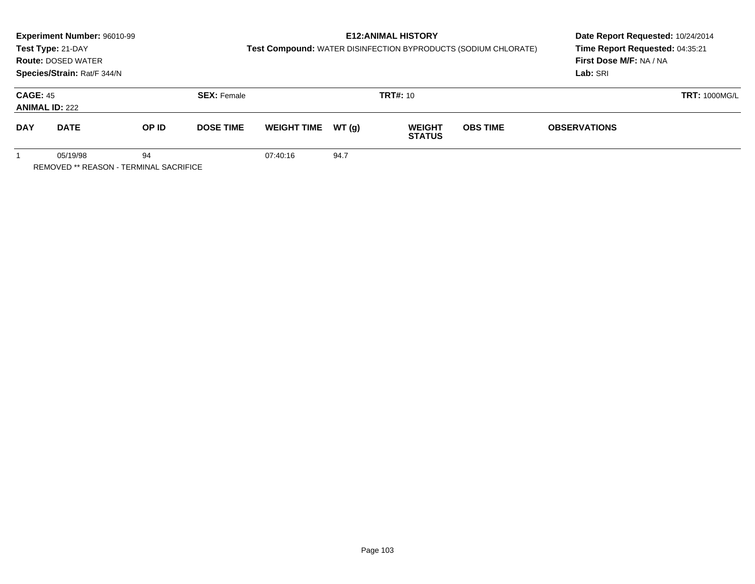|                                          | Experiment Number: 96010-99<br>Test Type: 21-DAY<br><b>Route: DOSED WATER</b><br>Species/Strain: Rat/F 344/N |       |                    | Test Compound: WATER DISINFECTION BYPRODUCTS (SODIUM CHLORATE) | Date Report Requested: 10/24/2014<br>Time Report Requested: 04:35:21<br>First Dose M/F: NA / NA<br>Lab: SRI |                                |                 |                      |  |
|------------------------------------------|--------------------------------------------------------------------------------------------------------------|-------|--------------------|----------------------------------------------------------------|-------------------------------------------------------------------------------------------------------------|--------------------------------|-----------------|----------------------|--|
| <b>CAGE: 45</b><br><b>ANIMAL ID: 222</b> |                                                                                                              |       | <b>SEX: Female</b> |                                                                |                                                                                                             | <b>TRT#:</b> 10                |                 | <b>TRT: 1000MG/L</b> |  |
| <b>DAY</b>                               | <b>DATE</b>                                                                                                  | OP ID | <b>DOSE TIME</b>   | <b>WEIGHT TIME</b>                                             | WT (q)                                                                                                      | <b>WEIGHT</b><br><b>STATUS</b> | <b>OBS TIME</b> | <b>OBSERVATIONS</b>  |  |
|                                          | 05/19/98<br><b>REMOVED ** REASON - TERMINAL SACRIFICE</b>                                                    | 94    |                    | 07:40:16                                                       | 94.7                                                                                                        |                                |                 |                      |  |

Page 103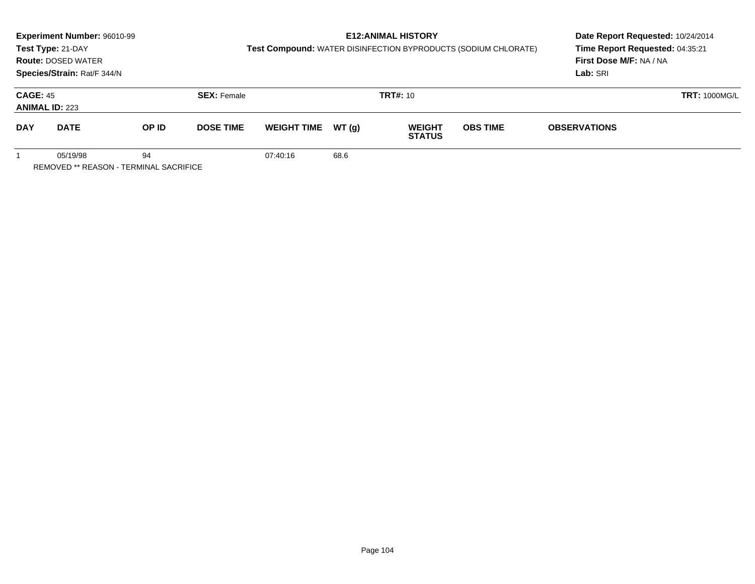|                                          | Experiment Number: 96010-99<br>Test Type: 21-DAY<br><b>Route: DOSED WATER</b><br>Species/Strain: Rat/F 344/N |       |                    | Test Compound: WATER DISINFECTION BYPRODUCTS (SODIUM CHLORATE) | Date Report Requested: 10/24/2014<br>Time Report Requested: 04:35:21<br>First Dose M/F: NA / NA<br>Lab: SRI |                                |                 |                      |  |
|------------------------------------------|--------------------------------------------------------------------------------------------------------------|-------|--------------------|----------------------------------------------------------------|-------------------------------------------------------------------------------------------------------------|--------------------------------|-----------------|----------------------|--|
| <b>CAGE: 45</b><br><b>ANIMAL ID: 223</b> |                                                                                                              |       | <b>SEX: Female</b> |                                                                |                                                                                                             | <b>TRT#:</b> 10                |                 | <b>TRT: 1000MG/L</b> |  |
| <b>DAY</b>                               | <b>DATE</b>                                                                                                  | OP ID | <b>DOSE TIME</b>   | <b>WEIGHT TIME</b>                                             | WT (q)                                                                                                      | <b>WEIGHT</b><br><b>STATUS</b> | <b>OBS TIME</b> | <b>OBSERVATIONS</b>  |  |
|                                          | 05/19/98<br>REMOVED ** REASON - TERMINAL SACRIFICE                                                           | 94    |                    | 07:40:16                                                       | 68.6                                                                                                        |                                |                 |                      |  |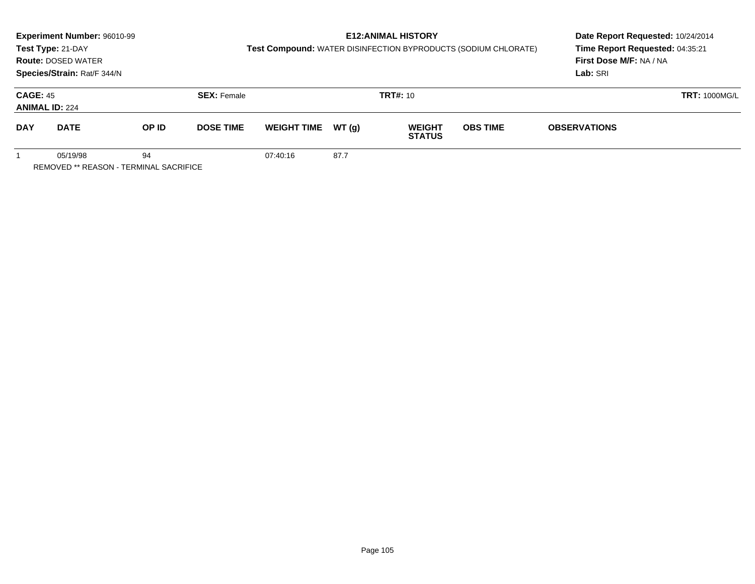|                                          | Experiment Number: 96010-99<br>Test Type: 21-DAY<br><b>Route: DOSED WATER</b><br>Species/Strain: Rat/F 344/N |       |                    | Test Compound: WATER DISINFECTION BYPRODUCTS (SODIUM CHLORATE) | Date Report Requested: 10/24/2014<br>Time Report Requested: 04:35:21<br>First Dose M/F: NA / NA<br>Lab: SRI |                                |                 |                      |  |
|------------------------------------------|--------------------------------------------------------------------------------------------------------------|-------|--------------------|----------------------------------------------------------------|-------------------------------------------------------------------------------------------------------------|--------------------------------|-----------------|----------------------|--|
| <b>CAGE: 45</b><br><b>ANIMAL ID: 224</b> |                                                                                                              |       | <b>SEX: Female</b> |                                                                |                                                                                                             | <b>TRT#:</b> 10                |                 | <b>TRT: 1000MG/L</b> |  |
| <b>DAY</b>                               | <b>DATE</b>                                                                                                  | OP ID | <b>DOSE TIME</b>   | <b>WEIGHT TIME</b>                                             | WT (q)                                                                                                      | <b>WEIGHT</b><br><b>STATUS</b> | <b>OBS TIME</b> | <b>OBSERVATIONS</b>  |  |
|                                          | 05/19/98<br><b>REMOVED ** REASON - TERMINAL SACRIFICE</b>                                                    | 94    |                    | 07:40:16                                                       | 87.7                                                                                                        |                                |                 |                      |  |

Page 105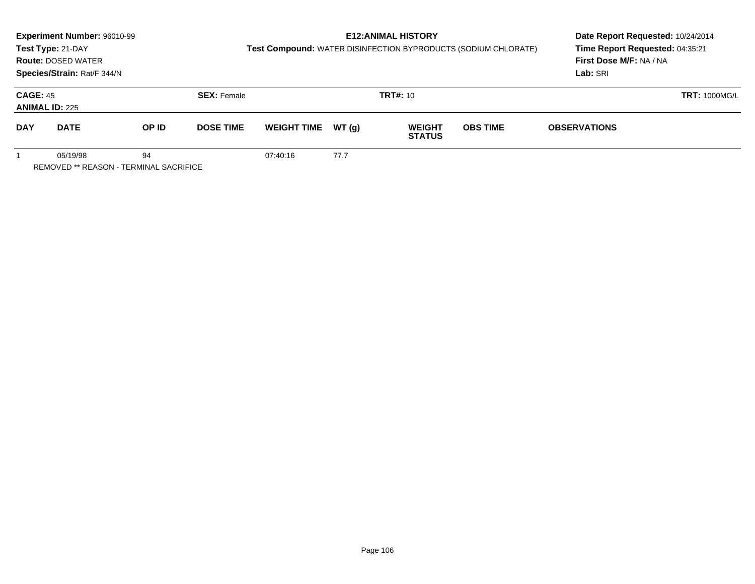|                                          | Experiment Number: 96010-99<br>Test Type: 21-DAY<br><b>Route: DOSED WATER</b><br>Species/Strain: Rat/F 344/N |       |                    | Test Compound: WATER DISINFECTION BYPRODUCTS (SODIUM CHLORATE) | Date Report Requested: 10/24/2014<br>Time Report Requested: 04:35:21<br>First Dose M/F: NA / NA<br>Lab: SRI |                                |                 |                      |  |
|------------------------------------------|--------------------------------------------------------------------------------------------------------------|-------|--------------------|----------------------------------------------------------------|-------------------------------------------------------------------------------------------------------------|--------------------------------|-----------------|----------------------|--|
| <b>CAGE: 45</b><br><b>ANIMAL ID: 225</b> |                                                                                                              |       | <b>SEX: Female</b> |                                                                |                                                                                                             | <b>TRT#:</b> 10                |                 | <b>TRT: 1000MG/L</b> |  |
| <b>DAY</b>                               | <b>DATE</b>                                                                                                  | OP ID | <b>DOSE TIME</b>   | <b>WEIGHT TIME</b>                                             | WT (q)                                                                                                      | <b>WEIGHT</b><br><b>STATUS</b> | <b>OBS TIME</b> | <b>OBSERVATIONS</b>  |  |
|                                          | 05/19/98<br>REMOVED ** REASON - TERMINAL SACRIFICE                                                           | 94    |                    | 07:40:16                                                       | 77.7                                                                                                        |                                |                 |                      |  |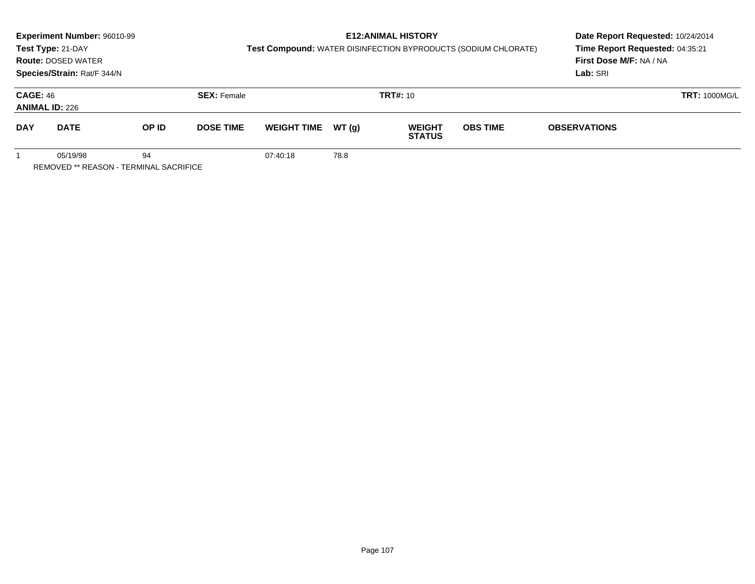|                                          | Experiment Number: 96010-99<br>Test Type: 21-DAY<br><b>Route: DOSED WATER</b><br>Species/Strain: Rat/F 344/N |       |                    | Test Compound: WATER DISINFECTION BYPRODUCTS (SODIUM CHLORATE) | <b>E12: ANIMAL HISTORY</b> | Date Report Requested: 10/24/2014<br>Time Report Requested: 04:35:21<br>First Dose M/F: NA / NA<br>Lab: SRI |                 |                      |  |
|------------------------------------------|--------------------------------------------------------------------------------------------------------------|-------|--------------------|----------------------------------------------------------------|----------------------------|-------------------------------------------------------------------------------------------------------------|-----------------|----------------------|--|
| <b>CAGE: 46</b><br><b>ANIMAL ID: 226</b> |                                                                                                              |       | <b>SEX: Female</b> |                                                                | <b>TRT#:</b> 10            |                                                                                                             |                 | <b>TRT: 1000MG/L</b> |  |
| <b>DAY</b>                               | <b>DATE</b>                                                                                                  | OP ID | <b>DOSE TIME</b>   | <b>WEIGHT TIME</b>                                             | WT (q)                     | <b>WEIGHT</b><br><b>STATUS</b>                                                                              | <b>OBS TIME</b> | <b>OBSERVATIONS</b>  |  |
|                                          | 05/19/98<br>REMOVED ** REASON - TERMINAL SACRIFICE                                                           | 94    |                    | 07:40:18                                                       | 78.8                       |                                                                                                             |                 |                      |  |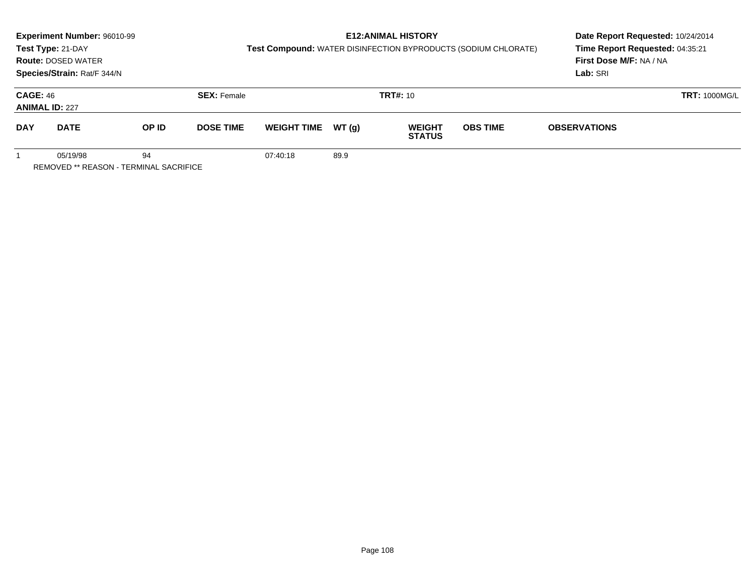|                                          | Experiment Number: 96010-99<br>Test Type: 21-DAY<br><b>Route: DOSED WATER</b><br>Species/Strain: Rat/F 344/N |       |                    | Test Compound: WATER DISINFECTION BYPRODUCTS (SODIUM CHLORATE) | Date Report Requested: 10/24/2014<br>Time Report Requested: 04:35:21<br>First Dose M/F: NA / NA<br>Lab: SRI |                                |                 |                      |  |
|------------------------------------------|--------------------------------------------------------------------------------------------------------------|-------|--------------------|----------------------------------------------------------------|-------------------------------------------------------------------------------------------------------------|--------------------------------|-----------------|----------------------|--|
| <b>CAGE: 46</b><br><b>ANIMAL ID: 227</b> |                                                                                                              |       | <b>SEX: Female</b> |                                                                |                                                                                                             | <b>TRT#:</b> 10                |                 | <b>TRT: 1000MG/L</b> |  |
| <b>DAY</b>                               | <b>DATE</b>                                                                                                  | OP ID | <b>DOSE TIME</b>   | <b>WEIGHT TIME</b>                                             | WT (q)                                                                                                      | <b>WEIGHT</b><br><b>STATUS</b> | <b>OBS TIME</b> | <b>OBSERVATIONS</b>  |  |
|                                          | 05/19/98<br>REMOVED ** REASON - TERMINAL SACRIFICE                                                           | 94    |                    | 07:40:18                                                       | 89.9                                                                                                        |                                |                 |                      |  |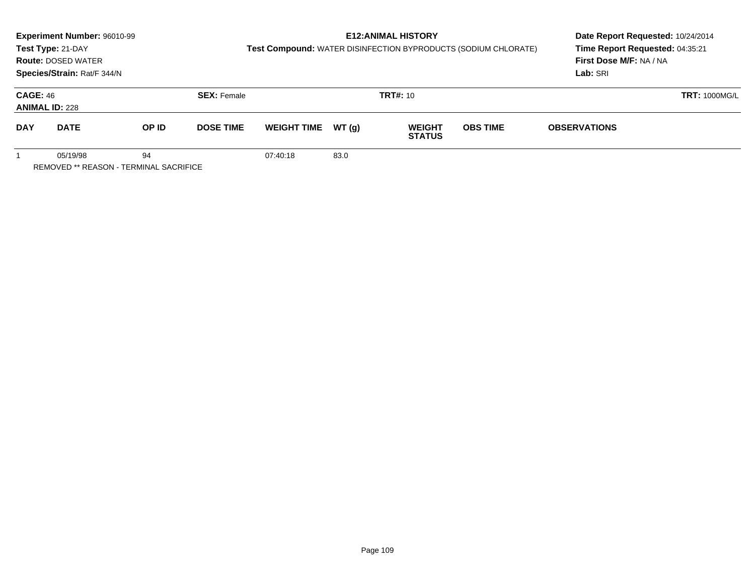|                                          | Experiment Number: 96010-99<br>Test Type: 21-DAY<br><b>Route: DOSED WATER</b><br>Species/Strain: Rat/F 344/N |       |                    | <b>Test Compound: WATER DISINFECTION BYPRODUCTS (SODIUM CHLORATE)</b> |                 | <b>E12: ANIMAL HISTORY</b>     | Date Report Requested: 10/24/2014<br>Time Report Requested: 04:35:21<br>First Dose M/F: NA / NA<br>Lab: SRI |                      |  |
|------------------------------------------|--------------------------------------------------------------------------------------------------------------|-------|--------------------|-----------------------------------------------------------------------|-----------------|--------------------------------|-------------------------------------------------------------------------------------------------------------|----------------------|--|
| <b>CAGE: 46</b><br><b>ANIMAL ID: 228</b> |                                                                                                              |       | <b>SEX: Female</b> |                                                                       | <b>TRT#: 10</b> |                                |                                                                                                             | <b>TRT: 1000MG/L</b> |  |
| <b>DAY</b>                               | <b>DATE</b>                                                                                                  | OP ID | <b>DOSE TIME</b>   | <b>WEIGHT TIME</b>                                                    | WT (q)          | <b>WEIGHT</b><br><b>STATUS</b> | <b>OBS TIME</b>                                                                                             | <b>OBSERVATIONS</b>  |  |
|                                          | 05/19/98<br><b>REMOVED ** REASON - TERMINAL SACRIFICE</b>                                                    | 94    |                    | 07:40:18                                                              | 83.0            |                                |                                                                                                             |                      |  |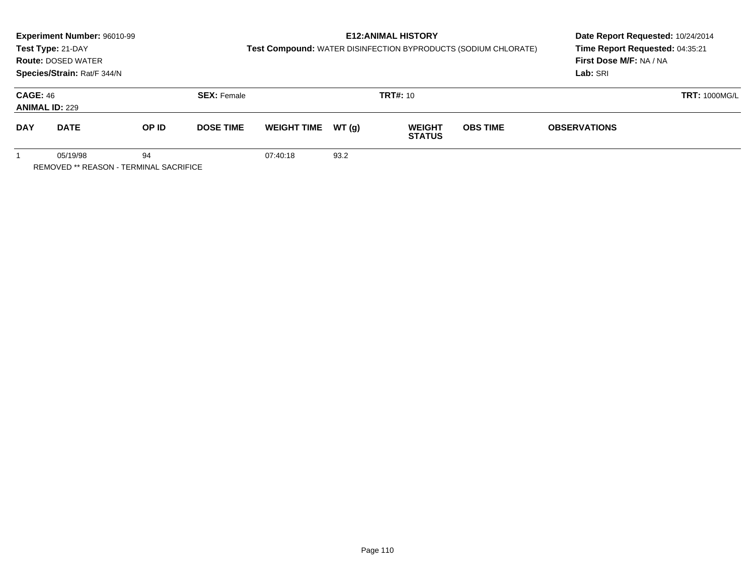|                                          | Experiment Number: 96010-99<br>Test Type: 21-DAY<br><b>Route: DOSED WATER</b><br>Species/Strain: Rat/F 344/N |       |                    | Test Compound: WATER DISINFECTION BYPRODUCTS (SODIUM CHLORATE) |        | <b>E12: ANIMAL HISTORY</b>     | Date Report Requested: 10/24/2014<br>Time Report Requested: 04:35:21<br>First Dose M/F: NA / NA<br>Lab: SRI |                      |  |
|------------------------------------------|--------------------------------------------------------------------------------------------------------------|-------|--------------------|----------------------------------------------------------------|--------|--------------------------------|-------------------------------------------------------------------------------------------------------------|----------------------|--|
| <b>CAGE: 46</b><br><b>ANIMAL ID: 229</b> |                                                                                                              |       | <b>SEX: Female</b> |                                                                |        | <b>TRT#: 10</b>                |                                                                                                             | <b>TRT: 1000MG/L</b> |  |
| <b>DAY</b>                               | <b>DATE</b>                                                                                                  | OP ID | <b>DOSE TIME</b>   | <b>WEIGHT TIME</b>                                             | WT (q) | <b>WEIGHT</b><br><b>STATUS</b> | <b>OBS TIME</b>                                                                                             | <b>OBSERVATIONS</b>  |  |
|                                          | 05/19/98<br>REMOVED ** REASON - TERMINAL SACRIFICE                                                           | 94    |                    | 07:40:18                                                       | 93.2   |                                |                                                                                                             |                      |  |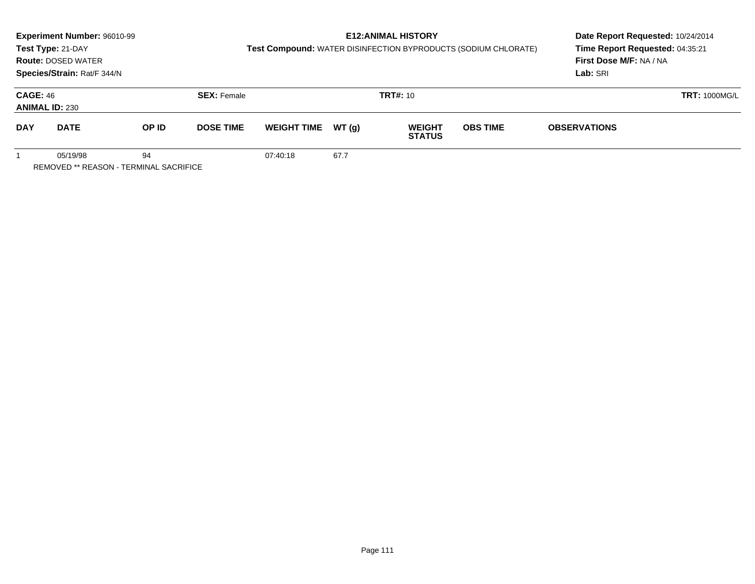|                                          | Experiment Number: 96010-99<br>Test Type: 21-DAY<br><b>Route: DOSED WATER</b><br>Species/Strain: Rat/F 344/N |       |                    | Test Compound: WATER DISINFECTION BYPRODUCTS (SODIUM CHLORATE) |        | <b>E12: ANIMAL HISTORY</b>     | Date Report Requested: 10/24/2014<br>Time Report Requested: 04:35:21<br>First Dose M/F: NA / NA<br>Lab: SRI |                      |  |
|------------------------------------------|--------------------------------------------------------------------------------------------------------------|-------|--------------------|----------------------------------------------------------------|--------|--------------------------------|-------------------------------------------------------------------------------------------------------------|----------------------|--|
| <b>CAGE: 46</b><br><b>ANIMAL ID: 230</b> |                                                                                                              |       | <b>SEX: Female</b> |                                                                |        | <b>TRT#: 10</b>                |                                                                                                             | <b>TRT: 1000MG/L</b> |  |
| <b>DAY</b>                               | <b>DATE</b>                                                                                                  | OP ID | <b>DOSE TIME</b>   | <b>WEIGHT TIME</b>                                             | WT (q) | <b>WEIGHT</b><br><b>STATUS</b> | <b>OBS TIME</b>                                                                                             | <b>OBSERVATIONS</b>  |  |
|                                          | 05/19/98<br>REMOVED ** REASON - TERMINAL SACRIFICE                                                           | 94    |                    | 07:40:18                                                       | 67.7   |                                |                                                                                                             |                      |  |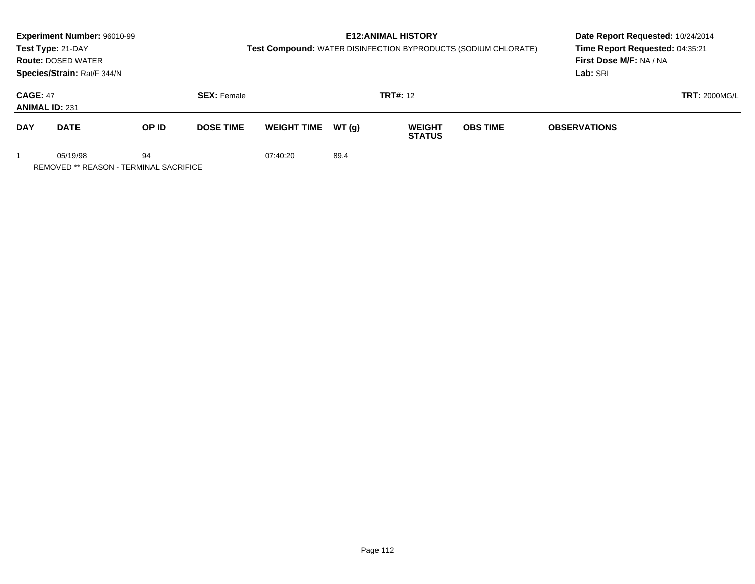|                                                                 | <b>Experiment Number: 96010-99</b><br>Test Type: 21-DAY<br><b>Route: DOSED WATER</b><br>Species/Strain: Rat/F 344/N |       |                    | <b>Test Compound: WATER DISINFECTION BYPRODUCTS (SODIUM CHLORATE)</b> | Date Report Requested: 10/24/2014<br>Time Report Requested: 04:35:21<br>First Dose M/F: NA / NA<br>Lab: SRI |                                |                 |                      |  |
|-----------------------------------------------------------------|---------------------------------------------------------------------------------------------------------------------|-------|--------------------|-----------------------------------------------------------------------|-------------------------------------------------------------------------------------------------------------|--------------------------------|-----------------|----------------------|--|
| <b>CAGE: 47</b><br><b>ANIMAL ID: 231</b>                        |                                                                                                                     |       | <b>SEX: Female</b> |                                                                       |                                                                                                             | <b>TRT#: 12</b>                |                 | <b>TRT: 2000MG/L</b> |  |
| <b>DAY</b>                                                      | <b>DATE</b>                                                                                                         | OP ID | <b>DOSE TIME</b>   | <b>WEIGHT TIME</b>                                                    | WT (q)                                                                                                      | <b>WEIGHT</b><br><b>STATUS</b> | <b>OBS TIME</b> | <b>OBSERVATIONS</b>  |  |
| 05/19/98<br>94<br><b>REMOVED ** REASON - TERMINAL SACRIFICE</b> |                                                                                                                     |       |                    | 07:40:20                                                              | 89.4                                                                                                        |                                |                 |                      |  |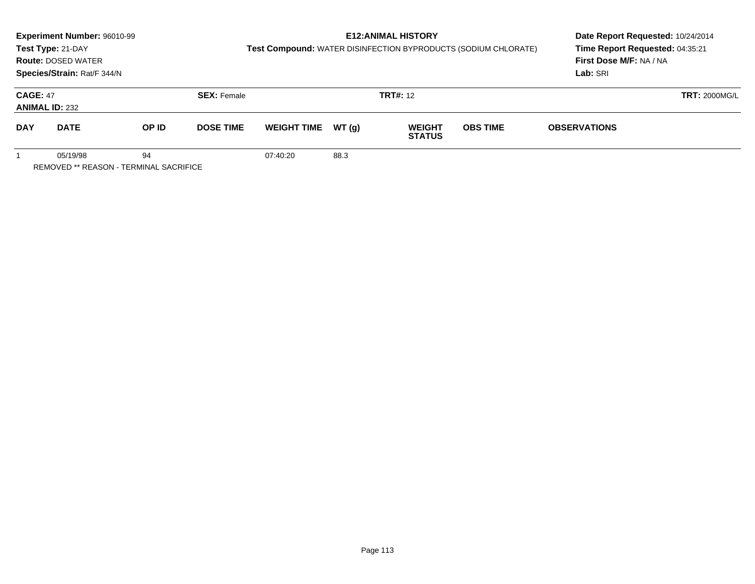|                                                          | <b>Experiment Number: 96010-99</b><br>Test Type: 21-DAY<br><b>Route: DOSED WATER</b><br>Species/Strain: Rat/F 344/N |       |                    | Test Compound: WATER DISINFECTION BYPRODUCTS (SODIUM CHLORATE) | <b>E12: ANIMAL HISTORY</b> | Date Report Requested: 10/24/2014<br>Time Report Requested: 04:35:21<br>First Dose M/F: NA / NA<br>Lab: SRI |                 |                      |  |
|----------------------------------------------------------|---------------------------------------------------------------------------------------------------------------------|-------|--------------------|----------------------------------------------------------------|----------------------------|-------------------------------------------------------------------------------------------------------------|-----------------|----------------------|--|
| <b>CAGE: 47</b><br><b>ANIMAL ID: 232</b>                 |                                                                                                                     |       | <b>SEX: Female</b> |                                                                | <b>TRT#: 12</b>            |                                                                                                             |                 | <b>TRT: 2000MG/L</b> |  |
| <b>DAY</b>                                               | <b>DATE</b>                                                                                                         | OP ID | <b>DOSE TIME</b>   | <b>WEIGHT TIME</b>                                             | WT (q)                     | <b>WEIGHT</b><br><b>STATUS</b>                                                                              | <b>OBS TIME</b> | <b>OBSERVATIONS</b>  |  |
| 05/19/98<br>94<br>REMOVED ** REASON - TERMINAL SACRIFICE |                                                                                                                     |       |                    | 07:40:20                                                       | 88.3                       |                                                                                                             |                 |                      |  |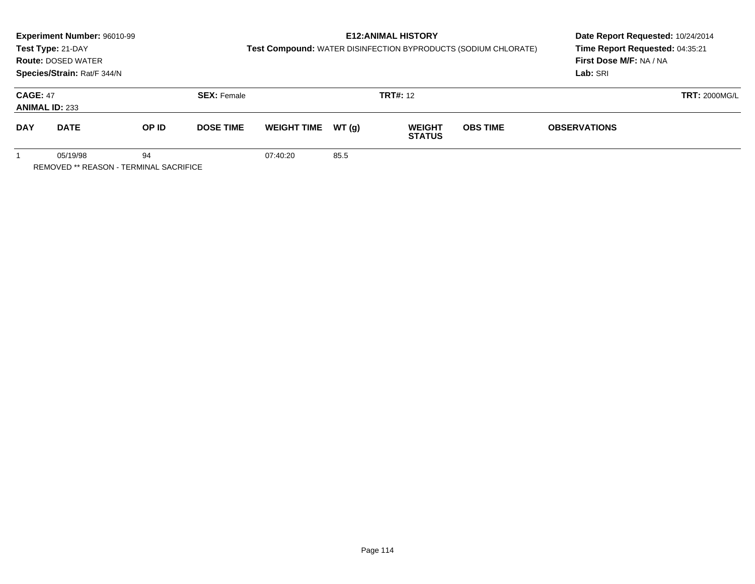|                                                          | <b>Experiment Number: 96010-99</b><br>Test Type: 21-DAY<br><b>Route: DOSED WATER</b><br>Species/Strain: Rat/F 344/N |       |                    | Test Compound: WATER DISINFECTION BYPRODUCTS (SODIUM CHLORATE) | Date Report Requested: 10/24/2014<br>Time Report Requested: 04:35:21<br>First Dose M/F: NA / NA<br>Lab: SRI |                                |                 |                     |                      |
|----------------------------------------------------------|---------------------------------------------------------------------------------------------------------------------|-------|--------------------|----------------------------------------------------------------|-------------------------------------------------------------------------------------------------------------|--------------------------------|-----------------|---------------------|----------------------|
| <b>CAGE: 47</b><br><b>ANIMAL ID: 233</b>                 |                                                                                                                     |       | <b>SEX: Female</b> |                                                                | <b>TRT#: 12</b>                                                                                             |                                |                 |                     | <b>TRT: 2000MG/L</b> |
| <b>DAY</b>                                               | <b>DATE</b>                                                                                                         | OP ID | <b>DOSE TIME</b>   | <b>WEIGHT TIME</b>                                             | WT (q)                                                                                                      | <b>WEIGHT</b><br><b>STATUS</b> | <b>OBS TIME</b> | <b>OBSERVATIONS</b> |                      |
| 05/19/98<br>94<br>REMOVED ** REASON - TERMINAL SACRIFICE |                                                                                                                     |       |                    | 07:40:20                                                       | 85.5                                                                                                        |                                |                 |                     |                      |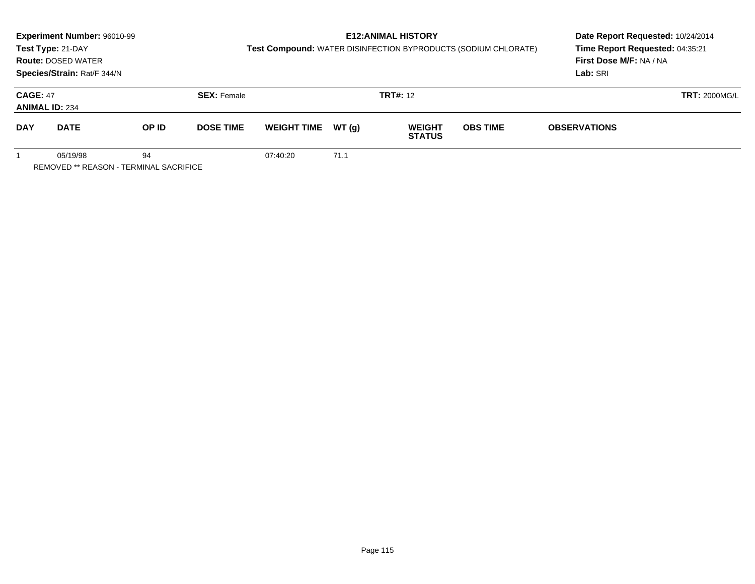|                                                                 | <b>Experiment Number: 96010-99</b><br>Test Type: 21-DAY<br><b>Route: DOSED WATER</b><br>Species/Strain: Rat/F 344/N |       |                    | <b>Test Compound: WATER DISINFECTION BYPRODUCTS (SODIUM CHLORATE)</b> | Date Report Requested: 10/24/2014<br>Time Report Requested: 04:35:21<br>First Dose M/F: NA / NA<br>Lab: SRI |                                |                 |                      |  |
|-----------------------------------------------------------------|---------------------------------------------------------------------------------------------------------------------|-------|--------------------|-----------------------------------------------------------------------|-------------------------------------------------------------------------------------------------------------|--------------------------------|-----------------|----------------------|--|
| <b>CAGE: 47</b><br><b>ANIMAL ID: 234</b>                        |                                                                                                                     |       | <b>SEX: Female</b> |                                                                       |                                                                                                             | <b>TRT#: 12</b>                |                 | <b>TRT: 2000MG/L</b> |  |
| <b>DAY</b>                                                      | <b>DATE</b>                                                                                                         | OP ID | <b>DOSE TIME</b>   | <b>WEIGHT TIME</b>                                                    | WT (q)                                                                                                      | <b>WEIGHT</b><br><b>STATUS</b> | <b>OBS TIME</b> | <b>OBSERVATIONS</b>  |  |
| 05/19/98<br>94<br><b>REMOVED ** REASON - TERMINAL SACRIFICE</b> |                                                                                                                     |       |                    | 07:40:20                                                              | 71.1                                                                                                        |                                |                 |                      |  |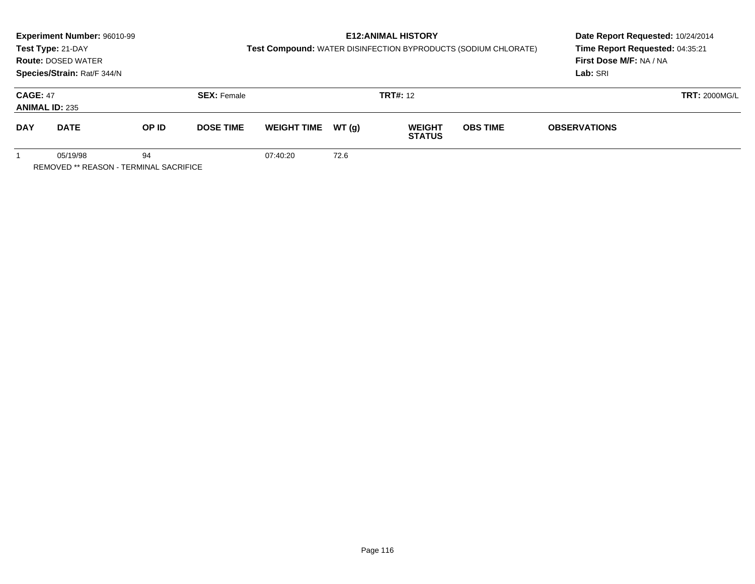|                                          | <b>Experiment Number: 96010-99</b><br>Test Type: 21-DAY<br><b>Route: DOSED WATER</b><br>Species/Strain: Rat/F 344/N |       |                    | <b>Test Compound: WATER DISINFECTION BYPRODUCTS (SODIUM CHLORATE)</b> | Date Report Requested: 10/24/2014<br>Time Report Requested: 04:35:21<br>First Dose M/F: NA / NA<br>Lab: SRI |                                |                 |                      |  |
|------------------------------------------|---------------------------------------------------------------------------------------------------------------------|-------|--------------------|-----------------------------------------------------------------------|-------------------------------------------------------------------------------------------------------------|--------------------------------|-----------------|----------------------|--|
| <b>CAGE: 47</b><br><b>ANIMAL ID: 235</b> |                                                                                                                     |       | <b>SEX: Female</b> |                                                                       |                                                                                                             | <b>TRT#: 12</b>                |                 | <b>TRT: 2000MG/L</b> |  |
| <b>DAY</b>                               | <b>DATE</b>                                                                                                         | OP ID | <b>DOSE TIME</b>   | <b>WEIGHT TIME</b>                                                    | WT (q)                                                                                                      | <b>WEIGHT</b><br><b>STATUS</b> | <b>OBS TIME</b> | <b>OBSERVATIONS</b>  |  |
|                                          | 05/19/98<br><b>REMOVED ** REASON - TERMINAL SACRIFICE</b>                                                           | 94    |                    | 07:40:20                                                              | 72.6                                                                                                        |                                |                 |                      |  |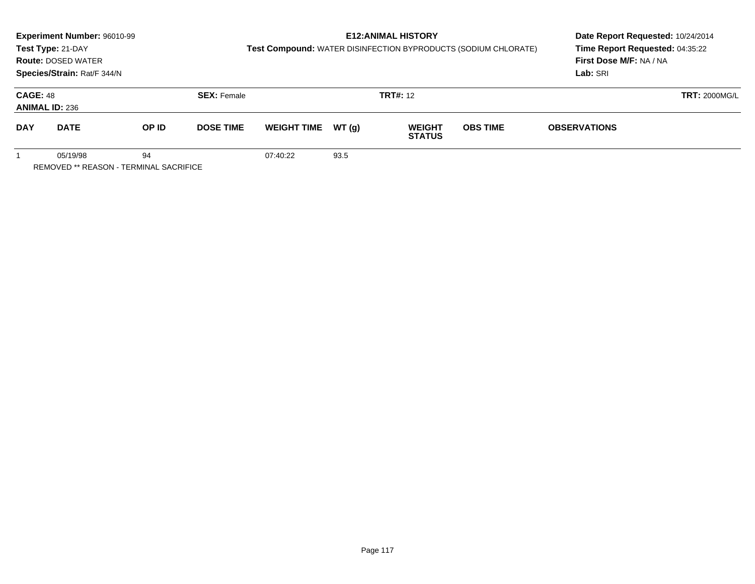|                                                                 | <b>Experiment Number: 96010-99</b><br>Test Type: 21-DAY<br><b>Route: DOSED WATER</b><br>Species/Strain: Rat/F 344/N |       |                    | <b>Test Compound: WATER DISINFECTION BYPRODUCTS (SODIUM CHLORATE)</b> | Date Report Requested: 10/24/2014<br>Time Report Requested: 04:35:22<br>First Dose M/F: NA / NA<br>Lab: SRI |                                |                 |                      |  |
|-----------------------------------------------------------------|---------------------------------------------------------------------------------------------------------------------|-------|--------------------|-----------------------------------------------------------------------|-------------------------------------------------------------------------------------------------------------|--------------------------------|-----------------|----------------------|--|
| <b>CAGE: 48</b><br><b>ANIMAL ID: 236</b>                        |                                                                                                                     |       | <b>SEX: Female</b> |                                                                       |                                                                                                             | <b>TRT#: 12</b>                |                 | <b>TRT: 2000MG/L</b> |  |
| <b>DAY</b>                                                      | <b>DATE</b>                                                                                                         | OP ID | <b>DOSE TIME</b>   | <b>WEIGHT TIME</b>                                                    | WT (q)                                                                                                      | <b>WEIGHT</b><br><b>STATUS</b> | <b>OBS TIME</b> | <b>OBSERVATIONS</b>  |  |
| 05/19/98<br>94<br><b>REMOVED ** REASON - TERMINAL SACRIFICE</b> |                                                                                                                     |       |                    | 07:40:22                                                              | 93.5                                                                                                        |                                |                 |                      |  |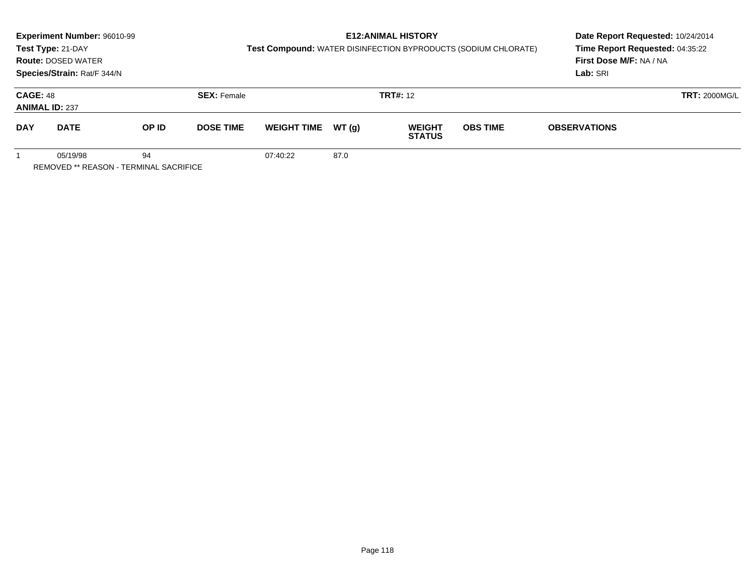|                                                                 | <b>Experiment Number: 96010-99</b><br>Test Type: 21-DAY<br><b>Route: DOSED WATER</b><br>Species/Strain: Rat/F 344/N |       |                    | <b>Test Compound: WATER DISINFECTION BYPRODUCTS (SODIUM CHLORATE)</b> | Date Report Requested: 10/24/2014<br>Time Report Requested: 04:35:22<br>First Dose M/F: NA / NA<br>Lab: SRI |                                |                 |                      |  |
|-----------------------------------------------------------------|---------------------------------------------------------------------------------------------------------------------|-------|--------------------|-----------------------------------------------------------------------|-------------------------------------------------------------------------------------------------------------|--------------------------------|-----------------|----------------------|--|
| <b>CAGE: 48</b><br><b>ANIMAL ID: 237</b>                        |                                                                                                                     |       | <b>SEX: Female</b> |                                                                       |                                                                                                             | <b>TRT#: 12</b>                |                 | <b>TRT: 2000MG/L</b> |  |
| <b>DAY</b>                                                      | <b>DATE</b>                                                                                                         | OP ID | <b>DOSE TIME</b>   | <b>WEIGHT TIME</b>                                                    | WT (q)                                                                                                      | <b>WEIGHT</b><br><b>STATUS</b> | <b>OBS TIME</b> | <b>OBSERVATIONS</b>  |  |
| 05/19/98<br>94<br><b>REMOVED ** REASON - TERMINAL SACRIFICE</b> |                                                                                                                     |       |                    | 07:40:22                                                              | 87.0                                                                                                        |                                |                 |                      |  |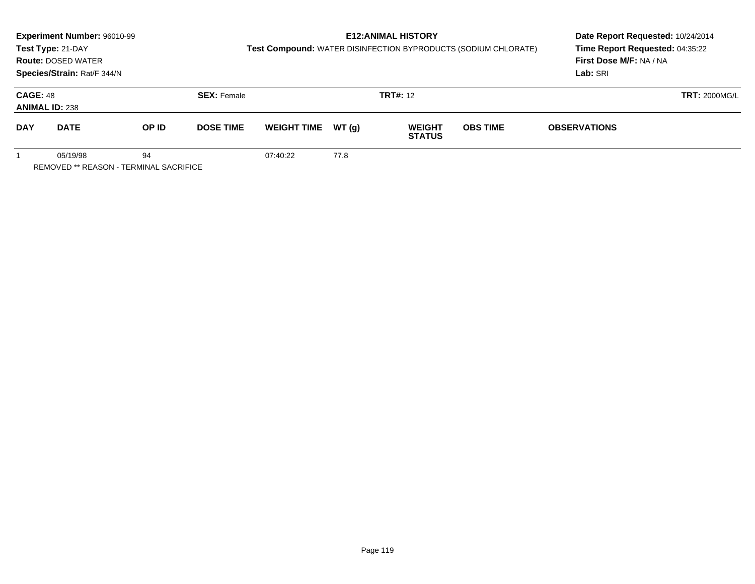|                                                                 | <b>Experiment Number: 96010-99</b><br>Test Type: 21-DAY<br><b>Route: DOSED WATER</b><br>Species/Strain: Rat/F 344/N |       |                    | <b>Test Compound: WATER DISINFECTION BYPRODUCTS (SODIUM CHLORATE)</b> | Date Report Requested: 10/24/2014<br>Time Report Requested: 04:35:22<br>First Dose M/F: NA / NA<br>Lab: SRI |                                |                 |                      |  |
|-----------------------------------------------------------------|---------------------------------------------------------------------------------------------------------------------|-------|--------------------|-----------------------------------------------------------------------|-------------------------------------------------------------------------------------------------------------|--------------------------------|-----------------|----------------------|--|
| <b>CAGE: 48</b><br><b>ANIMAL ID: 238</b>                        |                                                                                                                     |       | <b>SEX: Female</b> |                                                                       |                                                                                                             | <b>TRT#: 12</b>                |                 | <b>TRT: 2000MG/L</b> |  |
| <b>DAY</b>                                                      | <b>DATE</b>                                                                                                         | OP ID | <b>DOSE TIME</b>   | <b>WEIGHT TIME</b>                                                    | WT (q)                                                                                                      | <b>WEIGHT</b><br><b>STATUS</b> | <b>OBS TIME</b> | <b>OBSERVATIONS</b>  |  |
| 05/19/98<br>94<br><b>REMOVED ** REASON - TERMINAL SACRIFICE</b> |                                                                                                                     |       |                    | 07:40:22                                                              | 77.8                                                                                                        |                                |                 |                      |  |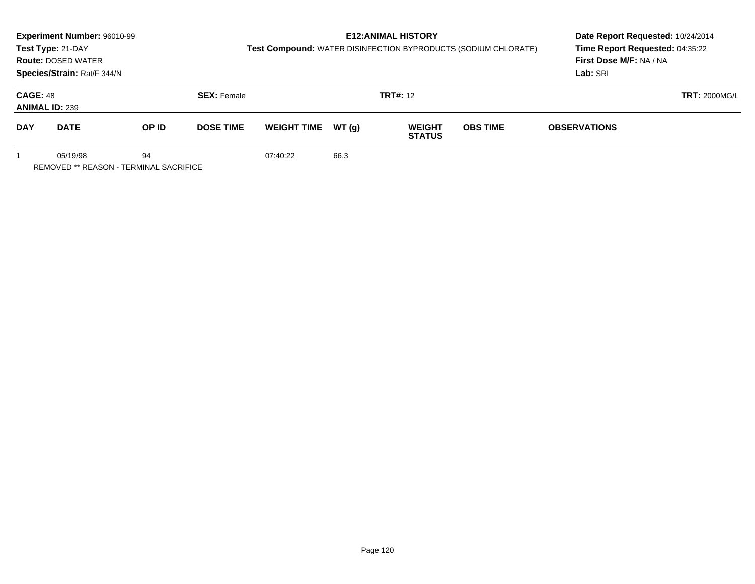|                                                                 | <b>Experiment Number: 96010-99</b><br>Test Type: 21-DAY<br><b>Route: DOSED WATER</b><br>Species/Strain: Rat/F 344/N |       |                    | <b>Test Compound: WATER DISINFECTION BYPRODUCTS (SODIUM CHLORATE)</b> | Date Report Requested: 10/24/2014<br>Time Report Requested: 04:35:22<br>First Dose M/F: NA / NA<br>Lab: SRI |                                |                 |                      |  |
|-----------------------------------------------------------------|---------------------------------------------------------------------------------------------------------------------|-------|--------------------|-----------------------------------------------------------------------|-------------------------------------------------------------------------------------------------------------|--------------------------------|-----------------|----------------------|--|
| <b>CAGE: 48</b><br><b>ANIMAL ID: 239</b>                        |                                                                                                                     |       | <b>SEX: Female</b> |                                                                       |                                                                                                             | <b>TRT#: 12</b>                |                 | <b>TRT: 2000MG/L</b> |  |
| <b>DAY</b>                                                      | <b>DATE</b>                                                                                                         | OP ID | <b>DOSE TIME</b>   | <b>WEIGHT TIME</b>                                                    | WT (q)                                                                                                      | <b>WEIGHT</b><br><b>STATUS</b> | <b>OBS TIME</b> | <b>OBSERVATIONS</b>  |  |
| 05/19/98<br>94<br><b>REMOVED ** REASON - TERMINAL SACRIFICE</b> |                                                                                                                     |       |                    | 07:40:22                                                              | 66.3                                                                                                        |                                |                 |                      |  |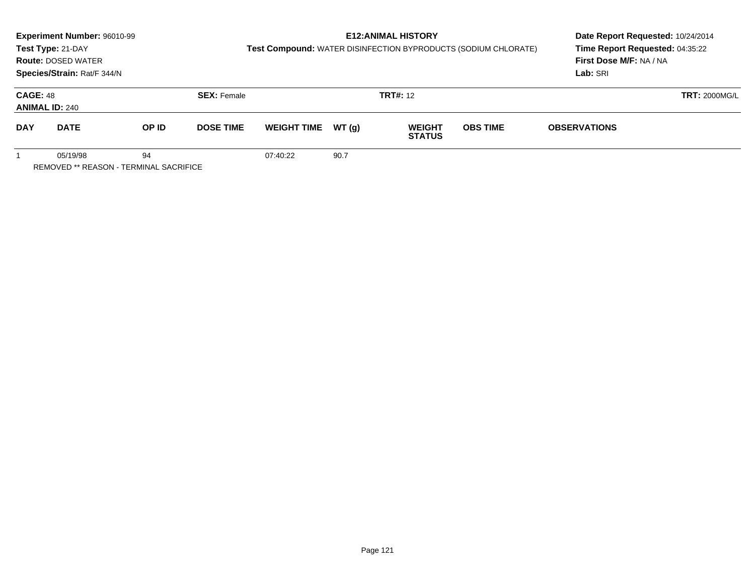| <b>Experiment Number: 96010-99</b><br>Test Type: 21-DAY<br><b>Route: DOSED WATER</b><br>Species/Strain: Rat/F 344/N |                                                           |       | <b>E12: ANIMAL HISTORY</b><br><b>Test Compound: WATER DISINFECTION BYPRODUCTS (SODIUM CHLORATE)</b> |                    |        |                                |                 | Date Report Requested: 10/24/2014<br>Time Report Requested: 04:35:22<br>First Dose M/F: NA / NA<br>Lab: SRI |  |
|---------------------------------------------------------------------------------------------------------------------|-----------------------------------------------------------|-------|-----------------------------------------------------------------------------------------------------|--------------------|--------|--------------------------------|-----------------|-------------------------------------------------------------------------------------------------------------|--|
| <b>CAGE: 48</b><br><b>ANIMAL ID: 240</b>                                                                            |                                                           |       | <b>SEX: Female</b>                                                                                  |                    |        | <b>TRT#: 12</b>                |                 | <b>TRT: 2000MG/L</b>                                                                                        |  |
| <b>DAY</b>                                                                                                          | <b>DATE</b>                                               | OP ID | <b>DOSE TIME</b>                                                                                    | <b>WEIGHT TIME</b> | WT (q) | <b>WEIGHT</b><br><b>STATUS</b> | <b>OBS TIME</b> | <b>OBSERVATIONS</b>                                                                                         |  |
|                                                                                                                     | 05/19/98<br><b>REMOVED ** REASON - TERMINAL SACRIFICE</b> | 94    |                                                                                                     | 07:40:22           | 90.7   |                                |                 |                                                                                                             |  |